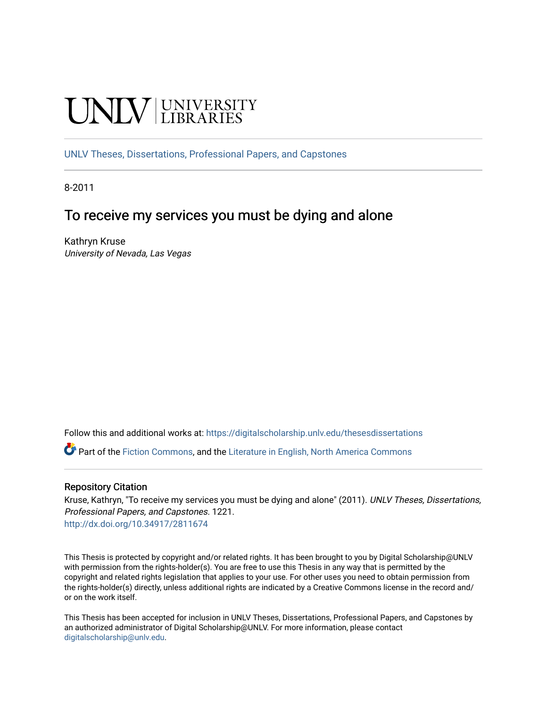# UNIV UNIVERSITY

[UNLV Theses, Dissertations, Professional Papers, and Capstones](https://digitalscholarship.unlv.edu/thesesdissertations)

8-2011

## To receive my services you must be dying and alone

Kathryn Kruse University of Nevada, Las Vegas

Follow this and additional works at: [https://digitalscholarship.unlv.edu/thesesdissertations](https://digitalscholarship.unlv.edu/thesesdissertations?utm_source=digitalscholarship.unlv.edu%2Fthesesdissertations%2F1221&utm_medium=PDF&utm_campaign=PDFCoverPages)

Part of the [Fiction Commons,](http://network.bepress.com/hgg/discipline/1151?utm_source=digitalscholarship.unlv.edu%2Fthesesdissertations%2F1221&utm_medium=PDF&utm_campaign=PDFCoverPages) and the [Literature in English, North America Commons](http://network.bepress.com/hgg/discipline/458?utm_source=digitalscholarship.unlv.edu%2Fthesesdissertations%2F1221&utm_medium=PDF&utm_campaign=PDFCoverPages)

#### Repository Citation

Kruse, Kathryn, "To receive my services you must be dying and alone" (2011). UNLV Theses, Dissertations, Professional Papers, and Capstones. 1221. <http://dx.doi.org/10.34917/2811674>

This Thesis is protected by copyright and/or related rights. It has been brought to you by Digital Scholarship@UNLV with permission from the rights-holder(s). You are free to use this Thesis in any way that is permitted by the copyright and related rights legislation that applies to your use. For other uses you need to obtain permission from the rights-holder(s) directly, unless additional rights are indicated by a Creative Commons license in the record and/ or on the work itself.

This Thesis has been accepted for inclusion in UNLV Theses, Dissertations, Professional Papers, and Capstones by an authorized administrator of Digital Scholarship@UNLV. For more information, please contact [digitalscholarship@unlv.edu](mailto:digitalscholarship@unlv.edu).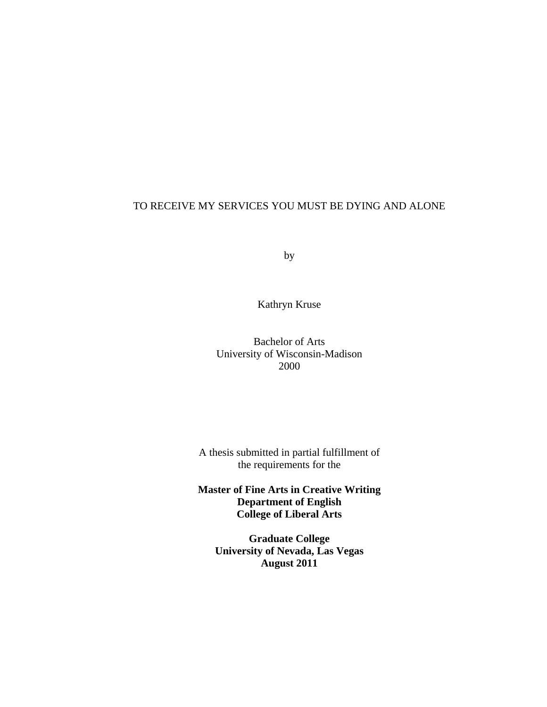## TO RECEIVE MY SERVICES YOU MUST BE DYING AND ALONE

by

Kathryn Kruse

Bachelor of Arts University of Wisconsin-Madison 2000

A thesis submitted in partial fulfillment of the requirements for the

**Master of Fine Arts in Creative Writing Department of English College of Liberal Arts** 

**Graduate College University of Nevada, Las Vegas August 2011**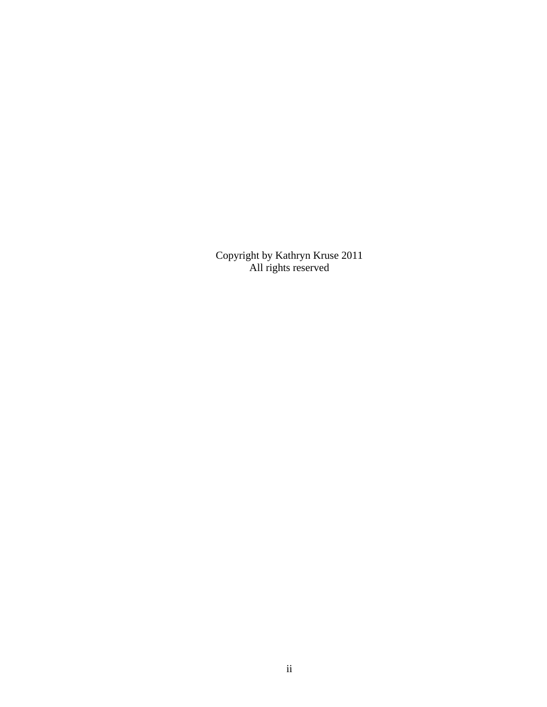Copyright by Kathryn Kruse 2011 All rights reserved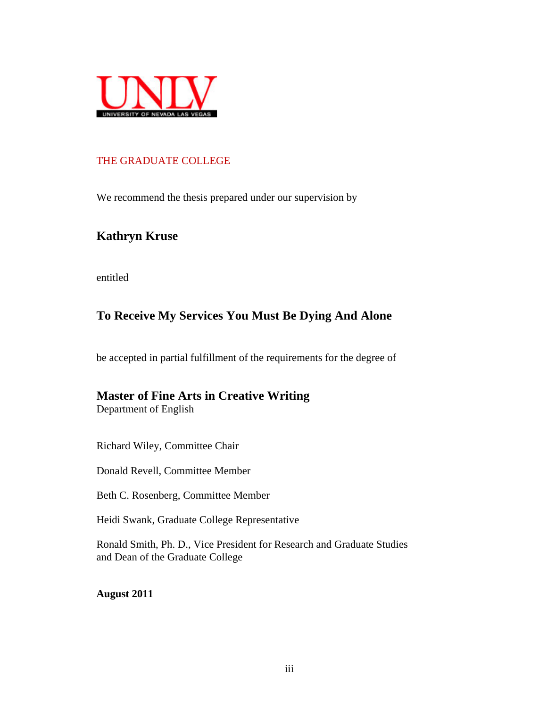

## THE GRADUATE COLLEGE

We recommend the thesis prepared under our supervision by

## **Kathryn Kruse**

entitled

## **To Receive My Services You Must Be Dying And Alone**

be accepted in partial fulfillment of the requirements for the degree of

# **Master of Fine Arts in Creative Writing**

Department of English

Richard Wiley, Committee Chair

Donald Revell, Committee Member

Beth C. Rosenberg, Committee Member

Heidi Swank, Graduate College Representative

Ronald Smith, Ph. D., Vice President for Research and Graduate Studies and Dean of the Graduate College

**August 2011**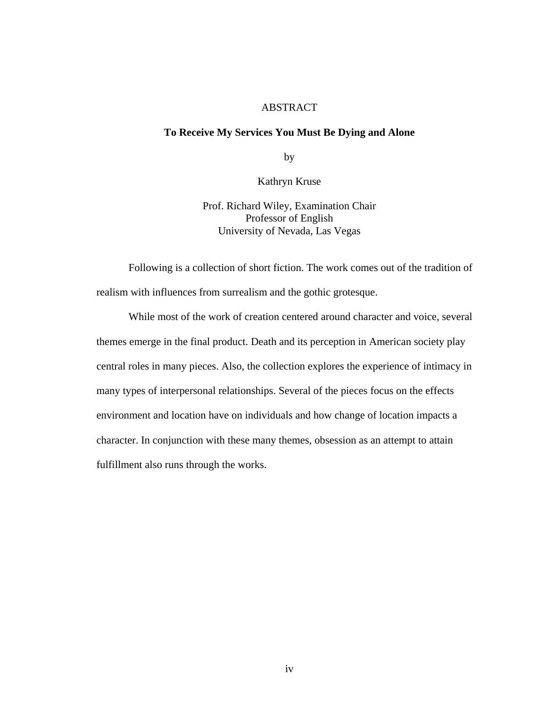### ABSTRACT

#### **To Receive My Services You Must Be Dying and Alone**

by

Kathryn Kruse

Prof. Richard Wiley, Examination Chair Professor of English University of Nevada, Las Vegas

Following is a collection of short fiction. The work comes out of the tradition of realism with influences from surrealism and the gothic grotesque.

While most of the work of creation centered around character and voice, several themes emerge in the final product. Death and its perception in American society play central roles in many pieces. Also, the collection explores the experience of intimacy in many types of interpersonal relationships. Several of the pieces focus on the effects environment and location have on individuals and how change of location impacts a character. In conjunction with these many themes, obsession as an attempt to attain fulfillment also runs through the works.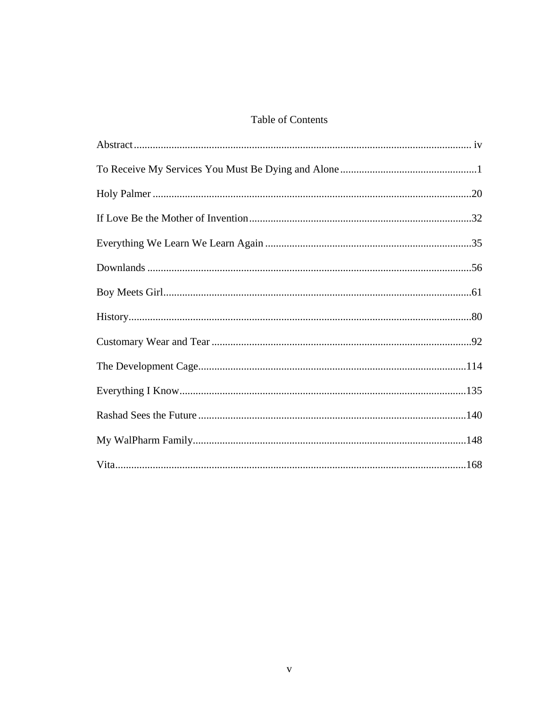## Table of Contents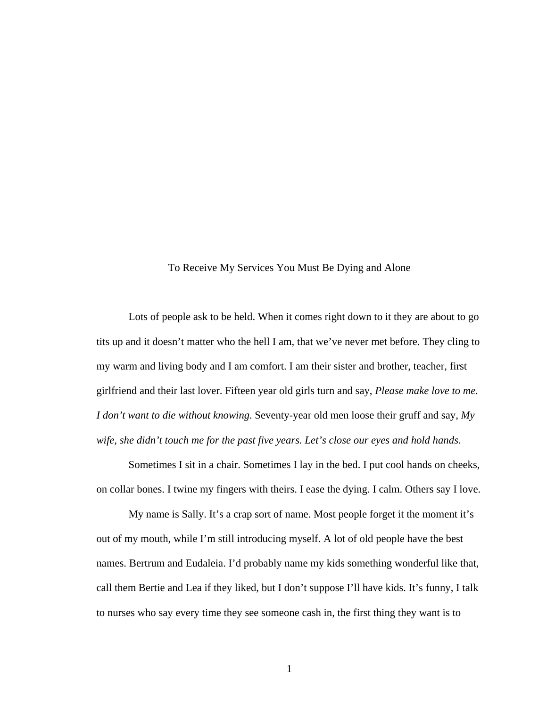To Receive My Services You Must Be Dying and Alone

 Lots of people ask to be held. When it comes right down to it they are about to go tits up and it doesn't matter who the hell I am, that we've never met before. They cling to my warm and living body and I am comfort. I am their sister and brother, teacher, first girlfriend and their last lover. Fifteen year old girls turn and say, *Please make love to me. I don't want to die without knowing.* Seventy-year old men loose their gruff and say, *My wife, she didn't touch me for the past five years. Let's close our eyes and hold hands*.

 Sometimes I sit in a chair. Sometimes I lay in the bed. I put cool hands on cheeks, on collar bones. I twine my fingers with theirs. I ease the dying. I calm. Others say I love.

 My name is Sally. It's a crap sort of name. Most people forget it the moment it's out of my mouth, while I'm still introducing myself. A lot of old people have the best names. Bertrum and Eudaleia. I'd probably name my kids something wonderful like that, call them Bertie and Lea if they liked, but I don't suppose I'll have kids. It's funny, I talk to nurses who say every time they see someone cash in, the first thing they want is to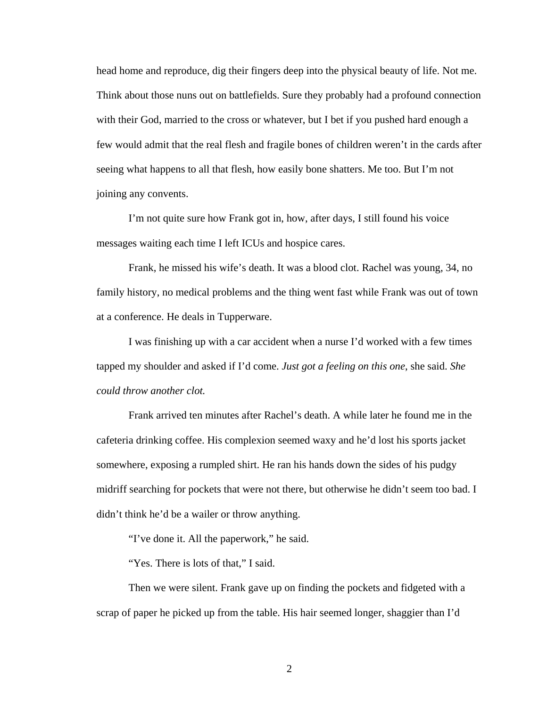head home and reproduce, dig their fingers deep into the physical beauty of life. Not me. Think about those nuns out on battlefields. Sure they probably had a profound connection with their God, married to the cross or whatever, but I bet if you pushed hard enough a few would admit that the real flesh and fragile bones of children weren't in the cards after seeing what happens to all that flesh, how easily bone shatters. Me too. But I'm not joining any convents.

 I'm not quite sure how Frank got in, how, after days, I still found his voice messages waiting each time I left ICUs and hospice cares.

 Frank, he missed his wife's death. It was a blood clot. Rachel was young, 34, no family history, no medical problems and the thing went fast while Frank was out of town at a conference. He deals in Tupperware.

 I was finishing up with a car accident when a nurse I'd worked with a few times tapped my shoulder and asked if I'd come. *Just got a feeling on this one*, she said. *She could throw another clot.*

 Frank arrived ten minutes after Rachel's death. A while later he found me in the cafeteria drinking coffee. His complexion seemed waxy and he'd lost his sports jacket somewhere, exposing a rumpled shirt. He ran his hands down the sides of his pudgy midriff searching for pockets that were not there, but otherwise he didn't seem too bad. I didn't think he'd be a wailer or throw anything.

"I've done it. All the paperwork," he said.

"Yes. There is lots of that," I said.

 Then we were silent. Frank gave up on finding the pockets and fidgeted with a scrap of paper he picked up from the table. His hair seemed longer, shaggier than I'd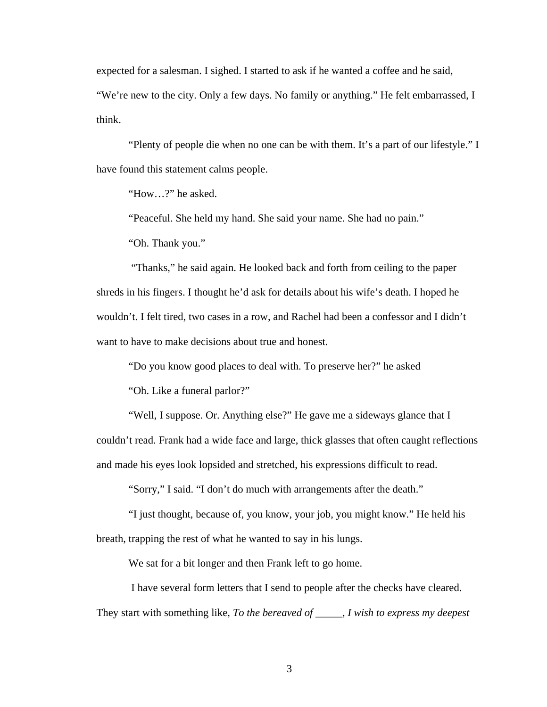expected for a salesman. I sighed. I started to ask if he wanted a coffee and he said,

"We're new to the city. Only a few days. No family or anything." He felt embarrassed, I think.

 "Plenty of people die when no one can be with them. It's a part of our lifestyle." I have found this statement calms people.

"How…?" he asked.

"Peaceful. She held my hand. She said your name. She had no pain."

"Oh. Thank you."

 "Thanks," he said again. He looked back and forth from ceiling to the paper shreds in his fingers. I thought he'd ask for details about his wife's death. I hoped he wouldn't. I felt tired, two cases in a row, and Rachel had been a confessor and I didn't want to have to make decisions about true and honest.

"Do you know good places to deal with. To preserve her?" he asked

"Oh. Like a funeral parlor?"

 "Well, I suppose. Or. Anything else?" He gave me a sideways glance that I couldn't read. Frank had a wide face and large, thick glasses that often caught reflections and made his eyes look lopsided and stretched, his expressions difficult to read.

"Sorry," I said. "I don't do much with arrangements after the death."

 "I just thought, because of, you know, your job, you might know." He held his breath, trapping the rest of what he wanted to say in his lungs.

We sat for a bit longer and then Frank left to go home.

 I have several form letters that I send to people after the checks have cleared. They start with something like, *To the bereaved of \_\_\_\_\_, I wish to express my deepest*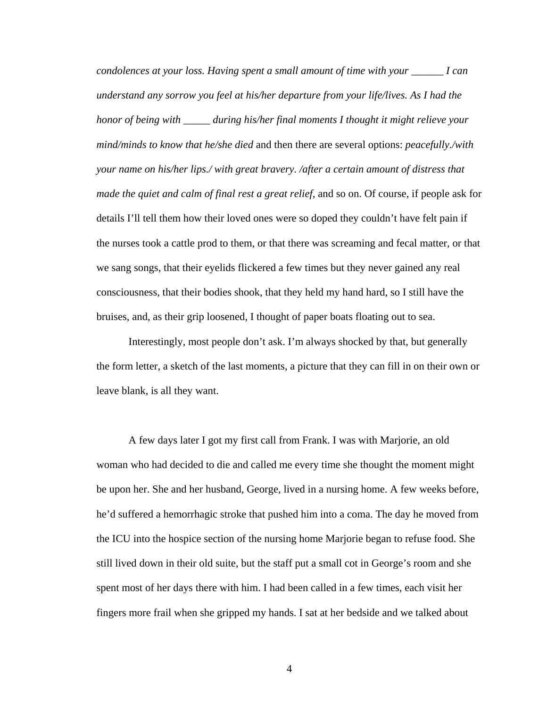*condolences at your loss. Having spent a small amount of time with your \_\_\_\_\_\_ I can understand any sorrow you feel at his/her departure from your life/lives. As I had the honor of being with \_\_\_\_\_ during his/her final moments I thought it might relieve your mind/minds to know that he/she died* and then there are several options: *peacefully./with your name on his/her lips./ with great bravery. /after a certain amount of distress that made the quiet and calm of final rest a great relief, and so on. Of course, if people ask for* details I'll tell them how their loved ones were so doped they couldn't have felt pain if the nurses took a cattle prod to them, or that there was screaming and fecal matter, or that we sang songs, that their eyelids flickered a few times but they never gained any real consciousness, that their bodies shook, that they held my hand hard, so I still have the bruises, and, as their grip loosened, I thought of paper boats floating out to sea.

 Interestingly, most people don't ask. I'm always shocked by that, but generally the form letter, a sketch of the last moments, a picture that they can fill in on their own or leave blank, is all they want.

 A few days later I got my first call from Frank. I was with Marjorie, an old woman who had decided to die and called me every time she thought the moment might be upon her. She and her husband, George, lived in a nursing home. A few weeks before, he'd suffered a hemorrhagic stroke that pushed him into a coma. The day he moved from the ICU into the hospice section of the nursing home Marjorie began to refuse food. She still lived down in their old suite, but the staff put a small cot in George's room and she spent most of her days there with him. I had been called in a few times, each visit her fingers more frail when she gripped my hands. I sat at her bedside and we talked about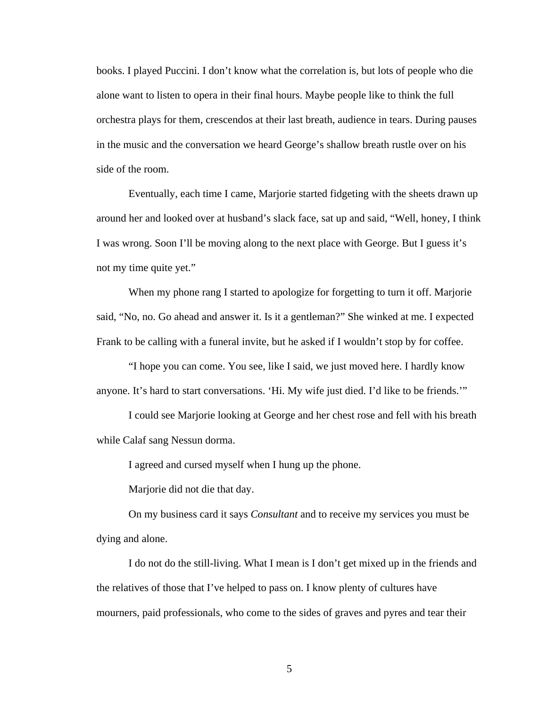books. I played Puccini. I don't know what the correlation is, but lots of people who die alone want to listen to opera in their final hours. Maybe people like to think the full orchestra plays for them, crescendos at their last breath, audience in tears. During pauses in the music and the conversation we heard George's shallow breath rustle over on his side of the room.

 Eventually, each time I came, Marjorie started fidgeting with the sheets drawn up around her and looked over at husband's slack face, sat up and said, "Well, honey, I think I was wrong. Soon I'll be moving along to the next place with George. But I guess it's not my time quite yet."

 When my phone rang I started to apologize for forgetting to turn it off. Marjorie said, "No, no. Go ahead and answer it. Is it a gentleman?" She winked at me. I expected Frank to be calling with a funeral invite, but he asked if I wouldn't stop by for coffee.

 "I hope you can come. You see, like I said, we just moved here. I hardly know anyone. It's hard to start conversations. 'Hi. My wife just died. I'd like to be friends.'"

 I could see Marjorie looking at George and her chest rose and fell with his breath while Calaf sang Nessun dorma.

I agreed and cursed myself when I hung up the phone.

Marjorie did not die that day.

 On my business card it says *Consultant* and to receive my services you must be dying and alone.

 I do not do the still-living. What I mean is I don't get mixed up in the friends and the relatives of those that I've helped to pass on. I know plenty of cultures have mourners, paid professionals, who come to the sides of graves and pyres and tear their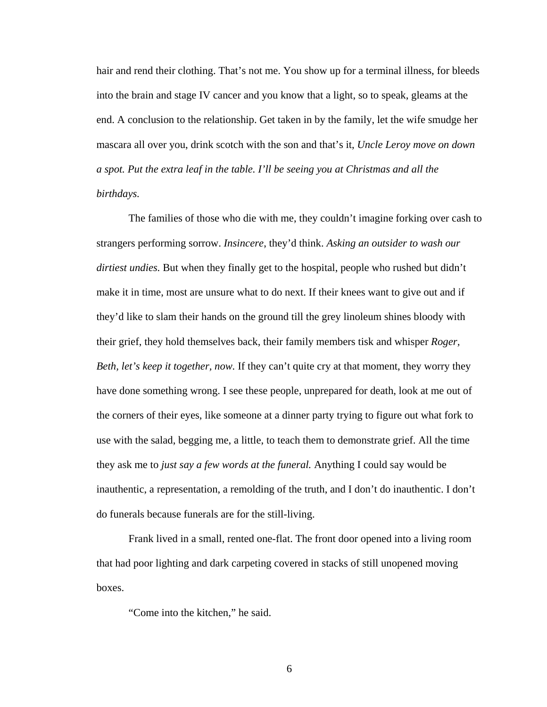hair and rend their clothing. That's not me. You show up for a terminal illness, for bleeds into the brain and stage IV cancer and you know that a light, so to speak, gleams at the end. A conclusion to the relationship. Get taken in by the family, let the wife smudge her mascara all over you, drink scotch with the son and that's it, *Uncle Leroy move on down a spot. Put the extra leaf in the table. I'll be seeing you at Christmas and all the birthdays.* 

 The families of those who die with me, they couldn't imagine forking over cash to strangers performing sorrow. *Insincere*, they'd think. *Asking an outsider to wash our dirtiest undies.* But when they finally get to the hospital, people who rushed but didn't make it in time, most are unsure what to do next. If their knees want to give out and if they'd like to slam their hands on the ground till the grey linoleum shines bloody with their grief, they hold themselves back, their family members tisk and whisper *Roger, Beth, let's keep it together, now.* If they can't quite cry at that moment, they worry they have done something wrong. I see these people, unprepared for death, look at me out of the corners of their eyes, like someone at a dinner party trying to figure out what fork to use with the salad, begging me, a little, to teach them to demonstrate grief. All the time they ask me to *just say a few words at the funeral.* Anything I could say would be inauthentic, a representation, a remolding of the truth, and I don't do inauthentic. I don't do funerals because funerals are for the still-living.

 Frank lived in a small, rented one-flat. The front door opened into a living room that had poor lighting and dark carpeting covered in stacks of still unopened moving boxes.

"Come into the kitchen," he said.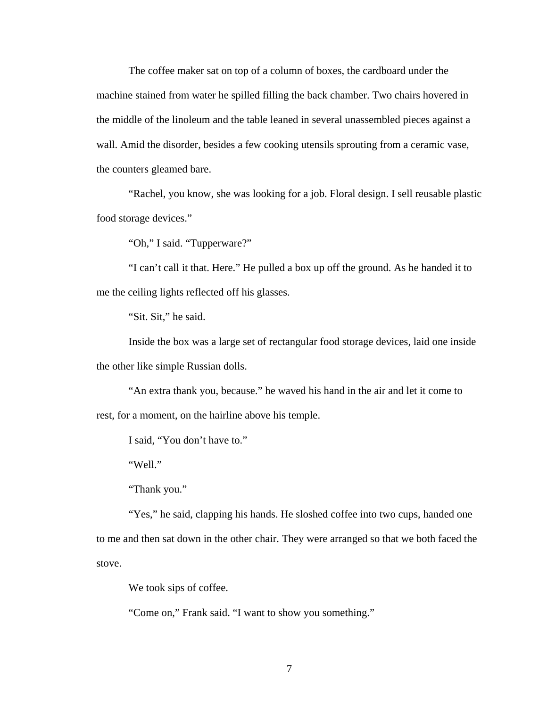The coffee maker sat on top of a column of boxes, the cardboard under the machine stained from water he spilled filling the back chamber. Two chairs hovered in the middle of the linoleum and the table leaned in several unassembled pieces against a wall. Amid the disorder, besides a few cooking utensils sprouting from a ceramic vase, the counters gleamed bare.

 "Rachel, you know, she was looking for a job. Floral design. I sell reusable plastic food storage devices."

"Oh," I said. "Tupperware?"

 "I can't call it that. Here." He pulled a box up off the ground. As he handed it to me the ceiling lights reflected off his glasses.

"Sit. Sit," he said.

 Inside the box was a large set of rectangular food storage devices, laid one inside the other like simple Russian dolls.

 "An extra thank you, because." he waved his hand in the air and let it come to rest, for a moment, on the hairline above his temple.

I said, "You don't have to."

"Well."

"Thank you."

"Yes," he said, clapping his hands. He sloshed coffee into two cups, handed one to me and then sat down in the other chair. They were arranged so that we both faced the stove.

We took sips of coffee.

"Come on," Frank said. "I want to show you something."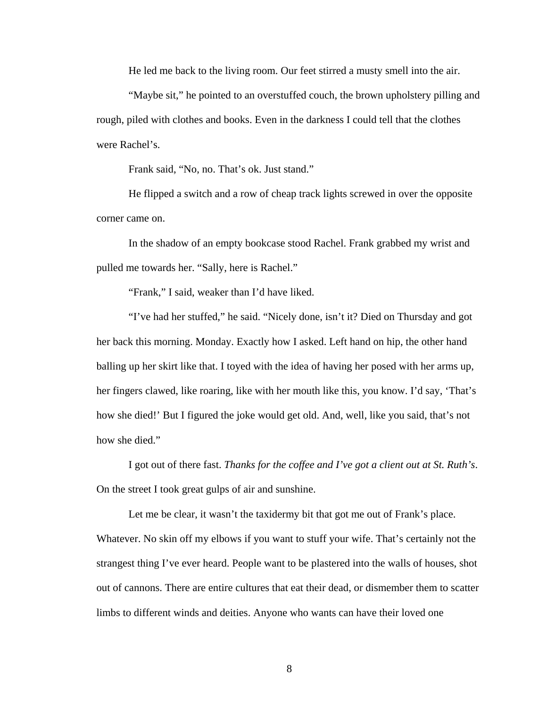He led me back to the living room. Our feet stirred a musty smell into the air.

 "Maybe sit," he pointed to an overstuffed couch, the brown upholstery pilling and rough, piled with clothes and books. Even in the darkness I could tell that the clothes were Rachel's.

Frank said, "No, no. That's ok. Just stand."

 He flipped a switch and a row of cheap track lights screwed in over the opposite corner came on.

 In the shadow of an empty bookcase stood Rachel. Frank grabbed my wrist and pulled me towards her. "Sally, here is Rachel."

"Frank," I said, weaker than I'd have liked.

 "I've had her stuffed," he said. "Nicely done, isn't it? Died on Thursday and got her back this morning. Monday. Exactly how I asked. Left hand on hip, the other hand balling up her skirt like that. I toyed with the idea of having her posed with her arms up, her fingers clawed, like roaring, like with her mouth like this, you know. I'd say, 'That's how she died!' But I figured the joke would get old. And, well, like you said, that's not how she died."

 I got out of there fast. *Thanks for the coffee and I've got a client out at St. Ruth's*. On the street I took great gulps of air and sunshine.

Let me be clear, it wasn't the taxidermy bit that got me out of Frank's place. Whatever. No skin off my elbows if you want to stuff your wife. That's certainly not the strangest thing I've ever heard. People want to be plastered into the walls of houses, shot out of cannons. There are entire cultures that eat their dead, or dismember them to scatter limbs to different winds and deities. Anyone who wants can have their loved one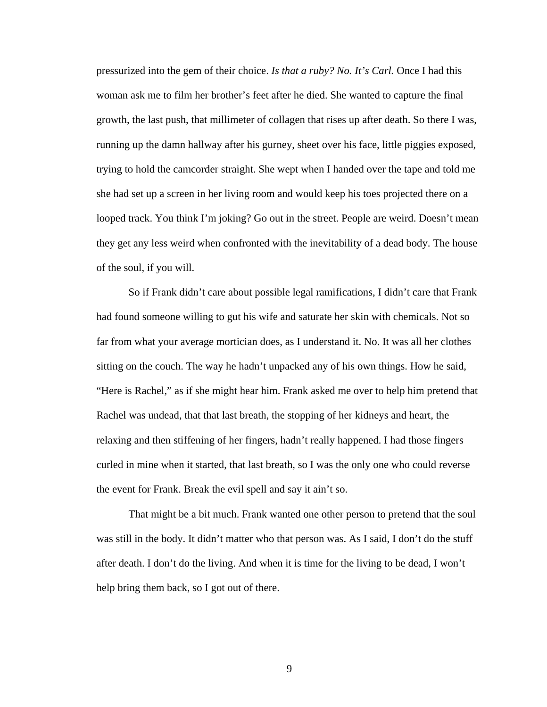pressurized into the gem of their choice. *Is that a ruby? No. It's Carl.* Once I had this woman ask me to film her brother's feet after he died. She wanted to capture the final growth, the last push, that millimeter of collagen that rises up after death. So there I was, running up the damn hallway after his gurney, sheet over his face, little piggies exposed, trying to hold the camcorder straight. She wept when I handed over the tape and told me she had set up a screen in her living room and would keep his toes projected there on a looped track. You think I'm joking? Go out in the street. People are weird. Doesn't mean they get any less weird when confronted with the inevitability of a dead body. The house of the soul, if you will.

 So if Frank didn't care about possible legal ramifications, I didn't care that Frank had found someone willing to gut his wife and saturate her skin with chemicals. Not so far from what your average mortician does, as I understand it. No. It was all her clothes sitting on the couch. The way he hadn't unpacked any of his own things. How he said, "Here is Rachel," as if she might hear him. Frank asked me over to help him pretend that Rachel was undead, that that last breath, the stopping of her kidneys and heart, the relaxing and then stiffening of her fingers, hadn't really happened. I had those fingers curled in mine when it started, that last breath, so I was the only one who could reverse the event for Frank. Break the evil spell and say it ain't so.

 That might be a bit much. Frank wanted one other person to pretend that the soul was still in the body. It didn't matter who that person was. As I said, I don't do the stuff after death. I don't do the living. And when it is time for the living to be dead, I won't help bring them back, so I got out of there.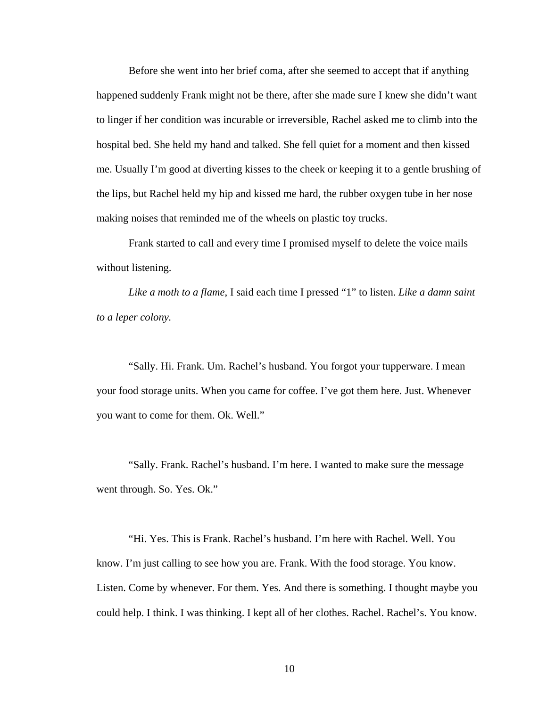Before she went into her brief coma, after she seemed to accept that if anything happened suddenly Frank might not be there, after she made sure I knew she didn't want to linger if her condition was incurable or irreversible, Rachel asked me to climb into the hospital bed. She held my hand and talked. She fell quiet for a moment and then kissed me. Usually I'm good at diverting kisses to the cheek or keeping it to a gentle brushing of the lips, but Rachel held my hip and kissed me hard, the rubber oxygen tube in her nose making noises that reminded me of the wheels on plastic toy trucks.

 Frank started to call and every time I promised myself to delete the voice mails without listening.

*Like a moth to a flame*, I said each time I pressed "1" to listen. *Like a damn saint to a leper colony.*

 "Sally. Hi. Frank. Um. Rachel's husband. You forgot your tupperware. I mean your food storage units. When you came for coffee. I've got them here. Just. Whenever you want to come for them. Ok. Well."

 "Sally. Frank. Rachel's husband. I'm here. I wanted to make sure the message went through. So. Yes. Ok."

 "Hi. Yes. This is Frank. Rachel's husband. I'm here with Rachel. Well. You know. I'm just calling to see how you are. Frank. With the food storage. You know. Listen. Come by whenever. For them. Yes. And there is something. I thought maybe you could help. I think. I was thinking. I kept all of her clothes. Rachel. Rachel's. You know.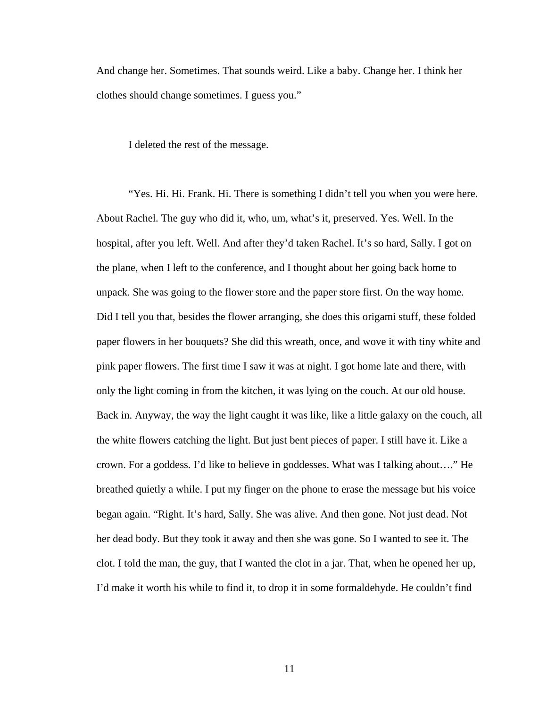And change her. Sometimes. That sounds weird. Like a baby. Change her. I think her clothes should change sometimes. I guess you."

I deleted the rest of the message.

 "Yes. Hi. Hi. Frank. Hi. There is something I didn't tell you when you were here. About Rachel. The guy who did it, who, um, what's it, preserved. Yes. Well. In the hospital, after you left. Well. And after they'd taken Rachel. It's so hard, Sally. I got on the plane, when I left to the conference, and I thought about her going back home to unpack. She was going to the flower store and the paper store first. On the way home. Did I tell you that, besides the flower arranging, she does this origami stuff, these folded paper flowers in her bouquets? She did this wreath, once, and wove it with tiny white and pink paper flowers. The first time I saw it was at night. I got home late and there, with only the light coming in from the kitchen, it was lying on the couch. At our old house. Back in. Anyway, the way the light caught it was like, like a little galaxy on the couch, all the white flowers catching the light. But just bent pieces of paper. I still have it. Like a crown. For a goddess. I'd like to believe in goddesses. What was I talking about…." He breathed quietly a while. I put my finger on the phone to erase the message but his voice began again. "Right. It's hard, Sally. She was alive. And then gone. Not just dead. Not her dead body. But they took it away and then she was gone. So I wanted to see it. The clot. I told the man, the guy, that I wanted the clot in a jar. That, when he opened her up, I'd make it worth his while to find it, to drop it in some formaldehyde. He couldn't find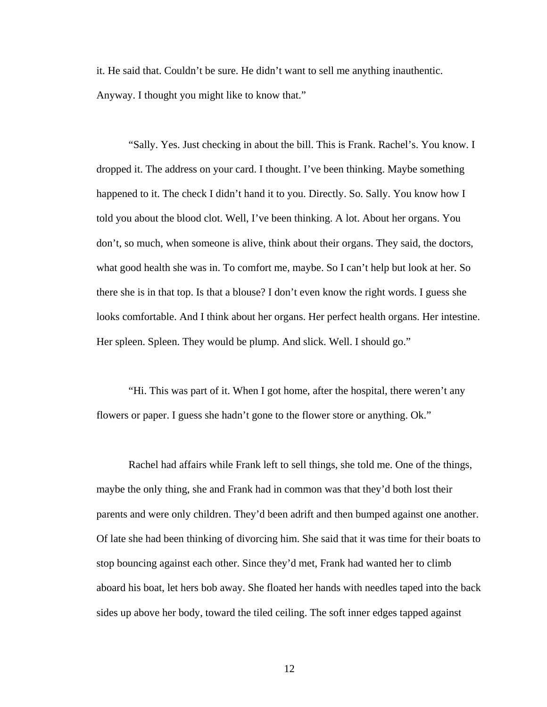it. He said that. Couldn't be sure. He didn't want to sell me anything inauthentic. Anyway. I thought you might like to know that."

 "Sally. Yes. Just checking in about the bill. This is Frank. Rachel's. You know. I dropped it. The address on your card. I thought. I've been thinking. Maybe something happened to it. The check I didn't hand it to you. Directly. So. Sally. You know how I told you about the blood clot. Well, I've been thinking. A lot. About her organs. You don't, so much, when someone is alive, think about their organs. They said, the doctors, what good health she was in. To comfort me, maybe. So I can't help but look at her. So there she is in that top. Is that a blouse? I don't even know the right words. I guess she looks comfortable. And I think about her organs. Her perfect health organs. Her intestine. Her spleen. Spleen. They would be plump. And slick. Well. I should go."

 "Hi. This was part of it. When I got home, after the hospital, there weren't any flowers or paper. I guess she hadn't gone to the flower store or anything. Ok."

 Rachel had affairs while Frank left to sell things, she told me. One of the things, maybe the only thing, she and Frank had in common was that they'd both lost their parents and were only children. They'd been adrift and then bumped against one another. Of late she had been thinking of divorcing him. She said that it was time for their boats to stop bouncing against each other. Since they'd met, Frank had wanted her to climb aboard his boat, let hers bob away. She floated her hands with needles taped into the back sides up above her body, toward the tiled ceiling. The soft inner edges tapped against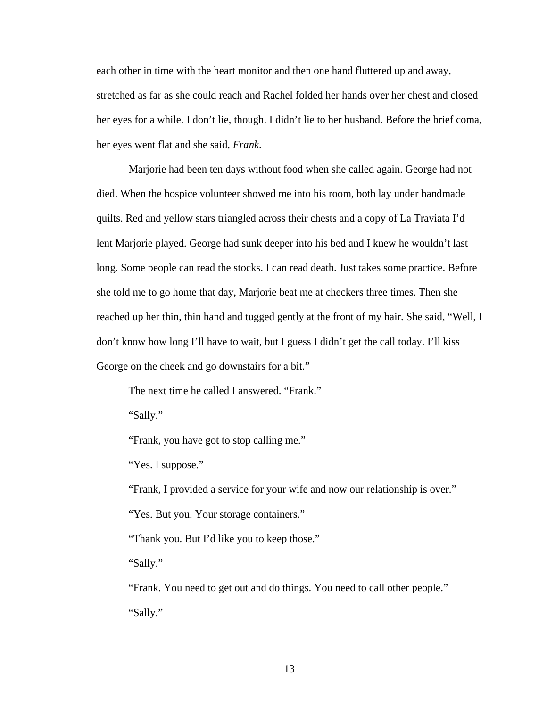each other in time with the heart monitor and then one hand fluttered up and away, stretched as far as she could reach and Rachel folded her hands over her chest and closed her eyes for a while. I don't lie, though. I didn't lie to her husband. Before the brief coma, her eyes went flat and she said, *Frank*.

 Marjorie had been ten days without food when she called again. George had not died. When the hospice volunteer showed me into his room, both lay under handmade quilts. Red and yellow stars triangled across their chests and a copy of La Traviata I'd lent Marjorie played. George had sunk deeper into his bed and I knew he wouldn't last long. Some people can read the stocks. I can read death. Just takes some practice. Before she told me to go home that day, Marjorie beat me at checkers three times. Then she reached up her thin, thin hand and tugged gently at the front of my hair. She said, "Well, I don't know how long I'll have to wait, but I guess I didn't get the call today. I'll kiss George on the cheek and go downstairs for a bit."

The next time he called I answered. "Frank."

"Sally."

"Frank, you have got to stop calling me."

"Yes. I suppose."

"Frank, I provided a service for your wife and now our relationship is over."

"Yes. But you. Your storage containers."

"Thank you. But I'd like you to keep those."

"Sally."

 "Frank. You need to get out and do things. You need to call other people." "Sally."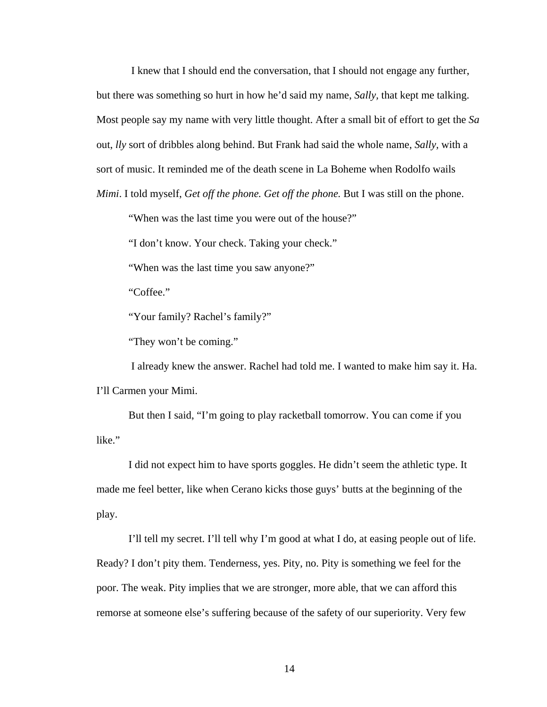I knew that I should end the conversation, that I should not engage any further, but there was something so hurt in how he'd said my name, *Sally,* that kept me talking. Most people say my name with very little thought. After a small bit of effort to get the *Sa* out, *lly* sort of dribbles along behind. But Frank had said the whole name, *Sally,* with a sort of music. It reminded me of the death scene in La Boheme when Rodolfo wails *Mimi*. I told myself, *Get off the phone. Get off the phone*. But I was still on the phone.

"When was the last time you were out of the house?"

"I don't know. Your check. Taking your check."

"When was the last time you saw anyone?"

"Coffee."

"Your family? Rachel's family?"

"They won't be coming."

 I already knew the answer. Rachel had told me. I wanted to make him say it. Ha. I'll Carmen your Mimi.

 But then I said, "I'm going to play racketball tomorrow. You can come if you like."

 I did not expect him to have sports goggles. He didn't seem the athletic type. It made me feel better, like when Cerano kicks those guys' butts at the beginning of the play.

 I'll tell my secret. I'll tell why I'm good at what I do, at easing people out of life. Ready? I don't pity them. Tenderness, yes. Pity, no. Pity is something we feel for the poor. The weak. Pity implies that we are stronger, more able, that we can afford this remorse at someone else's suffering because of the safety of our superiority. Very few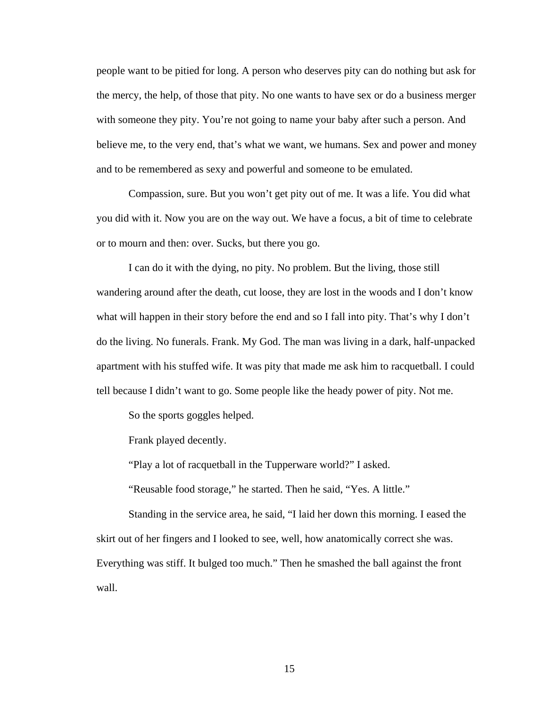people want to be pitied for long. A person who deserves pity can do nothing but ask for the mercy, the help, of those that pity. No one wants to have sex or do a business merger with someone they pity. You're not going to name your baby after such a person. And believe me, to the very end, that's what we want, we humans. Sex and power and money and to be remembered as sexy and powerful and someone to be emulated.

 Compassion, sure. But you won't get pity out of me. It was a life. You did what you did with it. Now you are on the way out. We have a focus, a bit of time to celebrate or to mourn and then: over. Sucks, but there you go.

 I can do it with the dying, no pity. No problem. But the living, those still wandering around after the death, cut loose, they are lost in the woods and I don't know what will happen in their story before the end and so I fall into pity. That's why I don't do the living. No funerals. Frank. My God. The man was living in a dark, half-unpacked apartment with his stuffed wife. It was pity that made me ask him to racquetball. I could tell because I didn't want to go. Some people like the heady power of pity. Not me.

So the sports goggles helped.

Frank played decently.

"Play a lot of racquetball in the Tupperware world?" I asked.

"Reusable food storage," he started. Then he said, "Yes. A little."

 Standing in the service area, he said, "I laid her down this morning. I eased the skirt out of her fingers and I looked to see, well, how anatomically correct she was. Everything was stiff. It bulged too much." Then he smashed the ball against the front wall.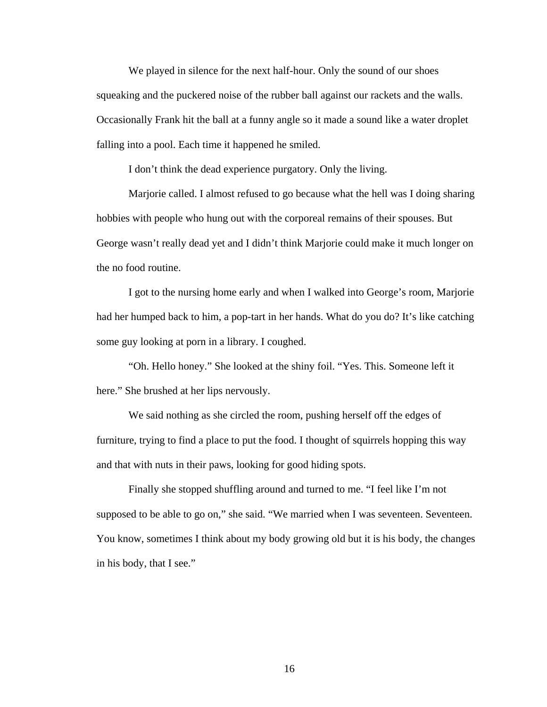We played in silence for the next half-hour. Only the sound of our shoes squeaking and the puckered noise of the rubber ball against our rackets and the walls. Occasionally Frank hit the ball at a funny angle so it made a sound like a water droplet falling into a pool. Each time it happened he smiled.

I don't think the dead experience purgatory. Only the living.

 Marjorie called. I almost refused to go because what the hell was I doing sharing hobbies with people who hung out with the corporeal remains of their spouses. But George wasn't really dead yet and I didn't think Marjorie could make it much longer on the no food routine.

 I got to the nursing home early and when I walked into George's room, Marjorie had her humped back to him, a pop-tart in her hands. What do you do? It's like catching some guy looking at porn in a library. I coughed.

 "Oh. Hello honey." She looked at the shiny foil. "Yes. This. Someone left it here." She brushed at her lips nervously.

 We said nothing as she circled the room, pushing herself off the edges of furniture, trying to find a place to put the food. I thought of squirrels hopping this way and that with nuts in their paws, looking for good hiding spots.

 Finally she stopped shuffling around and turned to me. "I feel like I'm not supposed to be able to go on," she said. "We married when I was seventeen. Seventeen. You know, sometimes I think about my body growing old but it is his body, the changes in his body, that I see."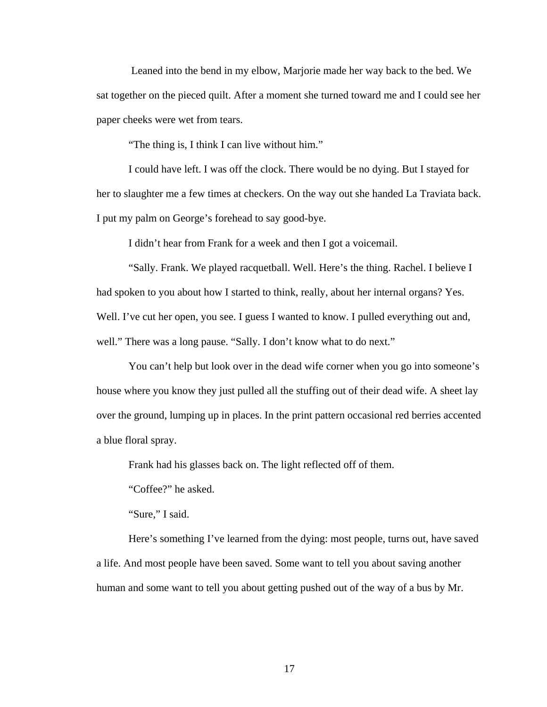Leaned into the bend in my elbow, Marjorie made her way back to the bed. We sat together on the pieced quilt. After a moment she turned toward me and I could see her paper cheeks were wet from tears.

"The thing is, I think I can live without him."

 I could have left. I was off the clock. There would be no dying. But I stayed for her to slaughter me a few times at checkers. On the way out she handed La Traviata back. I put my palm on George's forehead to say good-bye.

I didn't hear from Frank for a week and then I got a voicemail.

 "Sally. Frank. We played racquetball. Well. Here's the thing. Rachel. I believe I had spoken to you about how I started to think, really, about her internal organs? Yes. Well. I've cut her open, you see. I guess I wanted to know. I pulled everything out and, well." There was a long pause. "Sally. I don't know what to do next."

 You can't help but look over in the dead wife corner when you go into someone's house where you know they just pulled all the stuffing out of their dead wife. A sheet lay over the ground, lumping up in places. In the print pattern occasional red berries accented a blue floral spray.

Frank had his glasses back on. The light reflected off of them.

"Coffee?" he asked.

"Sure," I said.

 Here's something I've learned from the dying: most people, turns out, have saved a life. And most people have been saved. Some want to tell you about saving another human and some want to tell you about getting pushed out of the way of a bus by Mr.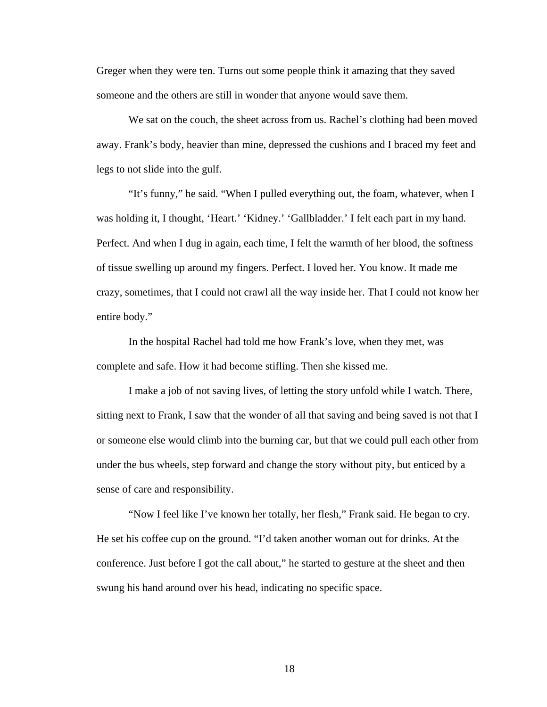Greger when they were ten. Turns out some people think it amazing that they saved someone and the others are still in wonder that anyone would save them.

We sat on the couch, the sheet across from us. Rachel's clothing had been moved away. Frank's body, heavier than mine, depressed the cushions and I braced my feet and legs to not slide into the gulf.

 "It's funny," he said. "When I pulled everything out, the foam, whatever, when I was holding it, I thought, 'Heart.' 'Kidney.' 'Gallbladder.' I felt each part in my hand. Perfect. And when I dug in again, each time, I felt the warmth of her blood, the softness of tissue swelling up around my fingers. Perfect. I loved her. You know. It made me crazy, sometimes, that I could not crawl all the way inside her. That I could not know her entire body."

 In the hospital Rachel had told me how Frank's love, when they met, was complete and safe. How it had become stifling. Then she kissed me.

 I make a job of not saving lives, of letting the story unfold while I watch. There, sitting next to Frank, I saw that the wonder of all that saving and being saved is not that I or someone else would climb into the burning car, but that we could pull each other from under the bus wheels, step forward and change the story without pity, but enticed by a sense of care and responsibility.

 "Now I feel like I've known her totally, her flesh," Frank said. He began to cry. He set his coffee cup on the ground. "I'd taken another woman out for drinks. At the conference. Just before I got the call about," he started to gesture at the sheet and then swung his hand around over his head, indicating no specific space.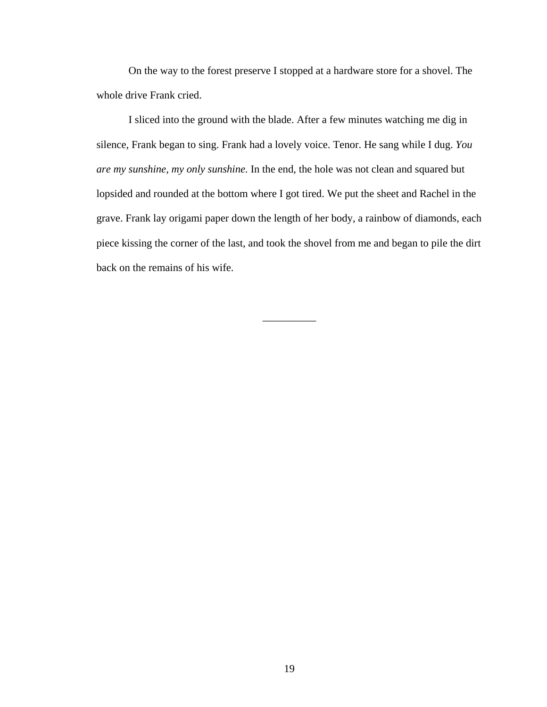On the way to the forest preserve I stopped at a hardware store for a shovel. The whole drive Frank cried.

 I sliced into the ground with the blade. After a few minutes watching me dig in silence, Frank began to sing. Frank had a lovely voice. Tenor. He sang while I dug. *You are my sunshine, my only sunshine.* In the end, the hole was not clean and squared but lopsided and rounded at the bottom where I got tired. We put the sheet and Rachel in the grave. Frank lay origami paper down the length of her body, a rainbow of diamonds, each piece kissing the corner of the last, and took the shovel from me and began to pile the dirt back on the remains of his wife.

\_\_\_\_\_\_\_\_\_\_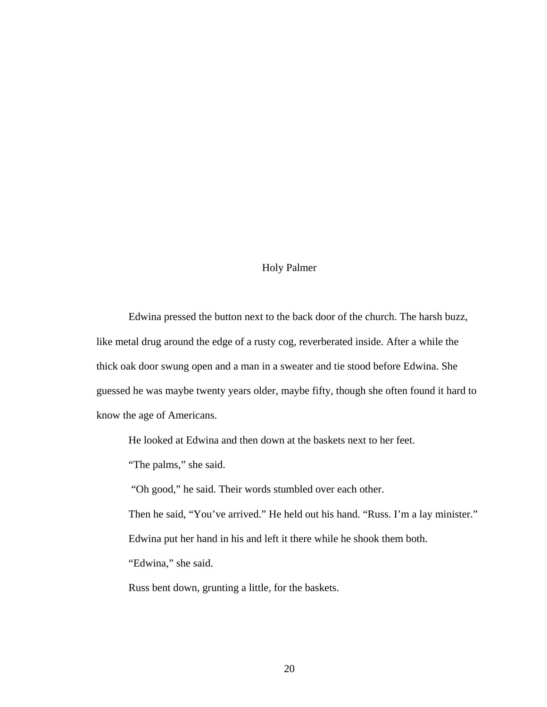#### Holy Palmer

 Edwina pressed the button next to the back door of the church. The harsh buzz, like metal drug around the edge of a rusty cog, reverberated inside. After a while the thick oak door swung open and a man in a sweater and tie stood before Edwina. She guessed he was maybe twenty years older, maybe fifty, though she often found it hard to know the age of Americans.

He looked at Edwina and then down at the baskets next to her feet.

"The palms," she said.

"Oh good," he said. Their words stumbled over each other.

 Then he said, "You've arrived." He held out his hand. "Russ. I'm a lay minister." Edwina put her hand in his and left it there while he shook them both.

"Edwina," she said.

Russ bent down, grunting a little, for the baskets.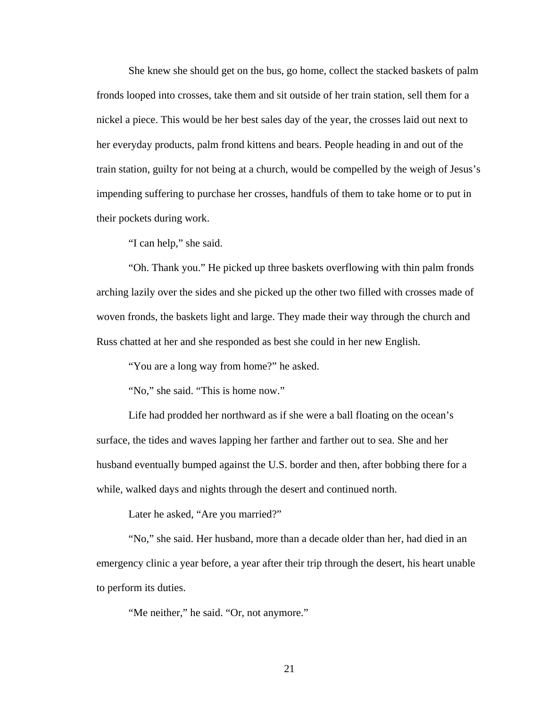She knew she should get on the bus, go home, collect the stacked baskets of palm fronds looped into crosses, take them and sit outside of her train station, sell them for a nickel a piece. This would be her best sales day of the year, the crosses laid out next to her everyday products, palm frond kittens and bears. People heading in and out of the train station, guilty for not being at a church, would be compelled by the weigh of Jesus's impending suffering to purchase her crosses, handfuls of them to take home or to put in their pockets during work.

"I can help," she said.

 "Oh. Thank you." He picked up three baskets overflowing with thin palm fronds arching lazily over the sides and she picked up the other two filled with crosses made of woven fronds, the baskets light and large. They made their way through the church and Russ chatted at her and she responded as best she could in her new English.

"You are a long way from home?" he asked.

"No," she said. "This is home now."

 Life had prodded her northward as if she were a ball floating on the ocean's surface, the tides and waves lapping her farther and farther out to sea. She and her husband eventually bumped against the U.S. border and then, after bobbing there for a while, walked days and nights through the desert and continued north.

Later he asked, "Are you married?"

 "No," she said. Her husband, more than a decade older than her, had died in an emergency clinic a year before, a year after their trip through the desert, his heart unable to perform its duties.

"Me neither," he said. "Or, not anymore."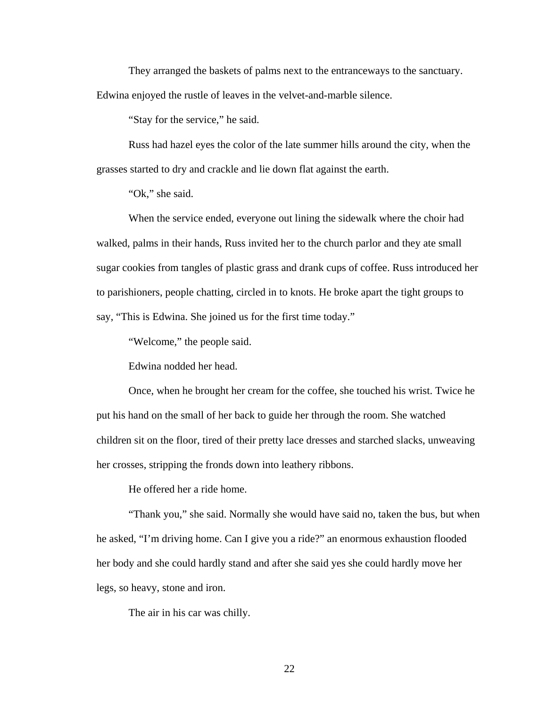They arranged the baskets of palms next to the entranceways to the sanctuary.

Edwina enjoyed the rustle of leaves in the velvet-and-marble silence.

"Stay for the service," he said.

 Russ had hazel eyes the color of the late summer hills around the city, when the grasses started to dry and crackle and lie down flat against the earth.

"Ok," she said.

 When the service ended, everyone out lining the sidewalk where the choir had walked, palms in their hands, Russ invited her to the church parlor and they ate small sugar cookies from tangles of plastic grass and drank cups of coffee. Russ introduced her to parishioners, people chatting, circled in to knots. He broke apart the tight groups to say, "This is Edwina. She joined us for the first time today."

"Welcome," the people said.

Edwina nodded her head.

 Once, when he brought her cream for the coffee, she touched his wrist. Twice he put his hand on the small of her back to guide her through the room. She watched children sit on the floor, tired of their pretty lace dresses and starched slacks, unweaving her crosses, stripping the fronds down into leathery ribbons.

He offered her a ride home.

 "Thank you," she said. Normally she would have said no, taken the bus, but when he asked, "I'm driving home. Can I give you a ride?" an enormous exhaustion flooded her body and she could hardly stand and after she said yes she could hardly move her legs, so heavy, stone and iron.

The air in his car was chilly.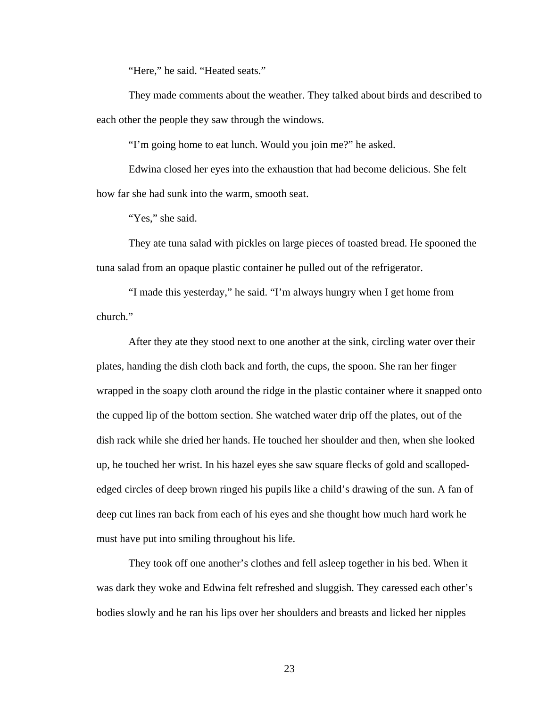"Here," he said. "Heated seats."

 They made comments about the weather. They talked about birds and described to each other the people they saw through the windows.

"I'm going home to eat lunch. Would you join me?" he asked.

 Edwina closed her eyes into the exhaustion that had become delicious. She felt how far she had sunk into the warm, smooth seat.

"Yes," she said.

 They ate tuna salad with pickles on large pieces of toasted bread. He spooned the tuna salad from an opaque plastic container he pulled out of the refrigerator.

 "I made this yesterday," he said. "I'm always hungry when I get home from church."

 After they ate they stood next to one another at the sink, circling water over their plates, handing the dish cloth back and forth, the cups, the spoon. She ran her finger wrapped in the soapy cloth around the ridge in the plastic container where it snapped onto the cupped lip of the bottom section. She watched water drip off the plates, out of the dish rack while she dried her hands. He touched her shoulder and then, when she looked up, he touched her wrist. In his hazel eyes she saw square flecks of gold and scallopededged circles of deep brown ringed his pupils like a child's drawing of the sun. A fan of deep cut lines ran back from each of his eyes and she thought how much hard work he must have put into smiling throughout his life.

 They took off one another's clothes and fell asleep together in his bed. When it was dark they woke and Edwina felt refreshed and sluggish. They caressed each other's bodies slowly and he ran his lips over her shoulders and breasts and licked her nipples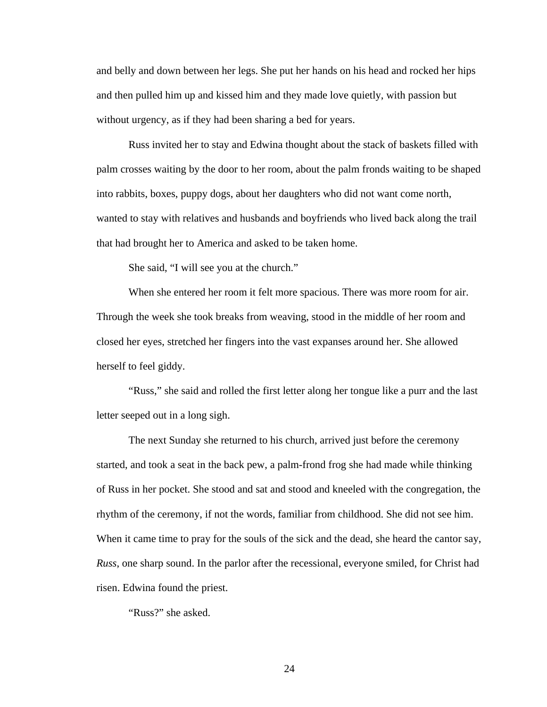and belly and down between her legs. She put her hands on his head and rocked her hips and then pulled him up and kissed him and they made love quietly, with passion but without urgency, as if they had been sharing a bed for years.

 Russ invited her to stay and Edwina thought about the stack of baskets filled with palm crosses waiting by the door to her room, about the palm fronds waiting to be shaped into rabbits, boxes, puppy dogs, about her daughters who did not want come north, wanted to stay with relatives and husbands and boyfriends who lived back along the trail that had brought her to America and asked to be taken home.

She said, "I will see you at the church."

 When she entered her room it felt more spacious. There was more room for air. Through the week she took breaks from weaving, stood in the middle of her room and closed her eyes, stretched her fingers into the vast expanses around her. She allowed herself to feel giddy.

 "Russ," she said and rolled the first letter along her tongue like a purr and the last letter seeped out in a long sigh.

 The next Sunday she returned to his church, arrived just before the ceremony started, and took a seat in the back pew, a palm-frond frog she had made while thinking of Russ in her pocket. She stood and sat and stood and kneeled with the congregation, the rhythm of the ceremony, if not the words, familiar from childhood. She did not see him. When it came time to pray for the souls of the sick and the dead, she heard the cantor say, *Russ*, one sharp sound. In the parlor after the recessional, everyone smiled, for Christ had risen. Edwina found the priest.

"Russ?" she asked.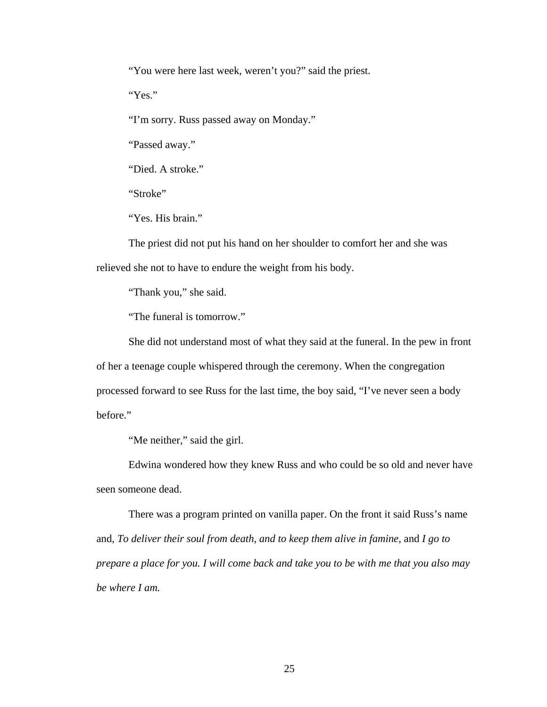"You were here last week, weren't you?" said the priest.

"Yes."

"I'm sorry. Russ passed away on Monday."

"Passed away."

"Died. A stroke."

"Stroke"

"Yes. His brain."

 The priest did not put his hand on her shoulder to comfort her and she was relieved she not to have to endure the weight from his body.

"Thank you," she said.

"The funeral is tomorrow."

 She did not understand most of what they said at the funeral. In the pew in front of her a teenage couple whispered through the ceremony. When the congregation processed forward to see Russ for the last time, the boy said, "I've never seen a body before."

"Me neither," said the girl.

 Edwina wondered how they knew Russ and who could be so old and never have seen someone dead.

 There was a program printed on vanilla paper. On the front it said Russ's name and, *To deliver their soul from death, and to keep them alive in famine*, and *I go to prepare a place for you. I will come back and take you to be with me that you also may be where I am.*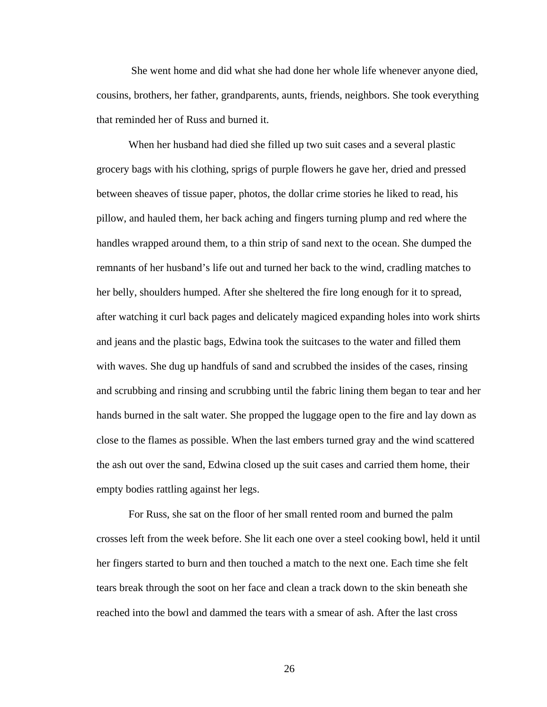She went home and did what she had done her whole life whenever anyone died, cousins, brothers, her father, grandparents, aunts, friends, neighbors. She took everything that reminded her of Russ and burned it.

 When her husband had died she filled up two suit cases and a several plastic grocery bags with his clothing, sprigs of purple flowers he gave her, dried and pressed between sheaves of tissue paper, photos, the dollar crime stories he liked to read, his pillow, and hauled them, her back aching and fingers turning plump and red where the handles wrapped around them, to a thin strip of sand next to the ocean. She dumped the remnants of her husband's life out and turned her back to the wind, cradling matches to her belly, shoulders humped. After she sheltered the fire long enough for it to spread, after watching it curl back pages and delicately magiced expanding holes into work shirts and jeans and the plastic bags, Edwina took the suitcases to the water and filled them with waves. She dug up handfuls of sand and scrubbed the insides of the cases, rinsing and scrubbing and rinsing and scrubbing until the fabric lining them began to tear and her hands burned in the salt water. She propped the luggage open to the fire and lay down as close to the flames as possible. When the last embers turned gray and the wind scattered the ash out over the sand, Edwina closed up the suit cases and carried them home, their empty bodies rattling against her legs.

 For Russ, she sat on the floor of her small rented room and burned the palm crosses left from the week before. She lit each one over a steel cooking bowl, held it until her fingers started to burn and then touched a match to the next one. Each time she felt tears break through the soot on her face and clean a track down to the skin beneath she reached into the bowl and dammed the tears with a smear of ash. After the last cross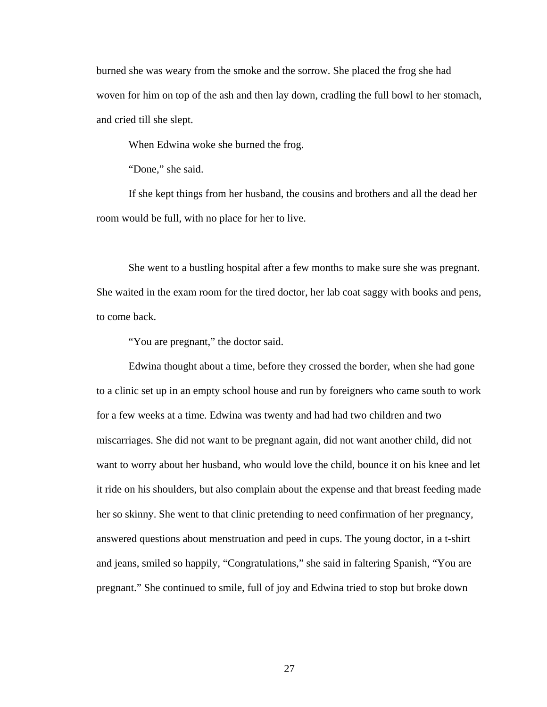burned she was weary from the smoke and the sorrow. She placed the frog she had woven for him on top of the ash and then lay down, cradling the full bowl to her stomach, and cried till she slept.

When Edwina woke she burned the frog.

"Done," she said.

 If she kept things from her husband, the cousins and brothers and all the dead her room would be full, with no place for her to live.

 She went to a bustling hospital after a few months to make sure she was pregnant. She waited in the exam room for the tired doctor, her lab coat saggy with books and pens, to come back.

"You are pregnant," the doctor said.

 Edwina thought about a time, before they crossed the border, when she had gone to a clinic set up in an empty school house and run by foreigners who came south to work for a few weeks at a time. Edwina was twenty and had had two children and two miscarriages. She did not want to be pregnant again, did not want another child, did not want to worry about her husband, who would love the child, bounce it on his knee and let it ride on his shoulders, but also complain about the expense and that breast feeding made her so skinny. She went to that clinic pretending to need confirmation of her pregnancy, answered questions about menstruation and peed in cups. The young doctor, in a t-shirt and jeans, smiled so happily, "Congratulations," she said in faltering Spanish, "You are pregnant." She continued to smile, full of joy and Edwina tried to stop but broke down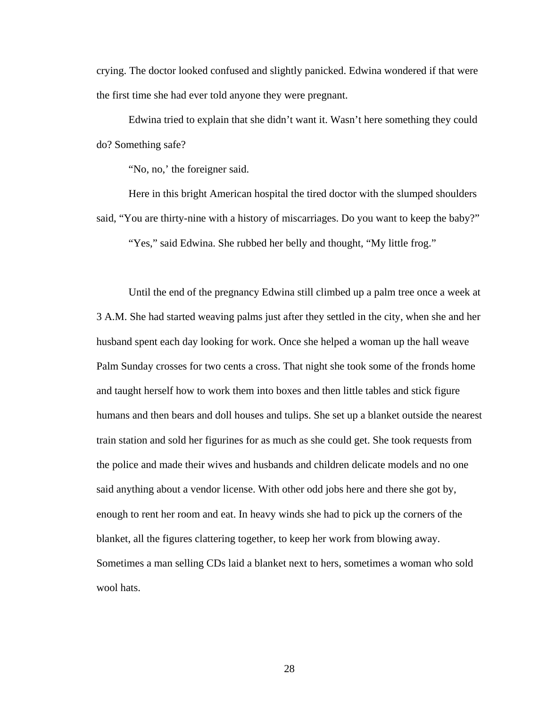crying. The doctor looked confused and slightly panicked. Edwina wondered if that were the first time she had ever told anyone they were pregnant.

 Edwina tried to explain that she didn't want it. Wasn't here something they could do? Something safe?

"No, no,' the foreigner said.

 Here in this bright American hospital the tired doctor with the slumped shoulders said, "You are thirty-nine with a history of miscarriages. Do you want to keep the baby?" "Yes," said Edwina. She rubbed her belly and thought, "My little frog."

 Until the end of the pregnancy Edwina still climbed up a palm tree once a week at 3 A.M. She had started weaving palms just after they settled in the city, when she and her husband spent each day looking for work. Once she helped a woman up the hall weave Palm Sunday crosses for two cents a cross. That night she took some of the fronds home and taught herself how to work them into boxes and then little tables and stick figure humans and then bears and doll houses and tulips. She set up a blanket outside the nearest train station and sold her figurines for as much as she could get. She took requests from the police and made their wives and husbands and children delicate models and no one said anything about a vendor license. With other odd jobs here and there she got by, enough to rent her room and eat. In heavy winds she had to pick up the corners of the blanket, all the figures clattering together, to keep her work from blowing away. Sometimes a man selling CDs laid a blanket next to hers, sometimes a woman who sold wool hats.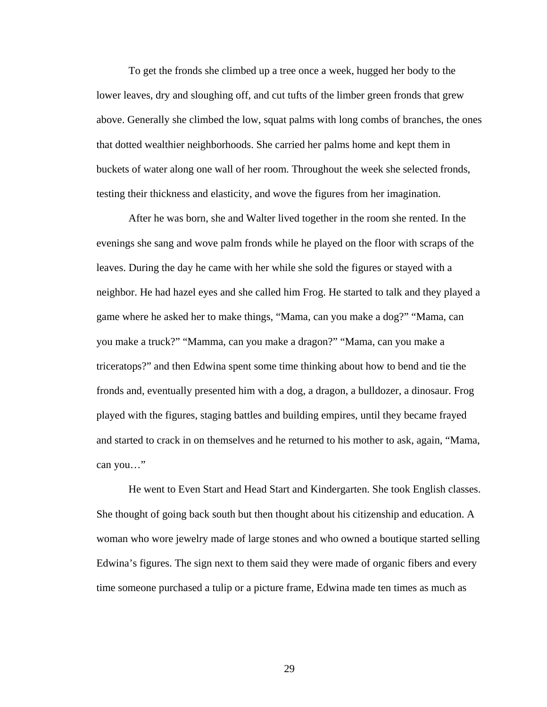To get the fronds she climbed up a tree once a week, hugged her body to the lower leaves, dry and sloughing off, and cut tufts of the limber green fronds that grew above. Generally she climbed the low, squat palms with long combs of branches, the ones that dotted wealthier neighborhoods. She carried her palms home and kept them in buckets of water along one wall of her room. Throughout the week she selected fronds, testing their thickness and elasticity, and wove the figures from her imagination.

 After he was born, she and Walter lived together in the room she rented. In the evenings she sang and wove palm fronds while he played on the floor with scraps of the leaves. During the day he came with her while she sold the figures or stayed with a neighbor. He had hazel eyes and she called him Frog. He started to talk and they played a game where he asked her to make things, "Mama, can you make a dog?" "Mama, can you make a truck?" "Mamma, can you make a dragon?" "Mama, can you make a triceratops?" and then Edwina spent some time thinking about how to bend and tie the fronds and, eventually presented him with a dog, a dragon, a bulldozer, a dinosaur. Frog played with the figures, staging battles and building empires, until they became frayed and started to crack in on themselves and he returned to his mother to ask, again, "Mama, can you…"

 He went to Even Start and Head Start and Kindergarten. She took English classes. She thought of going back south but then thought about his citizenship and education. A woman who wore jewelry made of large stones and who owned a boutique started selling Edwina's figures. The sign next to them said they were made of organic fibers and every time someone purchased a tulip or a picture frame, Edwina made ten times as much as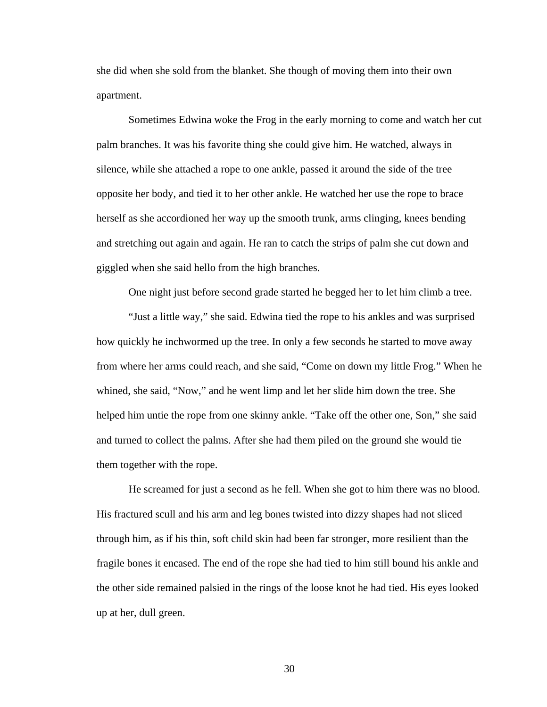she did when she sold from the blanket. She though of moving them into their own apartment.

 Sometimes Edwina woke the Frog in the early morning to come and watch her cut palm branches. It was his favorite thing she could give him. He watched, always in silence, while she attached a rope to one ankle, passed it around the side of the tree opposite her body, and tied it to her other ankle. He watched her use the rope to brace herself as she accordioned her way up the smooth trunk, arms clinging, knees bending and stretching out again and again. He ran to catch the strips of palm she cut down and giggled when she said hello from the high branches.

One night just before second grade started he begged her to let him climb a tree.

 "Just a little way," she said. Edwina tied the rope to his ankles and was surprised how quickly he inchwormed up the tree. In only a few seconds he started to move away from where her arms could reach, and she said, "Come on down my little Frog." When he whined, she said, "Now," and he went limp and let her slide him down the tree. She helped him untie the rope from one skinny ankle. "Take off the other one, Son," she said and turned to collect the palms. After she had them piled on the ground she would tie them together with the rope.

 He screamed for just a second as he fell. When she got to him there was no blood. His fractured scull and his arm and leg bones twisted into dizzy shapes had not sliced through him, as if his thin, soft child skin had been far stronger, more resilient than the fragile bones it encased. The end of the rope she had tied to him still bound his ankle and the other side remained palsied in the rings of the loose knot he had tied. His eyes looked up at her, dull green.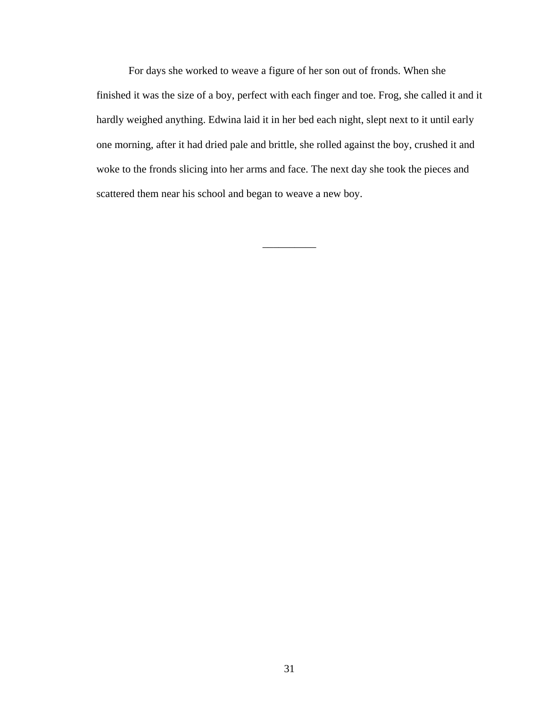For days she worked to weave a figure of her son out of fronds. When she finished it was the size of a boy, perfect with each finger and toe. Frog, she called it and it hardly weighed anything. Edwina laid it in her bed each night, slept next to it until early one morning, after it had dried pale and brittle, she rolled against the boy, crushed it and woke to the fronds slicing into her arms and face. The next day she took the pieces and scattered them near his school and began to weave a new boy.

 $\overline{\phantom{a}}$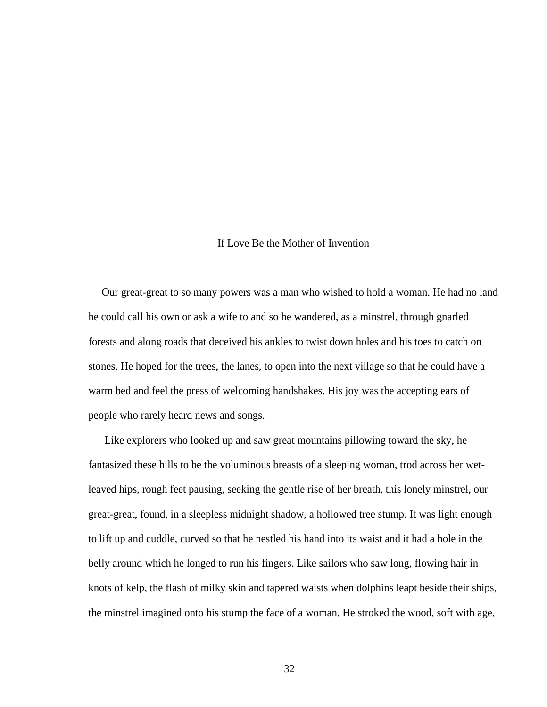## If Love Be the Mother of Invention

 Our great-great to so many powers was a man who wished to hold a woman. He had no land he could call his own or ask a wife to and so he wandered, as a minstrel, through gnarled forests and along roads that deceived his ankles to twist down holes and his toes to catch on stones. He hoped for the trees, the lanes, to open into the next village so that he could have a warm bed and feel the press of welcoming handshakes. His joy was the accepting ears of people who rarely heard news and songs.

 Like explorers who looked up and saw great mountains pillowing toward the sky, he fantasized these hills to be the voluminous breasts of a sleeping woman, trod across her wetleaved hips, rough feet pausing, seeking the gentle rise of her breath, this lonely minstrel, our great-great, found, in a sleepless midnight shadow, a hollowed tree stump. It was light enough to lift up and cuddle, curved so that he nestled his hand into its waist and it had a hole in the belly around which he longed to run his fingers. Like sailors who saw long, flowing hair in knots of kelp, the flash of milky skin and tapered waists when dolphins leapt beside their ships, the minstrel imagined onto his stump the face of a woman. He stroked the wood, soft with age,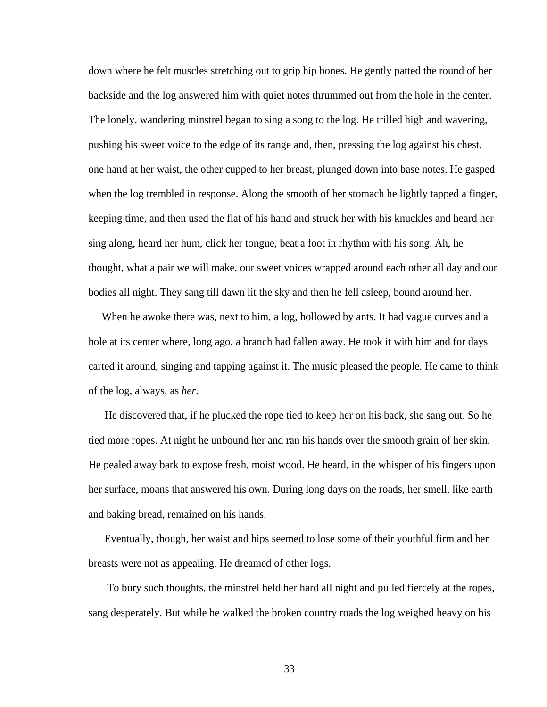down where he felt muscles stretching out to grip hip bones. He gently patted the round of her backside and the log answered him with quiet notes thrummed out from the hole in the center. The lonely, wandering minstrel began to sing a song to the log. He trilled high and wavering, pushing his sweet voice to the edge of its range and, then, pressing the log against his chest, one hand at her waist, the other cupped to her breast, plunged down into base notes. He gasped when the log trembled in response. Along the smooth of her stomach he lightly tapped a finger, keeping time, and then used the flat of his hand and struck her with his knuckles and heard her sing along, heard her hum, click her tongue, beat a foot in rhythm with his song. Ah, he thought, what a pair we will make, our sweet voices wrapped around each other all day and our bodies all night. They sang till dawn lit the sky and then he fell asleep, bound around her.

 When he awoke there was, next to him, a log, hollowed by ants. It had vague curves and a hole at its center where, long ago, a branch had fallen away. He took it with him and for days carted it around, singing and tapping against it. The music pleased the people. He came to think of the log, always, as *her*.

 He discovered that, if he plucked the rope tied to keep her on his back, she sang out. So he tied more ropes. At night he unbound her and ran his hands over the smooth grain of her skin. He pealed away bark to expose fresh, moist wood. He heard, in the whisper of his fingers upon her surface, moans that answered his own. During long days on the roads, her smell, like earth and baking bread, remained on his hands.

 Eventually, though, her waist and hips seemed to lose some of their youthful firm and her breasts were not as appealing. He dreamed of other logs.

 To bury such thoughts, the minstrel held her hard all night and pulled fiercely at the ropes, sang desperately. But while he walked the broken country roads the log weighed heavy on his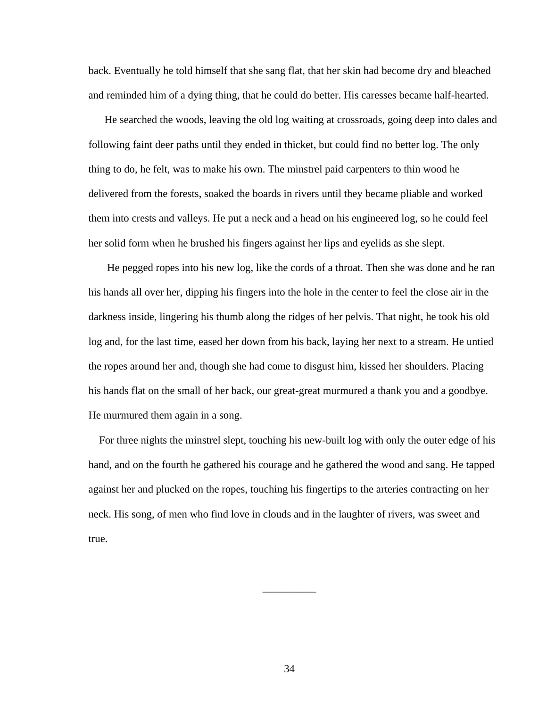back. Eventually he told himself that she sang flat, that her skin had become dry and bleached and reminded him of a dying thing, that he could do better. His caresses became half-hearted.

 He searched the woods, leaving the old log waiting at crossroads, going deep into dales and following faint deer paths until they ended in thicket, but could find no better log. The only thing to do, he felt, was to make his own. The minstrel paid carpenters to thin wood he delivered from the forests, soaked the boards in rivers until they became pliable and worked them into crests and valleys. He put a neck and a head on his engineered log, so he could feel her solid form when he brushed his fingers against her lips and eyelids as she slept.

 He pegged ropes into his new log, like the cords of a throat. Then she was done and he ran his hands all over her, dipping his fingers into the hole in the center to feel the close air in the darkness inside, lingering his thumb along the ridges of her pelvis. That night, he took his old log and, for the last time, eased her down from his back, laying her next to a stream. He untied the ropes around her and, though she had come to disgust him, kissed her shoulders. Placing his hands flat on the small of her back, our great-great murmured a thank you and a goodbye. He murmured them again in a song.

 For three nights the minstrel slept, touching his new-built log with only the outer edge of his hand, and on the fourth he gathered his courage and he gathered the wood and sang. He tapped against her and plucked on the ropes, touching his fingertips to the arteries contracting on her neck. His song, of men who find love in clouds and in the laughter of rivers, was sweet and true.

\_\_\_\_\_\_\_\_\_\_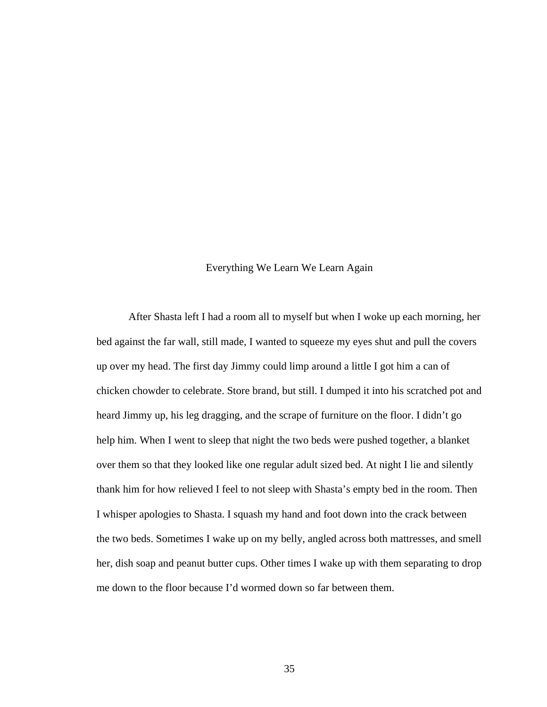## Everything We Learn We Learn Again

 After Shasta left I had a room all to myself but when I woke up each morning, her bed against the far wall, still made, I wanted to squeeze my eyes shut and pull the covers up over my head. The first day Jimmy could limp around a little I got him a can of chicken chowder to celebrate. Store brand, but still. I dumped it into his scratched pot and heard Jimmy up, his leg dragging, and the scrape of furniture on the floor. I didn't go help him. When I went to sleep that night the two beds were pushed together, a blanket over them so that they looked like one regular adult sized bed. At night I lie and silently thank him for how relieved I feel to not sleep with Shasta's empty bed in the room. Then I whisper apologies to Shasta. I squash my hand and foot down into the crack between the two beds. Sometimes I wake up on my belly, angled across both mattresses, and smell her, dish soap and peanut butter cups. Other times I wake up with them separating to drop me down to the floor because I'd wormed down so far between them.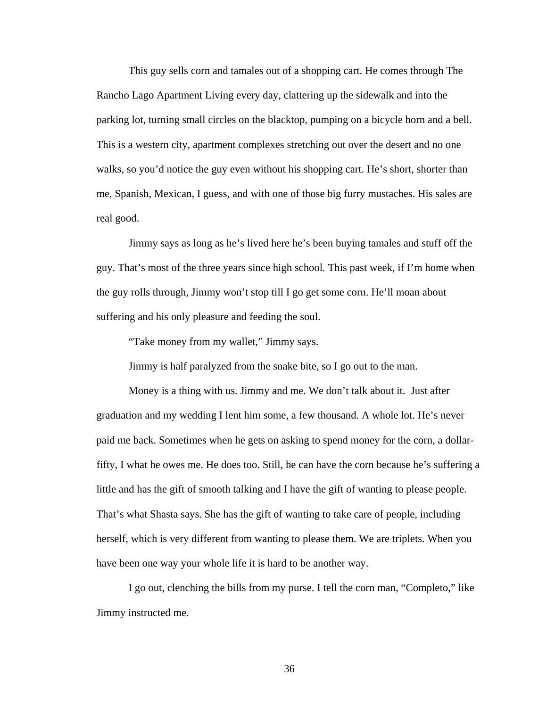This guy sells corn and tamales out of a shopping cart. He comes through The Rancho Lago Apartment Living every day, clattering up the sidewalk and into the parking lot, turning small circles on the blacktop, pumping on a bicycle horn and a bell. This is a western city, apartment complexes stretching out over the desert and no one walks, so you'd notice the guy even without his shopping cart. He's short, shorter than me, Spanish, Mexican, I guess, and with one of those big furry mustaches. His sales are real good.

 Jimmy says as long as he's lived here he's been buying tamales and stuff off the guy. That's most of the three years since high school. This past week, if I'm home when the guy rolls through, Jimmy won't stop till I go get some corn. He'll moan about suffering and his only pleasure and feeding the soul.

"Take money from my wallet," Jimmy says.

Jimmy is half paralyzed from the snake bite, so I go out to the man.

 Money is a thing with us. Jimmy and me. We don't talk about it. Just after graduation and my wedding I lent him some, a few thousand. A whole lot. He's never paid me back. Sometimes when he gets on asking to spend money for the corn, a dollarfifty, I what he owes me. He does too. Still, he can have the corn because he's suffering a little and has the gift of smooth talking and I have the gift of wanting to please people. That's what Shasta says. She has the gift of wanting to take care of people, including herself, which is very different from wanting to please them. We are triplets. When you have been one way your whole life it is hard to be another way.

 I go out, clenching the bills from my purse. I tell the corn man, "Completo," like Jimmy instructed me.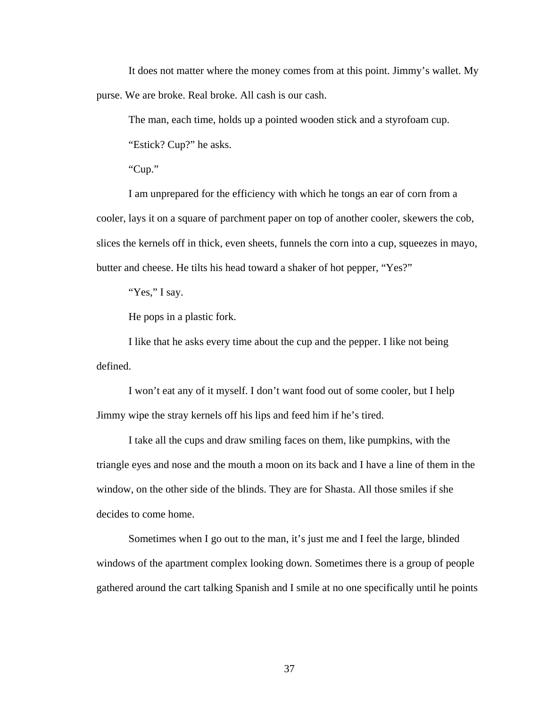It does not matter where the money comes from at this point. Jimmy's wallet. My purse. We are broke. Real broke. All cash is our cash.

The man, each time, holds up a pointed wooden stick and a styrofoam cup.

"Estick? Cup?" he asks.

"Cup."

 I am unprepared for the efficiency with which he tongs an ear of corn from a cooler, lays it on a square of parchment paper on top of another cooler, skewers the cob, slices the kernels off in thick, even sheets, funnels the corn into a cup, squeezes in mayo, butter and cheese. He tilts his head toward a shaker of hot pepper, "Yes?"

"Yes," I say.

He pops in a plastic fork.

 I like that he asks every time about the cup and the pepper. I like not being defined.

 I won't eat any of it myself. I don't want food out of some cooler, but I help Jimmy wipe the stray kernels off his lips and feed him if he's tired.

 I take all the cups and draw smiling faces on them, like pumpkins, with the triangle eyes and nose and the mouth a moon on its back and I have a line of them in the window, on the other side of the blinds. They are for Shasta. All those smiles if she decides to come home.

 Sometimes when I go out to the man, it's just me and I feel the large, blinded windows of the apartment complex looking down. Sometimes there is a group of people gathered around the cart talking Spanish and I smile at no one specifically until he points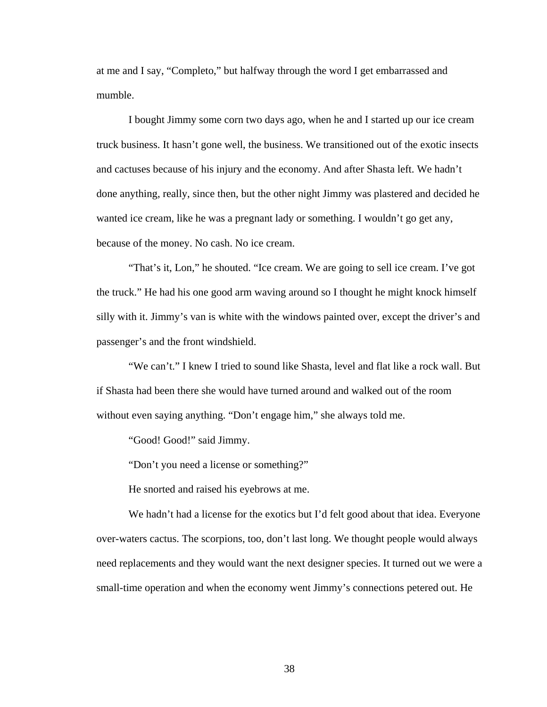at me and I say, "Completo," but halfway through the word I get embarrassed and mumble.

 I bought Jimmy some corn two days ago, when he and I started up our ice cream truck business. It hasn't gone well, the business. We transitioned out of the exotic insects and cactuses because of his injury and the economy. And after Shasta left. We hadn't done anything, really, since then, but the other night Jimmy was plastered and decided he wanted ice cream, like he was a pregnant lady or something. I wouldn't go get any, because of the money. No cash. No ice cream.

 "That's it, Lon," he shouted. "Ice cream. We are going to sell ice cream. I've got the truck." He had his one good arm waving around so I thought he might knock himself silly with it. Jimmy's van is white with the windows painted over, except the driver's and passenger's and the front windshield.

 "We can't." I knew I tried to sound like Shasta, level and flat like a rock wall. But if Shasta had been there she would have turned around and walked out of the room without even saying anything. "Don't engage him," she always told me.

"Good! Good!" said Jimmy.

"Don't you need a license or something?"

He snorted and raised his eyebrows at me.

We hadn't had a license for the exotics but I'd felt good about that idea. Everyone over-waters cactus. The scorpions, too, don't last long. We thought people would always need replacements and they would want the next designer species. It turned out we were a small-time operation and when the economy went Jimmy's connections petered out. He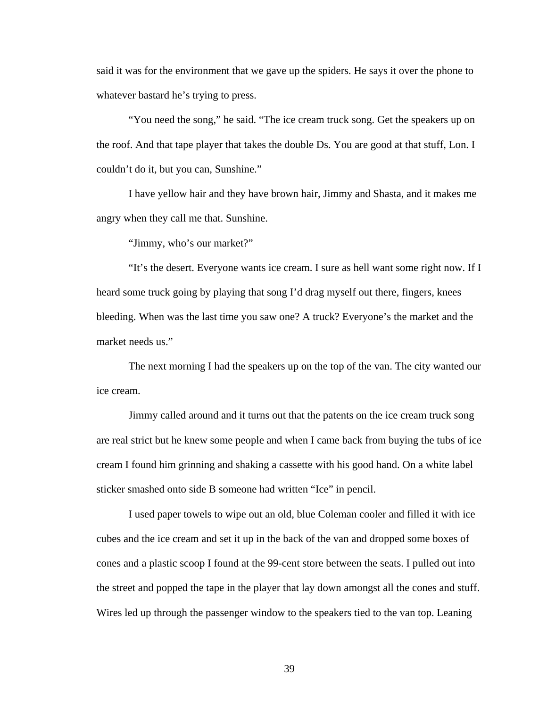said it was for the environment that we gave up the spiders. He says it over the phone to whatever bastard he's trying to press.

 "You need the song," he said. "The ice cream truck song. Get the speakers up on the roof. And that tape player that takes the double Ds. You are good at that stuff, Lon. I couldn't do it, but you can, Sunshine."

 I have yellow hair and they have brown hair, Jimmy and Shasta, and it makes me angry when they call me that. Sunshine.

"Jimmy, who's our market?"

 "It's the desert. Everyone wants ice cream. I sure as hell want some right now. If I heard some truck going by playing that song I'd drag myself out there, fingers, knees bleeding. When was the last time you saw one? A truck? Everyone's the market and the market needs us."

 The next morning I had the speakers up on the top of the van. The city wanted our ice cream.

 Jimmy called around and it turns out that the patents on the ice cream truck song are real strict but he knew some people and when I came back from buying the tubs of ice cream I found him grinning and shaking a cassette with his good hand. On a white label sticker smashed onto side B someone had written "Ice" in pencil.

 I used paper towels to wipe out an old, blue Coleman cooler and filled it with ice cubes and the ice cream and set it up in the back of the van and dropped some boxes of cones and a plastic scoop I found at the 99-cent store between the seats. I pulled out into the street and popped the tape in the player that lay down amongst all the cones and stuff. Wires led up through the passenger window to the speakers tied to the van top. Leaning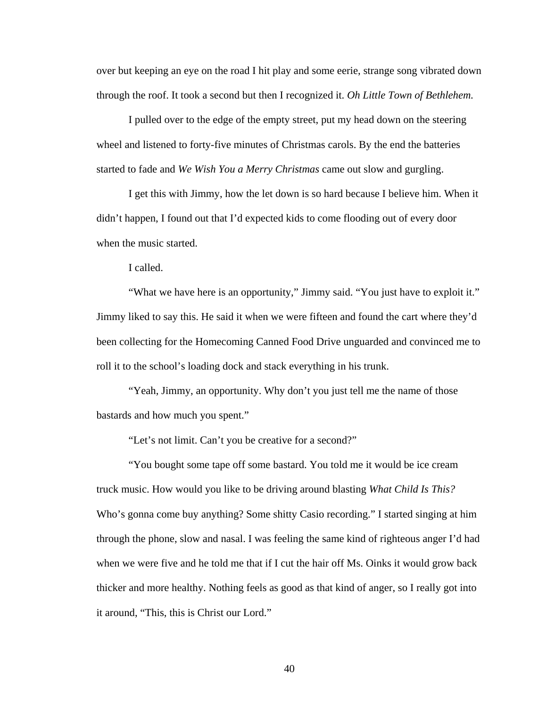over but keeping an eye on the road I hit play and some eerie, strange song vibrated down through the roof. It took a second but then I recognized it. *Oh Little Town of Bethlehem.* 

 I pulled over to the edge of the empty street, put my head down on the steering wheel and listened to forty-five minutes of Christmas carols. By the end the batteries started to fade and *We Wish You a Merry Christmas* came out slow and gurgling.

 I get this with Jimmy, how the let down is so hard because I believe him. When it didn't happen, I found out that I'd expected kids to come flooding out of every door when the music started.

I called.

 "What we have here is an opportunity," Jimmy said. "You just have to exploit it." Jimmy liked to say this. He said it when we were fifteen and found the cart where they'd been collecting for the Homecoming Canned Food Drive unguarded and convinced me to roll it to the school's loading dock and stack everything in his trunk.

 "Yeah, Jimmy, an opportunity. Why don't you just tell me the name of those bastards and how much you spent."

"Let's not limit. Can't you be creative for a second?"

 "You bought some tape off some bastard. You told me it would be ice cream truck music. How would you like to be driving around blasting *What Child Is This?* Who's gonna come buy anything? Some shitty Casio recording." I started singing at him through the phone, slow and nasal. I was feeling the same kind of righteous anger I'd had when we were five and he told me that if I cut the hair off Ms. Oinks it would grow back thicker and more healthy. Nothing feels as good as that kind of anger, so I really got into it around, "This, this is Christ our Lord."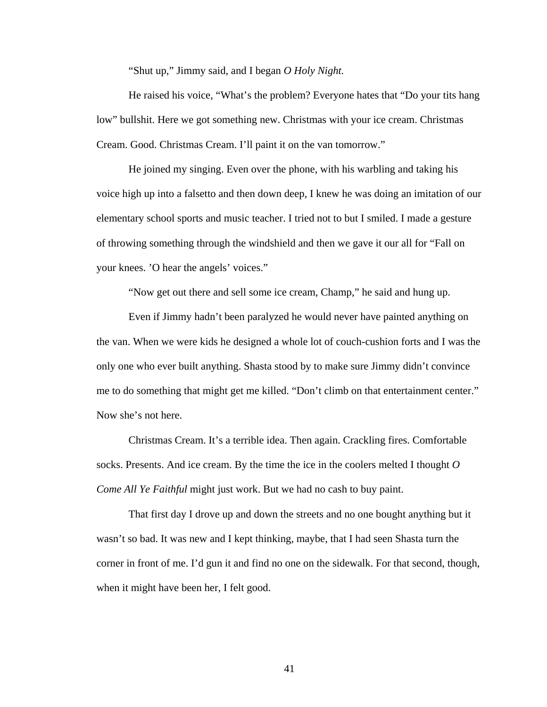"Shut up," Jimmy said, and I began *O Holy Night.*

He raised his voice, "What's the problem? Everyone hates that "Do your tits hang low" bullshit. Here we got something new. Christmas with your ice cream. Christmas Cream. Good. Christmas Cream. I'll paint it on the van tomorrow."

 He joined my singing. Even over the phone, with his warbling and taking his voice high up into a falsetto and then down deep, I knew he was doing an imitation of our elementary school sports and music teacher. I tried not to but I smiled. I made a gesture of throwing something through the windshield and then we gave it our all for "Fall on your knees. 'O hear the angels' voices."

"Now get out there and sell some ice cream, Champ," he said and hung up.

 Even if Jimmy hadn't been paralyzed he would never have painted anything on the van. When we were kids he designed a whole lot of couch-cushion forts and I was the only one who ever built anything. Shasta stood by to make sure Jimmy didn't convince me to do something that might get me killed. "Don't climb on that entertainment center." Now she's not here.

 Christmas Cream. It's a terrible idea. Then again. Crackling fires. Comfortable socks. Presents. And ice cream. By the time the ice in the coolers melted I thought *O Come All Ye Faithful* might just work. But we had no cash to buy paint.

 That first day I drove up and down the streets and no one bought anything but it wasn't so bad. It was new and I kept thinking, maybe, that I had seen Shasta turn the corner in front of me. I'd gun it and find no one on the sidewalk. For that second, though, when it might have been her, I felt good.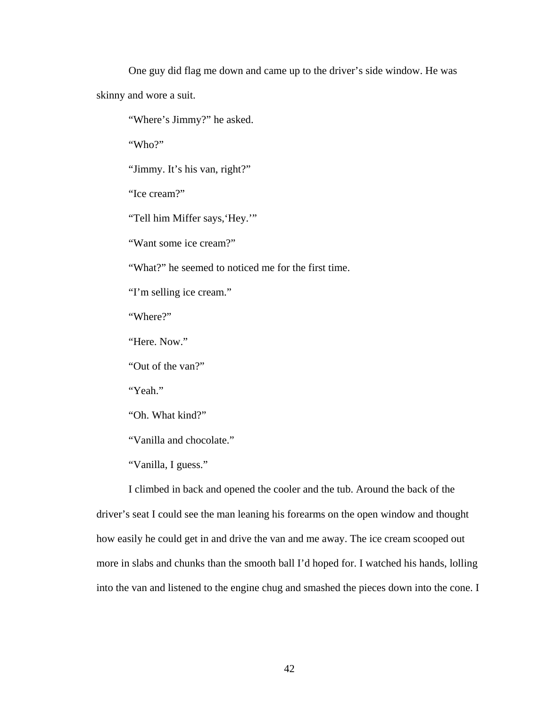One guy did flag me down and came up to the driver's side window. He was skinny and wore a suit.

"Where's Jimmy?" he asked.

"Who?"

"Jimmy. It's his van, right?"

"Ice cream?"

"Tell him Miffer says, 'Hey.'"

"Want some ice cream?"

"What?" he seemed to noticed me for the first time.

"I'm selling ice cream."

"Where?"

"Here. Now."

"Out of the van?"

"Yeah."

"Oh. What kind?"

"Vanilla and chocolate."

"Vanilla, I guess."

 I climbed in back and opened the cooler and the tub. Around the back of the driver's seat I could see the man leaning his forearms on the open window and thought how easily he could get in and drive the van and me away. The ice cream scooped out more in slabs and chunks than the smooth ball I'd hoped for. I watched his hands, lolling into the van and listened to the engine chug and smashed the pieces down into the cone. I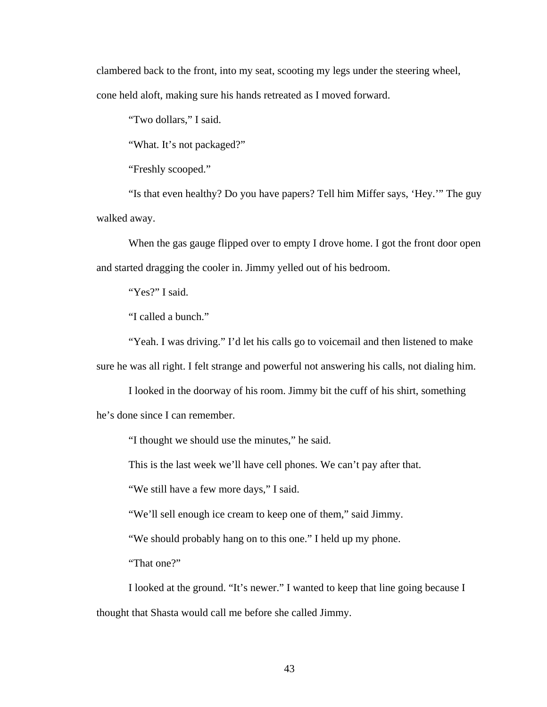clambered back to the front, into my seat, scooting my legs under the steering wheel, cone held aloft, making sure his hands retreated as I moved forward.

"Two dollars," I said.

"What. It's not packaged?"

"Freshly scooped."

 "Is that even healthy? Do you have papers? Tell him Miffer says, 'Hey.'" The guy walked away.

When the gas gauge flipped over to empty I drove home. I got the front door open and started dragging the cooler in. Jimmy yelled out of his bedroom.

"Yes?" I said.

"I called a bunch."

 "Yeah. I was driving." I'd let his calls go to voicemail and then listened to make sure he was all right. I felt strange and powerful not answering his calls, not dialing him.

 I looked in the doorway of his room. Jimmy bit the cuff of his shirt, something he's done since I can remember.

"I thought we should use the minutes," he said.

This is the last week we'll have cell phones. We can't pay after that.

"We still have a few more days," I said.

"We'll sell enough ice cream to keep one of them," said Jimmy.

"We should probably hang on to this one." I held up my phone.

"That one?"

 I looked at the ground. "It's newer." I wanted to keep that line going because I thought that Shasta would call me before she called Jimmy.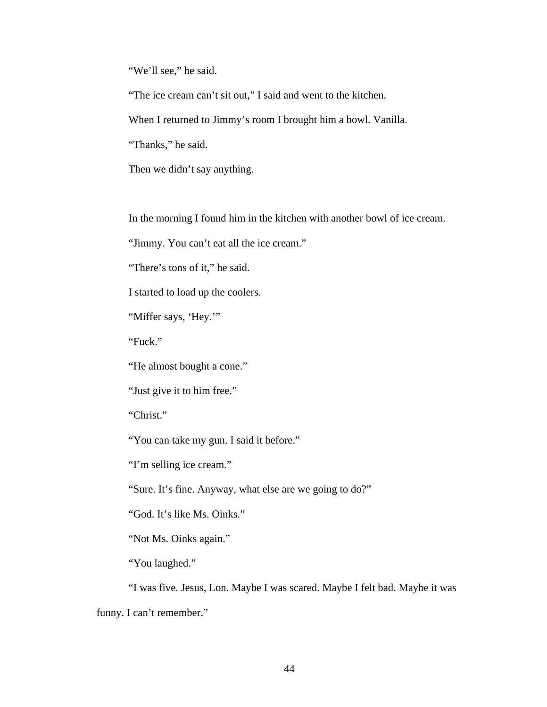"We'll see," he said.

"The ice cream can't sit out," I said and went to the kitchen.

When I returned to Jimmy's room I brought him a bowl. Vanilla.

"Thanks," he said.

Then we didn't say anything.

In the morning I found him in the kitchen with another bowl of ice cream.

"Jimmy. You can't eat all the ice cream."

"There's tons of it," he said.

I started to load up the coolers.

"Miffer says, 'Hey.'"

"Fuck."

"He almost bought a cone."

"Just give it to him free."

"Christ."

"You can take my gun. I said it before."

"I'm selling ice cream."

"Sure. It's fine. Anyway, what else are we going to do?"

"God. It's like Ms. Oinks."

"Not Ms. Oinks again."

"You laughed."

 "I was five. Jesus, Lon. Maybe I was scared. Maybe I felt bad. Maybe it was funny. I can't remember."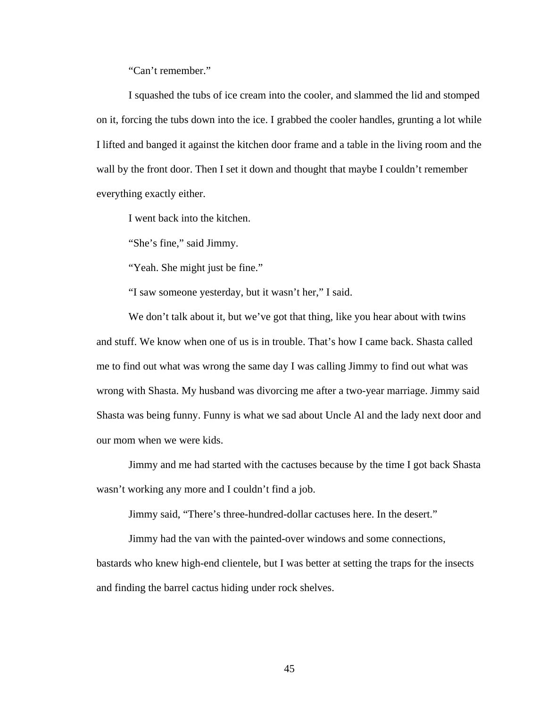"Can't remember."

 I squashed the tubs of ice cream into the cooler, and slammed the lid and stomped on it, forcing the tubs down into the ice. I grabbed the cooler handles, grunting a lot while I lifted and banged it against the kitchen door frame and a table in the living room and the wall by the front door. Then I set it down and thought that maybe I couldn't remember everything exactly either.

I went back into the kitchen.

"She's fine," said Jimmy.

"Yeah. She might just be fine."

"I saw someone yesterday, but it wasn't her," I said.

We don't talk about it, but we've got that thing, like you hear about with twins and stuff. We know when one of us is in trouble. That's how I came back. Shasta called me to find out what was wrong the same day I was calling Jimmy to find out what was wrong with Shasta. My husband was divorcing me after a two-year marriage. Jimmy said Shasta was being funny. Funny is what we sad about Uncle Al and the lady next door and our mom when we were kids.

 Jimmy and me had started with the cactuses because by the time I got back Shasta wasn't working any more and I couldn't find a job.

Jimmy said, "There's three-hundred-dollar cactuses here. In the desert."

 Jimmy had the van with the painted-over windows and some connections, bastards who knew high-end clientele, but I was better at setting the traps for the insects and finding the barrel cactus hiding under rock shelves.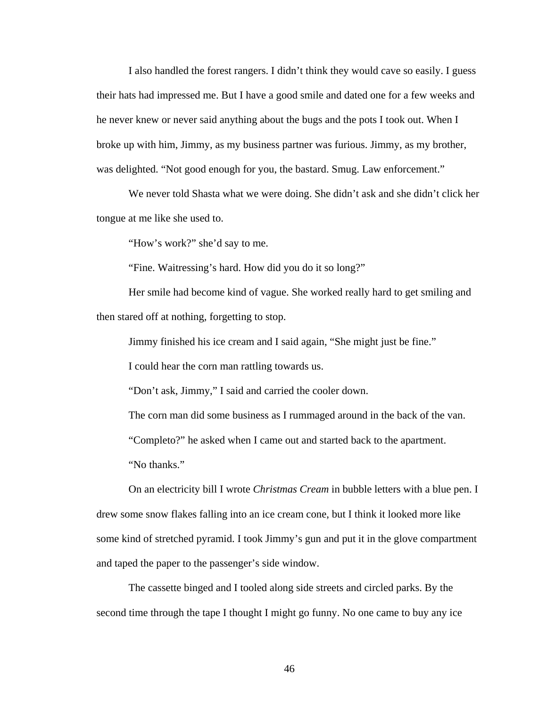I also handled the forest rangers. I didn't think they would cave so easily. I guess their hats had impressed me. But I have a good smile and dated one for a few weeks and he never knew or never said anything about the bugs and the pots I took out. When I broke up with him, Jimmy, as my business partner was furious. Jimmy, as my brother, was delighted. "Not good enough for you, the bastard. Smug. Law enforcement."

 We never told Shasta what we were doing. She didn't ask and she didn't click her tongue at me like she used to.

"How's work?" she'd say to me.

"Fine. Waitressing's hard. How did you do it so long?"

 Her smile had become kind of vague. She worked really hard to get smiling and then stared off at nothing, forgetting to stop.

Jimmy finished his ice cream and I said again, "She might just be fine."

I could hear the corn man rattling towards us.

"Don't ask, Jimmy," I said and carried the cooler down.

The corn man did some business as I rummaged around in the back of the van.

"Completo?" he asked when I came out and started back to the apartment.

"No thanks."

 On an electricity bill I wrote *Christmas Cream* in bubble letters with a blue pen. I drew some snow flakes falling into an ice cream cone, but I think it looked more like some kind of stretched pyramid. I took Jimmy's gun and put it in the glove compartment and taped the paper to the passenger's side window.

 The cassette binged and I tooled along side streets and circled parks. By the second time through the tape I thought I might go funny. No one came to buy any ice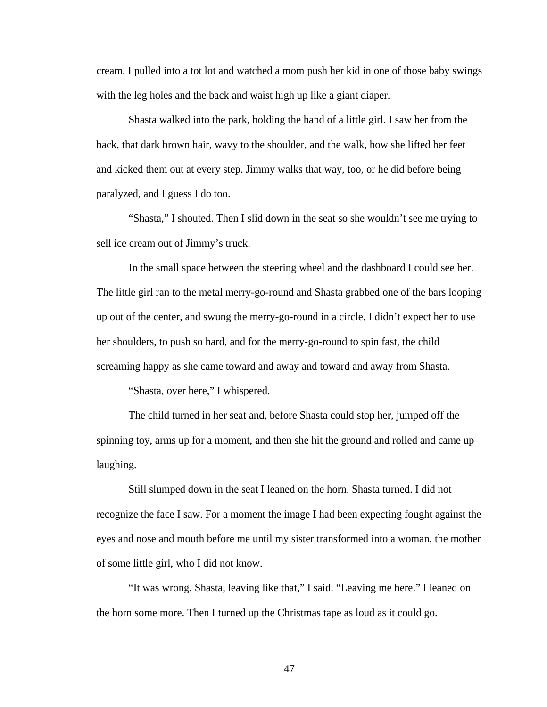cream. I pulled into a tot lot and watched a mom push her kid in one of those baby swings with the leg holes and the back and waist high up like a giant diaper.

 Shasta walked into the park, holding the hand of a little girl. I saw her from the back, that dark brown hair, wavy to the shoulder, and the walk, how she lifted her feet and kicked them out at every step. Jimmy walks that way, too, or he did before being paralyzed, and I guess I do too.

 "Shasta," I shouted. Then I slid down in the seat so she wouldn't see me trying to sell ice cream out of Jimmy's truck.

 In the small space between the steering wheel and the dashboard I could see her. The little girl ran to the metal merry-go-round and Shasta grabbed one of the bars looping up out of the center, and swung the merry-go-round in a circle. I didn't expect her to use her shoulders, to push so hard, and for the merry-go-round to spin fast, the child screaming happy as she came toward and away and toward and away from Shasta.

"Shasta, over here," I whispered.

 The child turned in her seat and, before Shasta could stop her, jumped off the spinning toy, arms up for a moment, and then she hit the ground and rolled and came up laughing.

 Still slumped down in the seat I leaned on the horn. Shasta turned. I did not recognize the face I saw. For a moment the image I had been expecting fought against the eyes and nose and mouth before me until my sister transformed into a woman, the mother of some little girl, who I did not know.

 "It was wrong, Shasta, leaving like that," I said. "Leaving me here." I leaned on the horn some more. Then I turned up the Christmas tape as loud as it could go.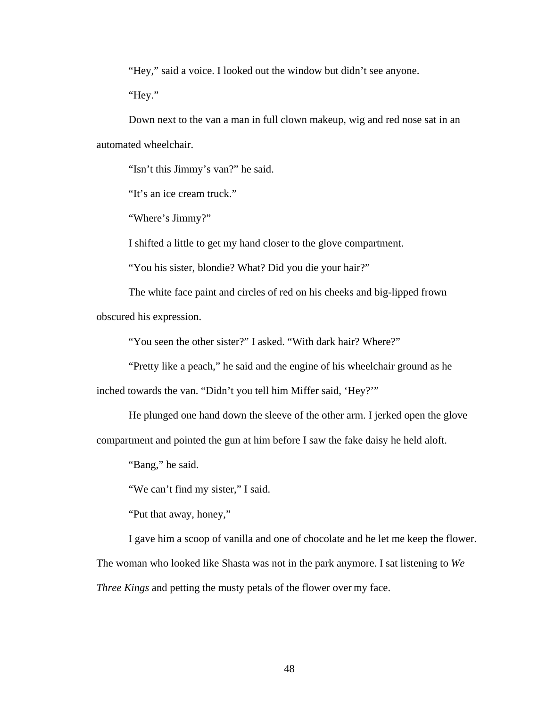"Hey," said a voice. I looked out the window but didn't see anyone.

"Hey."

 Down next to the van a man in full clown makeup, wig and red nose sat in an automated wheelchair.

"Isn't this Jimmy's van?" he said.

"It's an ice cream truck."

"Where's Jimmy?"

I shifted a little to get my hand closer to the glove compartment.

"You his sister, blondie? What? Did you die your hair?"

 The white face paint and circles of red on his cheeks and big-lipped frown obscured his expression.

"You seen the other sister?" I asked. "With dark hair? Where?"

"Pretty like a peach," he said and the engine of his wheelchair ground as he

inched towards the van. "Didn't you tell him Miffer said, 'Hey?'"

He plunged one hand down the sleeve of the other arm. I jerked open the glove

compartment and pointed the gun at him before I saw the fake daisy he held aloft.

"Bang," he said.

"We can't find my sister," I said.

"Put that away, honey,"

 I gave him a scoop of vanilla and one of chocolate and he let me keep the flower. The woman who looked like Shasta was not in the park anymore. I sat listening to *We Three Kings* and petting the musty petals of the flower over my face.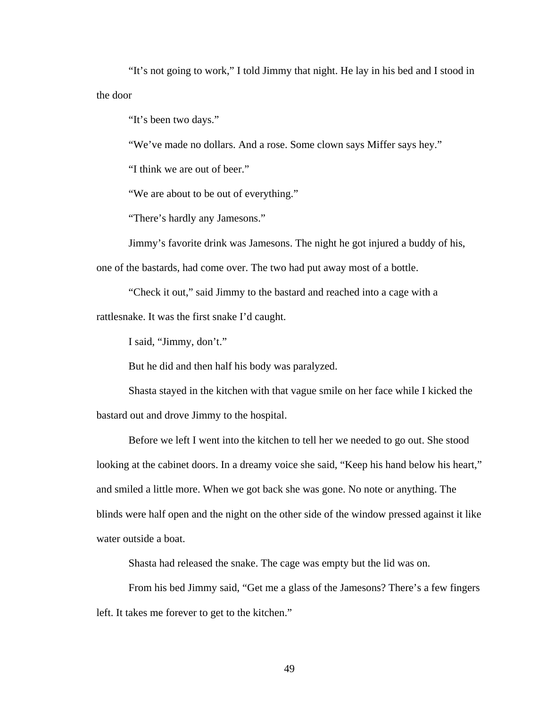"It's not going to work," I told Jimmy that night. He lay in his bed and I stood in the door

"It's been two days."

"We've made no dollars. And a rose. Some clown says Miffer says hey."

"I think we are out of beer."

"We are about to be out of everything."

"There's hardly any Jamesons."

 Jimmy's favorite drink was Jamesons. The night he got injured a buddy of his, one of the bastards, had come over. The two had put away most of a bottle.

 "Check it out," said Jimmy to the bastard and reached into a cage with a rattlesnake. It was the first snake I'd caught.

I said, "Jimmy, don't."

But he did and then half his body was paralyzed.

 Shasta stayed in the kitchen with that vague smile on her face while I kicked the bastard out and drove Jimmy to the hospital.

 Before we left I went into the kitchen to tell her we needed to go out. She stood looking at the cabinet doors. In a dreamy voice she said, "Keep his hand below his heart," and smiled a little more. When we got back she was gone. No note or anything. The blinds were half open and the night on the other side of the window pressed against it like water outside a boat.

Shasta had released the snake. The cage was empty but the lid was on.

 From his bed Jimmy said, "Get me a glass of the Jamesons? There's a few fingers left. It takes me forever to get to the kitchen."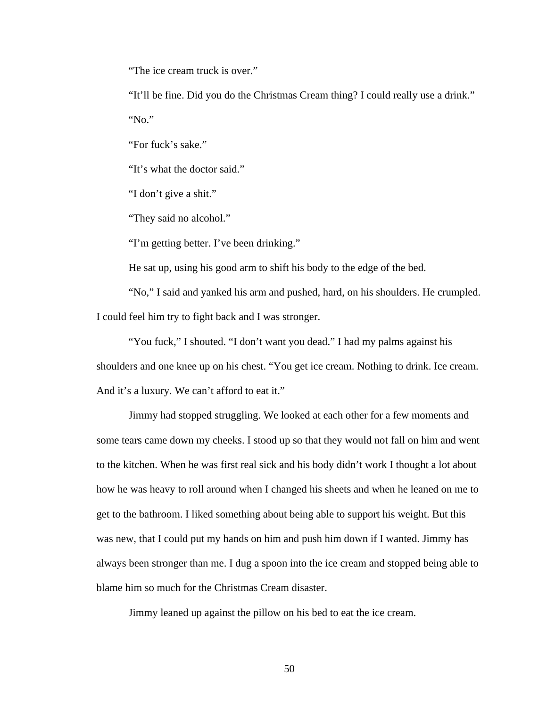"The ice cream truck is over."

 "It'll be fine. Did you do the Christmas Cream thing? I could really use a drink." "No."

"For fuck's sake."

"It's what the doctor said."

"I don't give a shit."

"They said no alcohol."

"I'm getting better. I've been drinking."

He sat up, using his good arm to shift his body to the edge of the bed.

 "No," I said and yanked his arm and pushed, hard, on his shoulders. He crumpled. I could feel him try to fight back and I was stronger.

 "You fuck," I shouted. "I don't want you dead." I had my palms against his shoulders and one knee up on his chest. "You get ice cream. Nothing to drink. Ice cream. And it's a luxury. We can't afford to eat it."

 Jimmy had stopped struggling. We looked at each other for a few moments and some tears came down my cheeks. I stood up so that they would not fall on him and went to the kitchen. When he was first real sick and his body didn't work I thought a lot about how he was heavy to roll around when I changed his sheets and when he leaned on me to get to the bathroom. I liked something about being able to support his weight. But this was new, that I could put my hands on him and push him down if I wanted. Jimmy has always been stronger than me. I dug a spoon into the ice cream and stopped being able to blame him so much for the Christmas Cream disaster.

Jimmy leaned up against the pillow on his bed to eat the ice cream.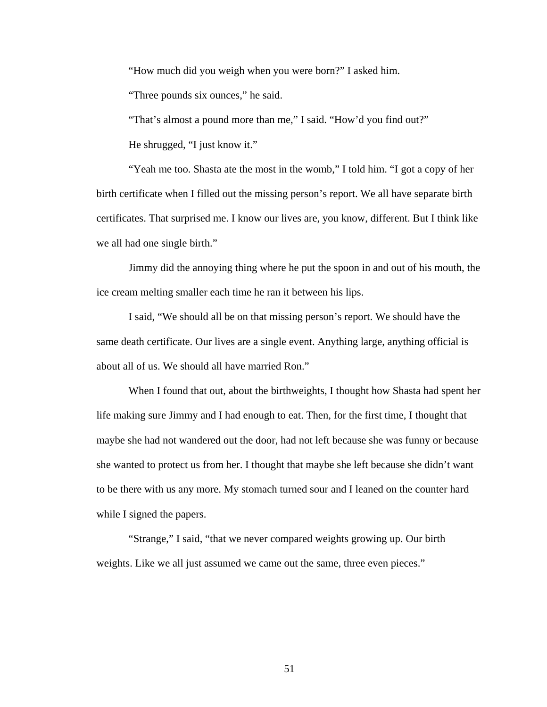"How much did you weigh when you were born?" I asked him.

"Three pounds six ounces," he said.

"That's almost a pound more than me," I said. "How'd you find out?"

He shrugged, "I just know it."

 "Yeah me too. Shasta ate the most in the womb," I told him. "I got a copy of her birth certificate when I filled out the missing person's report. We all have separate birth certificates. That surprised me. I know our lives are, you know, different. But I think like we all had one single birth."

 Jimmy did the annoying thing where he put the spoon in and out of his mouth, the ice cream melting smaller each time he ran it between his lips.

 I said, "We should all be on that missing person's report. We should have the same death certificate. Our lives are a single event. Anything large, anything official is about all of us. We should all have married Ron."

 When I found that out, about the birthweights, I thought how Shasta had spent her life making sure Jimmy and I had enough to eat. Then, for the first time, I thought that maybe she had not wandered out the door, had not left because she was funny or because she wanted to protect us from her. I thought that maybe she left because she didn't want to be there with us any more. My stomach turned sour and I leaned on the counter hard while I signed the papers.

 "Strange," I said, "that we never compared weights growing up. Our birth weights. Like we all just assumed we came out the same, three even pieces."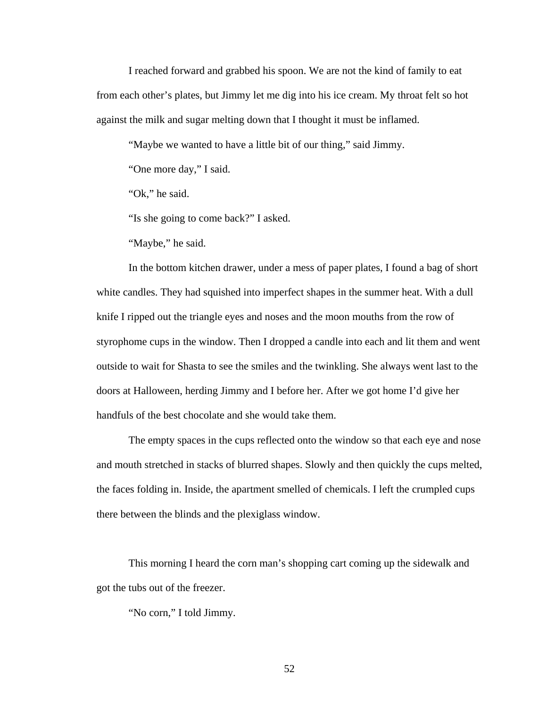I reached forward and grabbed his spoon. We are not the kind of family to eat from each other's plates, but Jimmy let me dig into his ice cream. My throat felt so hot against the milk and sugar melting down that I thought it must be inflamed.

"Maybe we wanted to have a little bit of our thing," said Jimmy.

"One more day," I said.

"Ok," he said.

"Is she going to come back?" I asked.

"Maybe," he said.

 In the bottom kitchen drawer, under a mess of paper plates, I found a bag of short white candles. They had squished into imperfect shapes in the summer heat. With a dull knife I ripped out the triangle eyes and noses and the moon mouths from the row of styrophome cups in the window. Then I dropped a candle into each and lit them and went outside to wait for Shasta to see the smiles and the twinkling. She always went last to the doors at Halloween, herding Jimmy and I before her. After we got home I'd give her handfuls of the best chocolate and she would take them.

 The empty spaces in the cups reflected onto the window so that each eye and nose and mouth stretched in stacks of blurred shapes. Slowly and then quickly the cups melted, the faces folding in. Inside, the apartment smelled of chemicals. I left the crumpled cups there between the blinds and the plexiglass window.

 This morning I heard the corn man's shopping cart coming up the sidewalk and got the tubs out of the freezer.

"No corn," I told Jimmy.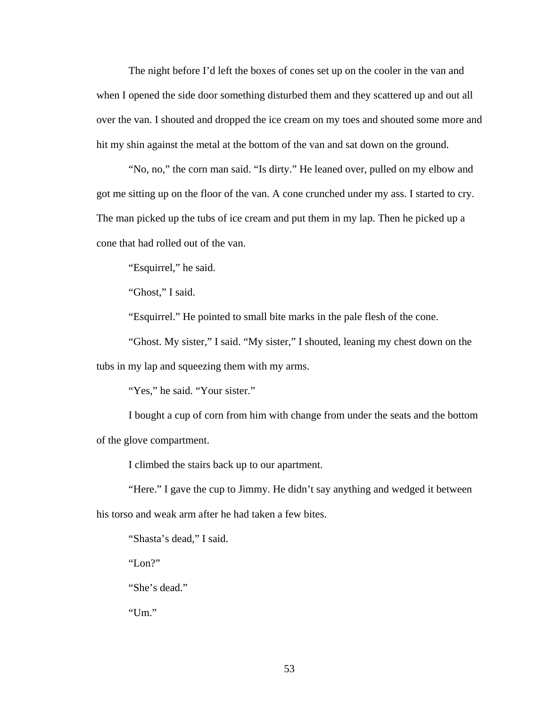The night before I'd left the boxes of cones set up on the cooler in the van and when I opened the side door something disturbed them and they scattered up and out all over the van. I shouted and dropped the ice cream on my toes and shouted some more and hit my shin against the metal at the bottom of the van and sat down on the ground.

 "No, no," the corn man said. "Is dirty." He leaned over, pulled on my elbow and got me sitting up on the floor of the van. A cone crunched under my ass. I started to cry. The man picked up the tubs of ice cream and put them in my lap. Then he picked up a cone that had rolled out of the van.

"Esquirrel," he said.

"Ghost," I said.

"Esquirrel." He pointed to small bite marks in the pale flesh of the cone.

 "Ghost. My sister," I said. "My sister," I shouted, leaning my chest down on the tubs in my lap and squeezing them with my arms.

"Yes," he said. "Your sister."

 I bought a cup of corn from him with change from under the seats and the bottom of the glove compartment.

I climbed the stairs back up to our apartment.

 "Here." I gave the cup to Jimmy. He didn't say anything and wedged it between his torso and weak arm after he had taken a few bites.

"Shasta's dead," I said.

"Lon?"

"She's dead."

"Um."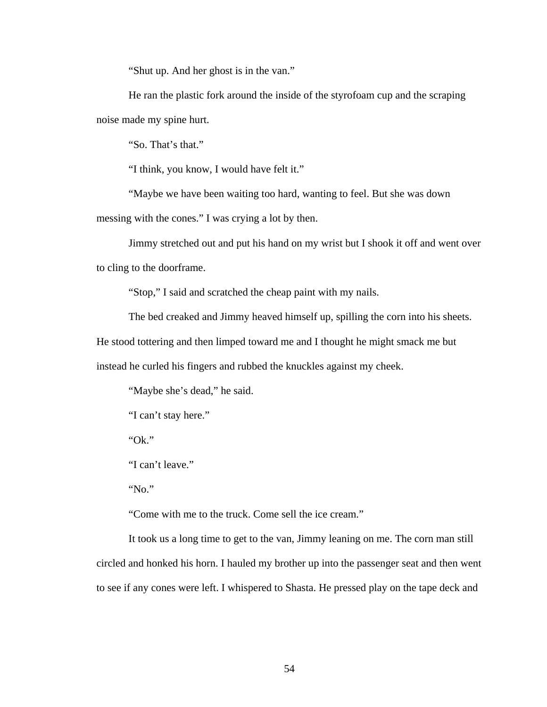"Shut up. And her ghost is in the van."

 He ran the plastic fork around the inside of the styrofoam cup and the scraping noise made my spine hurt.

"So. That's that."

"I think, you know, I would have felt it."

 "Maybe we have been waiting too hard, wanting to feel. But she was down messing with the cones." I was crying a lot by then.

 Jimmy stretched out and put his hand on my wrist but I shook it off and went over to cling to the doorframe.

"Stop," I said and scratched the cheap paint with my nails.

The bed creaked and Jimmy heaved himself up, spilling the corn into his sheets.

He stood tottering and then limped toward me and I thought he might smack me but

instead he curled his fingers and rubbed the knuckles against my cheek.

"Maybe she's dead," he said.

"I can't stay here."

"Ok."

"I can't leave."

"No."

"Come with me to the truck. Come sell the ice cream."

 It took us a long time to get to the van, Jimmy leaning on me. The corn man still circled and honked his horn. I hauled my brother up into the passenger seat and then went to see if any cones were left. I whispered to Shasta. He pressed play on the tape deck and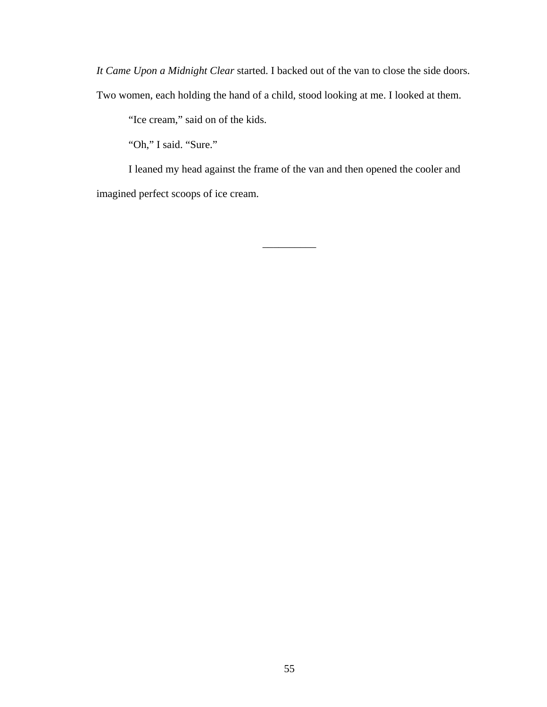*It Came Upon a Midnight Clear* started. I backed out of the van to close the side doors. Two women, each holding the hand of a child, stood looking at me. I looked at them.

"Ice cream," said on of the kids.

"Oh," I said. "Sure."

 I leaned my head against the frame of the van and then opened the cooler and imagined perfect scoops of ice cream.

 $\overline{\phantom{a}}$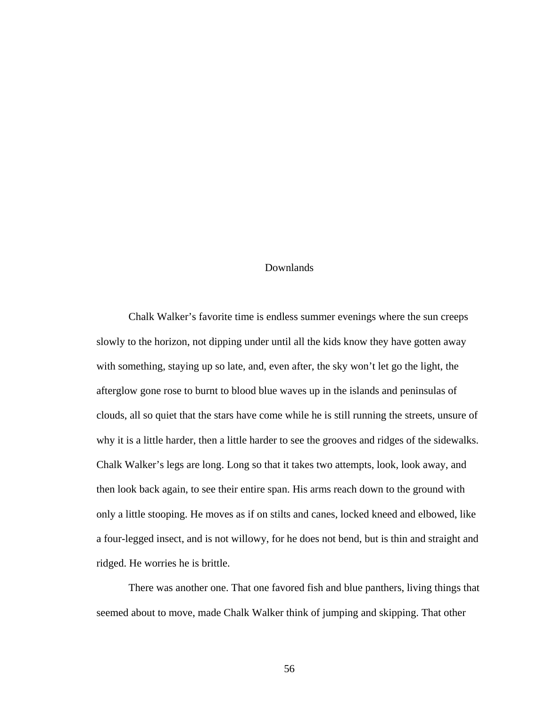## Downlands

 Chalk Walker's favorite time is endless summer evenings where the sun creeps slowly to the horizon, not dipping under until all the kids know they have gotten away with something, staying up so late, and, even after, the sky won't let go the light, the afterglow gone rose to burnt to blood blue waves up in the islands and peninsulas of clouds, all so quiet that the stars have come while he is still running the streets, unsure of why it is a little harder, then a little harder to see the grooves and ridges of the sidewalks. Chalk Walker's legs are long. Long so that it takes two attempts, look, look away, and then look back again, to see their entire span. His arms reach down to the ground with only a little stooping. He moves as if on stilts and canes, locked kneed and elbowed, like a four-legged insect, and is not willowy, for he does not bend, but is thin and straight and ridged. He worries he is brittle.

 There was another one. That one favored fish and blue panthers, living things that seemed about to move, made Chalk Walker think of jumping and skipping. That other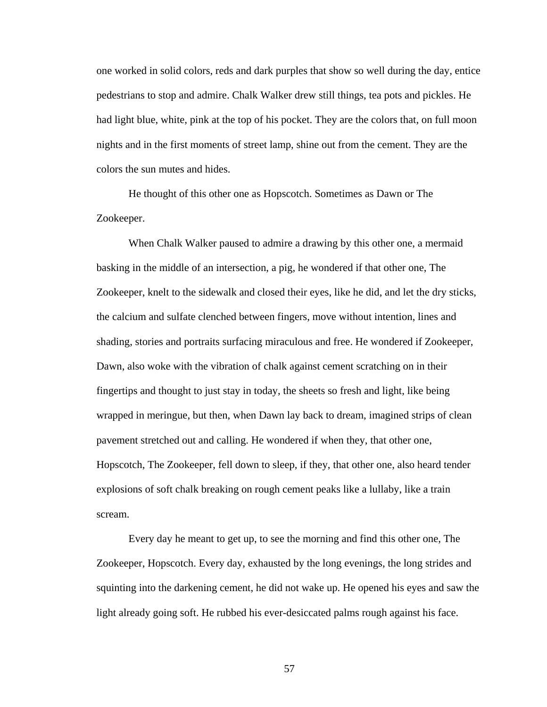one worked in solid colors, reds and dark purples that show so well during the day, entice pedestrians to stop and admire. Chalk Walker drew still things, tea pots and pickles. He had light blue, white, pink at the top of his pocket. They are the colors that, on full moon nights and in the first moments of street lamp, shine out from the cement. They are the colors the sun mutes and hides.

 He thought of this other one as Hopscotch. Sometimes as Dawn or The Zookeeper.

 When Chalk Walker paused to admire a drawing by this other one, a mermaid basking in the middle of an intersection, a pig, he wondered if that other one, The Zookeeper, knelt to the sidewalk and closed their eyes, like he did, and let the dry sticks, the calcium and sulfate clenched between fingers, move without intention, lines and shading, stories and portraits surfacing miraculous and free. He wondered if Zookeeper, Dawn, also woke with the vibration of chalk against cement scratching on in their fingertips and thought to just stay in today, the sheets so fresh and light, like being wrapped in meringue, but then, when Dawn lay back to dream, imagined strips of clean pavement stretched out and calling. He wondered if when they, that other one, Hopscotch, The Zookeeper, fell down to sleep, if they, that other one, also heard tender explosions of soft chalk breaking on rough cement peaks like a lullaby, like a train scream.

 Every day he meant to get up, to see the morning and find this other one, The Zookeeper, Hopscotch. Every day, exhausted by the long evenings, the long strides and squinting into the darkening cement, he did not wake up. He opened his eyes and saw the light already going soft. He rubbed his ever-desiccated palms rough against his face.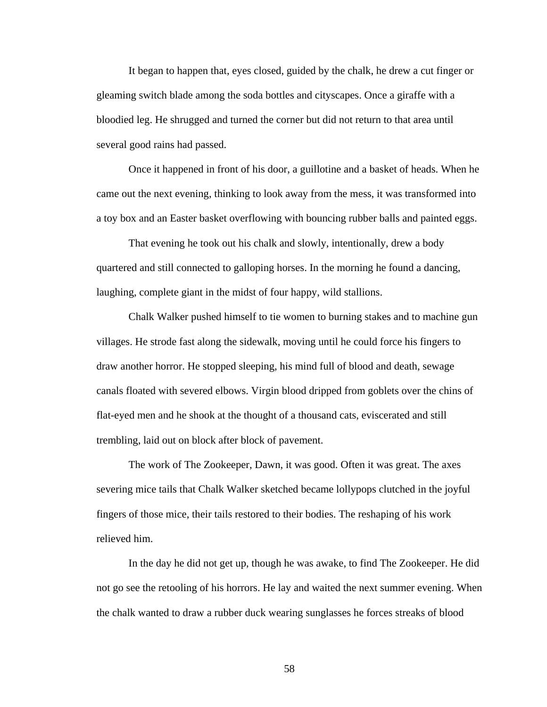It began to happen that, eyes closed, guided by the chalk, he drew a cut finger or gleaming switch blade among the soda bottles and cityscapes. Once a giraffe with a bloodied leg. He shrugged and turned the corner but did not return to that area until several good rains had passed.

 Once it happened in front of his door, a guillotine and a basket of heads. When he came out the next evening, thinking to look away from the mess, it was transformed into a toy box and an Easter basket overflowing with bouncing rubber balls and painted eggs.

 That evening he took out his chalk and slowly, intentionally, drew a body quartered and still connected to galloping horses. In the morning he found a dancing, laughing, complete giant in the midst of four happy, wild stallions.

 Chalk Walker pushed himself to tie women to burning stakes and to machine gun villages. He strode fast along the sidewalk, moving until he could force his fingers to draw another horror. He stopped sleeping, his mind full of blood and death, sewage canals floated with severed elbows. Virgin blood dripped from goblets over the chins of flat-eyed men and he shook at the thought of a thousand cats, eviscerated and still trembling, laid out on block after block of pavement.

 The work of The Zookeeper, Dawn, it was good. Often it was great. The axes severing mice tails that Chalk Walker sketched became lollypops clutched in the joyful fingers of those mice, their tails restored to their bodies. The reshaping of his work relieved him.

 In the day he did not get up, though he was awake, to find The Zookeeper. He did not go see the retooling of his horrors. He lay and waited the next summer evening. When the chalk wanted to draw a rubber duck wearing sunglasses he forces streaks of blood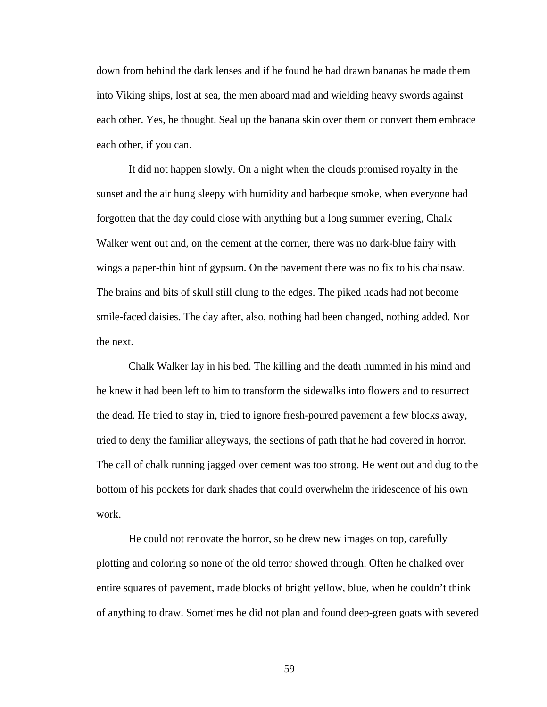down from behind the dark lenses and if he found he had drawn bananas he made them into Viking ships, lost at sea, the men aboard mad and wielding heavy swords against each other. Yes, he thought. Seal up the banana skin over them or convert them embrace each other, if you can.

 It did not happen slowly. On a night when the clouds promised royalty in the sunset and the air hung sleepy with humidity and barbeque smoke, when everyone had forgotten that the day could close with anything but a long summer evening, Chalk Walker went out and, on the cement at the corner, there was no dark-blue fairy with wings a paper-thin hint of gypsum. On the pavement there was no fix to his chainsaw. The brains and bits of skull still clung to the edges. The piked heads had not become smile-faced daisies. The day after, also, nothing had been changed, nothing added. Nor the next.

 Chalk Walker lay in his bed. The killing and the death hummed in his mind and he knew it had been left to him to transform the sidewalks into flowers and to resurrect the dead. He tried to stay in, tried to ignore fresh-poured pavement a few blocks away, tried to deny the familiar alleyways, the sections of path that he had covered in horror. The call of chalk running jagged over cement was too strong. He went out and dug to the bottom of his pockets for dark shades that could overwhelm the iridescence of his own work.

 He could not renovate the horror, so he drew new images on top, carefully plotting and coloring so none of the old terror showed through. Often he chalked over entire squares of pavement, made blocks of bright yellow, blue, when he couldn't think of anything to draw. Sometimes he did not plan and found deep-green goats with severed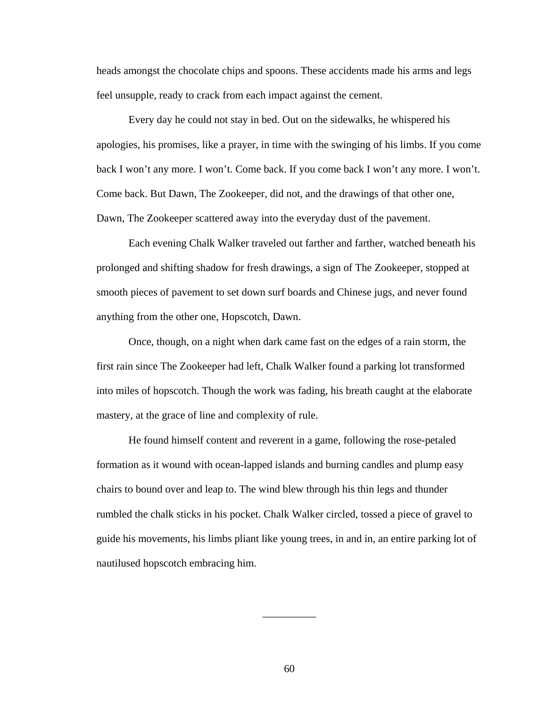heads amongst the chocolate chips and spoons. These accidents made his arms and legs feel unsupple, ready to crack from each impact against the cement.

 Every day he could not stay in bed. Out on the sidewalks, he whispered his apologies, his promises, like a prayer, in time with the swinging of his limbs. If you come back I won't any more. I won't. Come back. If you come back I won't any more. I won't. Come back. But Dawn, The Zookeeper, did not, and the drawings of that other one, Dawn, The Zookeeper scattered away into the everyday dust of the pavement.

 Each evening Chalk Walker traveled out farther and farther, watched beneath his prolonged and shifting shadow for fresh drawings, a sign of The Zookeeper, stopped at smooth pieces of pavement to set down surf boards and Chinese jugs, and never found anything from the other one, Hopscotch, Dawn.

 Once, though, on a night when dark came fast on the edges of a rain storm, the first rain since The Zookeeper had left, Chalk Walker found a parking lot transformed into miles of hopscotch. Though the work was fading, his breath caught at the elaborate mastery, at the grace of line and complexity of rule.

 He found himself content and reverent in a game, following the rose-petaled formation as it wound with ocean-lapped islands and burning candles and plump easy chairs to bound over and leap to. The wind blew through his thin legs and thunder rumbled the chalk sticks in his pocket. Chalk Walker circled, tossed a piece of gravel to guide his movements, his limbs pliant like young trees, in and in, an entire parking lot of nautilused hopscotch embracing him.

\_\_\_\_\_\_\_\_\_\_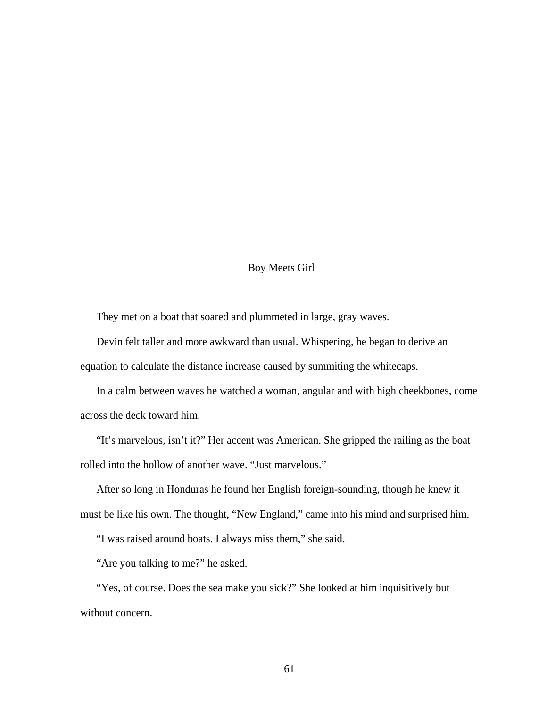## Boy Meets Girl

They met on a boat that soared and plummeted in large, gray waves.

 Devin felt taller and more awkward than usual. Whispering, he began to derive an equation to calculate the distance increase caused by summiting the whitecaps.

 In a calm between waves he watched a woman, angular and with high cheekbones, come across the deck toward him.

 "It's marvelous, isn't it?" Her accent was American. She gripped the railing as the boat rolled into the hollow of another wave. "Just marvelous."

 After so long in Honduras he found her English foreign-sounding, though he knew it must be like his own. The thought, "New England," came into his mind and surprised him.

"I was raised around boats. I always miss them," she said.

"Are you talking to me?" he asked.

 "Yes, of course. Does the sea make you sick?" She looked at him inquisitively but without concern.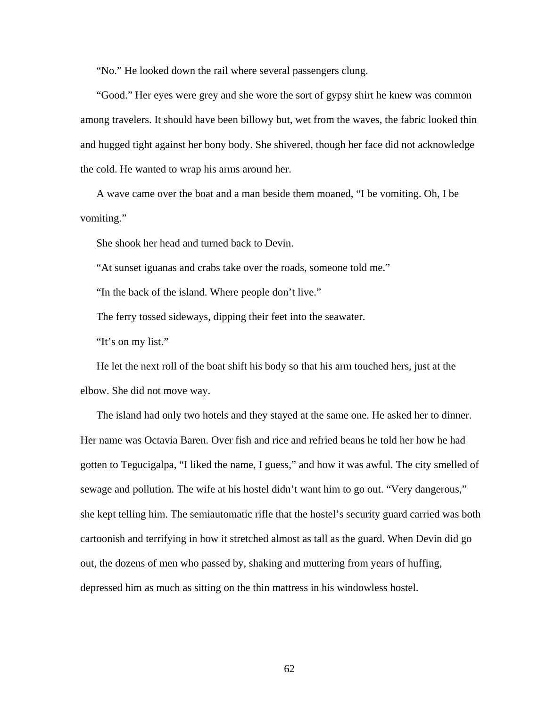"No." He looked down the rail where several passengers clung.

 "Good." Her eyes were grey and she wore the sort of gypsy shirt he knew was common among travelers. It should have been billowy but, wet from the waves, the fabric looked thin and hugged tight against her bony body. She shivered, though her face did not acknowledge the cold. He wanted to wrap his arms around her.

 A wave came over the boat and a man beside them moaned, "I be vomiting. Oh, I be vomiting."

She shook her head and turned back to Devin.

"At sunset iguanas and crabs take over the roads, someone told me."

"In the back of the island. Where people don't live."

The ferry tossed sideways, dipping their feet into the seawater.

"It's on my list."

 He let the next roll of the boat shift his body so that his arm touched hers, just at the elbow. She did not move way.

 The island had only two hotels and they stayed at the same one. He asked her to dinner. Her name was Octavia Baren. Over fish and rice and refried beans he told her how he had gotten to Tegucigalpa, "I liked the name, I guess," and how it was awful. The city smelled of sewage and pollution. The wife at his hostel didn't want him to go out. "Very dangerous," she kept telling him. The semiautomatic rifle that the hostel's security guard carried was both cartoonish and terrifying in how it stretched almost as tall as the guard. When Devin did go out, the dozens of men who passed by, shaking and muttering from years of huffing, depressed him as much as sitting on the thin mattress in his windowless hostel.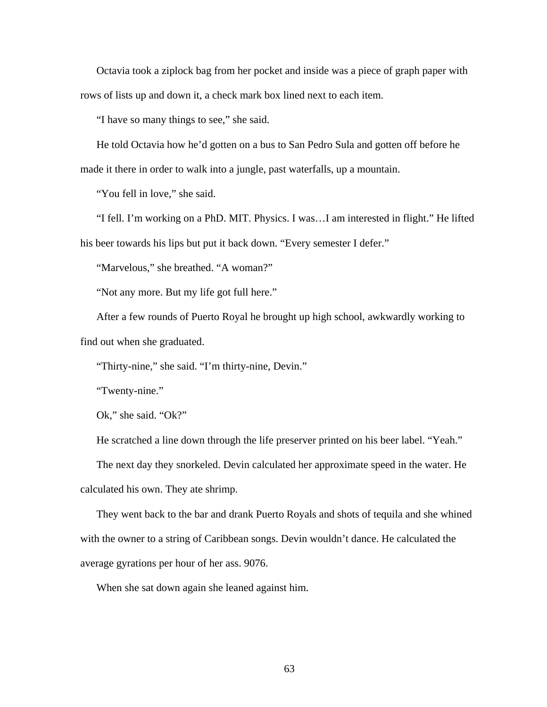Octavia took a ziplock bag from her pocket and inside was a piece of graph paper with rows of lists up and down it, a check mark box lined next to each item.

"I have so many things to see," she said.

 He told Octavia how he'd gotten on a bus to San Pedro Sula and gotten off before he made it there in order to walk into a jungle, past waterfalls, up a mountain.

"You fell in love," she said.

 "I fell. I'm working on a PhD. MIT. Physics. I was…I am interested in flight." He lifted his beer towards his lips but put it back down. "Every semester I defer."

"Marvelous," she breathed. "A woman?"

"Not any more. But my life got full here."

 After a few rounds of Puerto Royal he brought up high school, awkwardly working to find out when she graduated.

"Thirty-nine," she said. "I'm thirty-nine, Devin."

"Twenty-nine."

Ok," she said. "Ok?"

He scratched a line down through the life preserver printed on his beer label. "Yeah."

 The next day they snorkeled. Devin calculated her approximate speed in the water. He calculated his own. They ate shrimp.

 They went back to the bar and drank Puerto Royals and shots of tequila and she whined with the owner to a string of Caribbean songs. Devin wouldn't dance. He calculated the average gyrations per hour of her ass. 9076.

When she sat down again she leaned against him.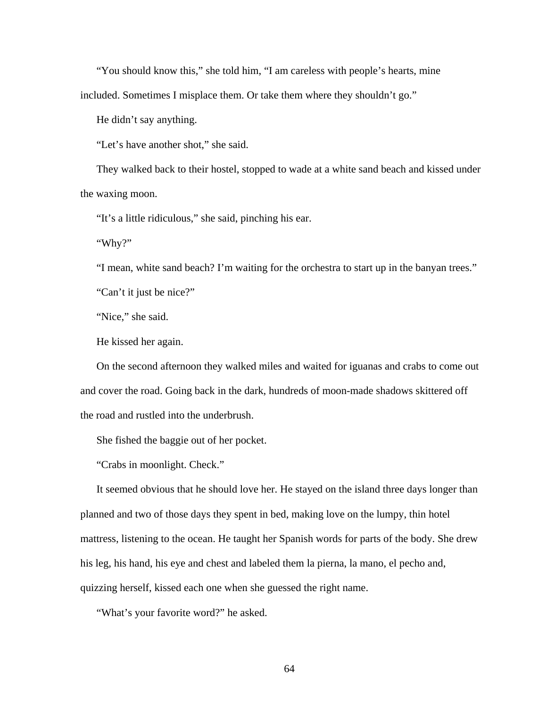"You should know this," she told him, "I am careless with people's hearts, mine

included. Sometimes I misplace them. Or take them where they shouldn't go."

He didn't say anything.

"Let's have another shot," she said.

 They walked back to their hostel, stopped to wade at a white sand beach and kissed under the waxing moon.

"It's a little ridiculous," she said, pinching his ear.

"Why?"

"I mean, white sand beach? I'm waiting for the orchestra to start up in the banyan trees."

"Can't it just be nice?"

"Nice," she said.

He kissed her again.

 On the second afternoon they walked miles and waited for iguanas and crabs to come out and cover the road. Going back in the dark, hundreds of moon-made shadows skittered off the road and rustled into the underbrush.

She fished the baggie out of her pocket.

"Crabs in moonlight. Check."

 It seemed obvious that he should love her. He stayed on the island three days longer than planned and two of those days they spent in bed, making love on the lumpy, thin hotel mattress, listening to the ocean. He taught her Spanish words for parts of the body. She drew his leg, his hand, his eye and chest and labeled them la pierna, la mano, el pecho and, quizzing herself, kissed each one when she guessed the right name.

"What's your favorite word?" he asked.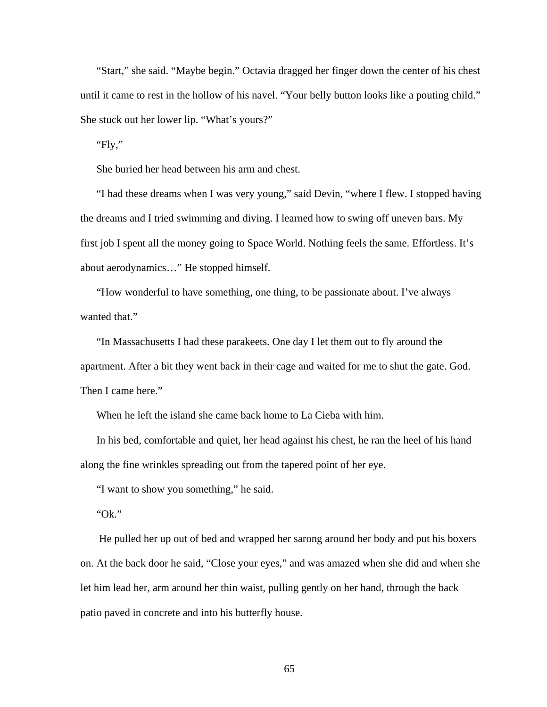"Start," she said. "Maybe begin." Octavia dragged her finger down the center of his chest until it came to rest in the hollow of his navel. "Your belly button looks like a pouting child." She stuck out her lower lip. "What's yours?"

"Fly,"

She buried her head between his arm and chest.

 "I had these dreams when I was very young," said Devin, "where I flew. I stopped having the dreams and I tried swimming and diving. I learned how to swing off uneven bars. My first job I spent all the money going to Space World. Nothing feels the same. Effortless. It's about aerodynamics…" He stopped himself.

 "How wonderful to have something, one thing, to be passionate about. I've always wanted that."

 "In Massachusetts I had these parakeets. One day I let them out to fly around the apartment. After a bit they went back in their cage and waited for me to shut the gate. God. Then I came here."

When he left the island she came back home to La Cieba with him.

 In his bed, comfortable and quiet, her head against his chest, he ran the heel of his hand along the fine wrinkles spreading out from the tapered point of her eye.

"I want to show you something," he said.

"Ok."

 He pulled her up out of bed and wrapped her sarong around her body and put his boxers on. At the back door he said, "Close your eyes," and was amazed when she did and when she let him lead her, arm around her thin waist, pulling gently on her hand, through the back patio paved in concrete and into his butterfly house.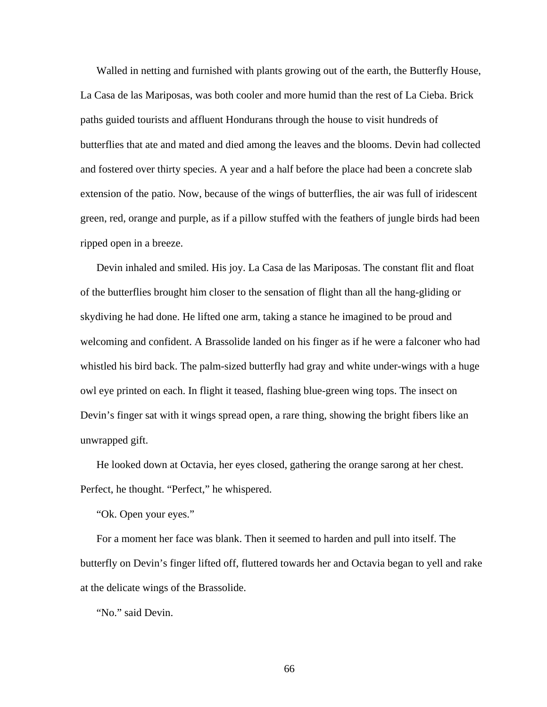Walled in netting and furnished with plants growing out of the earth, the Butterfly House, La Casa de las Mariposas, was both cooler and more humid than the rest of La Cieba. Brick paths guided tourists and affluent Hondurans through the house to visit hundreds of butterflies that ate and mated and died among the leaves and the blooms. Devin had collected and fostered over thirty species. A year and a half before the place had been a concrete slab extension of the patio. Now, because of the wings of butterflies, the air was full of iridescent green, red, orange and purple, as if a pillow stuffed with the feathers of jungle birds had been ripped open in a breeze.

 Devin inhaled and smiled. His joy. La Casa de las Mariposas. The constant flit and float of the butterflies brought him closer to the sensation of flight than all the hang-gliding or skydiving he had done. He lifted one arm, taking a stance he imagined to be proud and welcoming and confident. A Brassolide landed on his finger as if he were a falconer who had whistled his bird back. The palm-sized butterfly had gray and white under-wings with a huge owl eye printed on each. In flight it teased, flashing blue-green wing tops. The insect on Devin's finger sat with it wings spread open, a rare thing, showing the bright fibers like an unwrapped gift.

 He looked down at Octavia, her eyes closed, gathering the orange sarong at her chest. Perfect, he thought. "Perfect," he whispered.

"Ok. Open your eyes."

 For a moment her face was blank. Then it seemed to harden and pull into itself. The butterfly on Devin's finger lifted off, fluttered towards her and Octavia began to yell and rake at the delicate wings of the Brassolide.

"No." said Devin.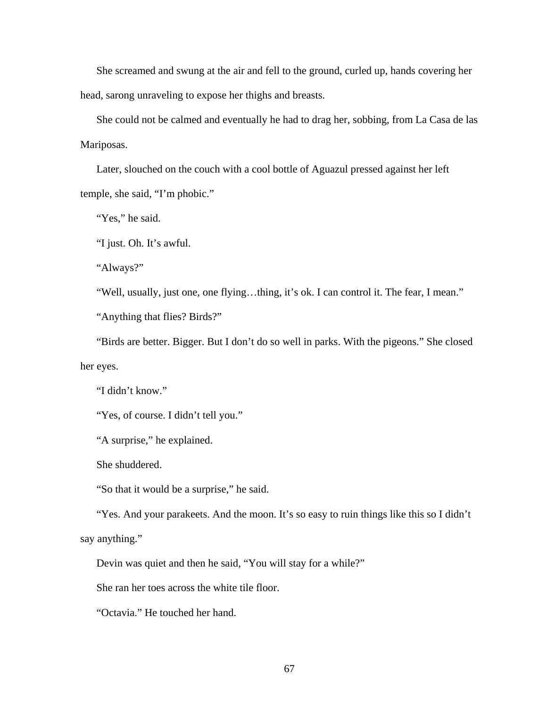She screamed and swung at the air and fell to the ground, curled up, hands covering her head, sarong unraveling to expose her thighs and breasts.

 She could not be calmed and eventually he had to drag her, sobbing, from La Casa de las Mariposas.

 Later, slouched on the couch with a cool bottle of Aguazul pressed against her left temple, she said, "I'm phobic."

"Yes," he said.

"I just. Oh. It's awful.

"Always?"

"Well, usually, just one, one flying…thing, it's ok. I can control it. The fear, I mean."

"Anything that flies? Birds?"

 "Birds are better. Bigger. But I don't do so well in parks. With the pigeons." She closed her eyes.

"I didn't know."

"Yes, of course. I didn't tell you."

"A surprise," he explained.

She shuddered.

"So that it would be a surprise," he said.

 "Yes. And your parakeets. And the moon. It's so easy to ruin things like this so I didn't say anything."

Devin was quiet and then he said, "You will stay for a while?"

She ran her toes across the white tile floor.

"Octavia." He touched her hand.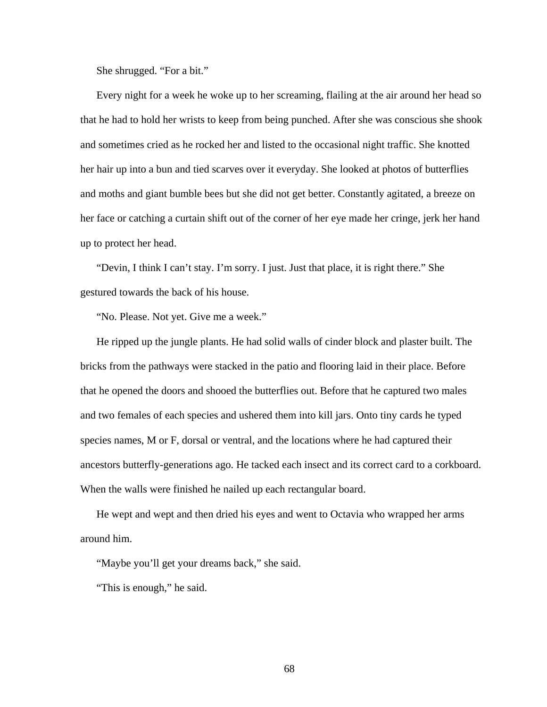She shrugged. "For a bit."

 Every night for a week he woke up to her screaming, flailing at the air around her head so that he had to hold her wrists to keep from being punched. After she was conscious she shook and sometimes cried as he rocked her and listed to the occasional night traffic. She knotted her hair up into a bun and tied scarves over it everyday. She looked at photos of butterflies and moths and giant bumble bees but she did not get better. Constantly agitated, a breeze on her face or catching a curtain shift out of the corner of her eye made her cringe, jerk her hand up to protect her head.

 "Devin, I think I can't stay. I'm sorry. I just. Just that place, it is right there." She gestured towards the back of his house.

"No. Please. Not yet. Give me a week."

 He ripped up the jungle plants. He had solid walls of cinder block and plaster built. The bricks from the pathways were stacked in the patio and flooring laid in their place. Before that he opened the doors and shooed the butterflies out. Before that he captured two males and two females of each species and ushered them into kill jars. Onto tiny cards he typed species names, M or F, dorsal or ventral, and the locations where he had captured their ancestors butterfly-generations ago. He tacked each insect and its correct card to a corkboard. When the walls were finished he nailed up each rectangular board.

 He wept and wept and then dried his eyes and went to Octavia who wrapped her arms around him.

"Maybe you'll get your dreams back," she said.

"This is enough," he said.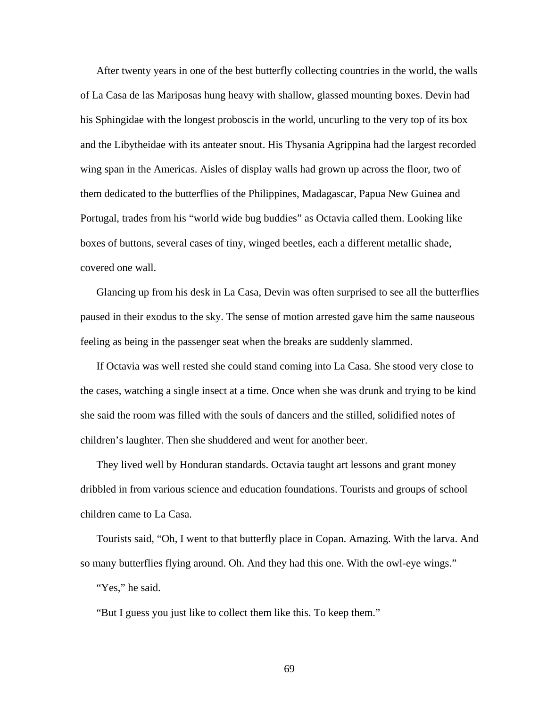After twenty years in one of the best butterfly collecting countries in the world, the walls of La Casa de las Mariposas hung heavy with shallow, glassed mounting boxes. Devin had his Sphingidae with the longest proboscis in the world, uncurling to the very top of its box and the Libytheidae with its anteater snout. His Thysania Agrippina had the largest recorded wing span in the Americas. Aisles of display walls had grown up across the floor, two of them dedicated to the butterflies of the Philippines, Madagascar, Papua New Guinea and Portugal, trades from his "world wide bug buddies" as Octavia called them. Looking like boxes of buttons, several cases of tiny, winged beetles, each a different metallic shade, covered one wall.

 Glancing up from his desk in La Casa, Devin was often surprised to see all the butterflies paused in their exodus to the sky. The sense of motion arrested gave him the same nauseous feeling as being in the passenger seat when the breaks are suddenly slammed.

 If Octavia was well rested she could stand coming into La Casa. She stood very close to the cases, watching a single insect at a time. Once when she was drunk and trying to be kind she said the room was filled with the souls of dancers and the stilled, solidified notes of children's laughter. Then she shuddered and went for another beer.

 They lived well by Honduran standards. Octavia taught art lessons and grant money dribbled in from various science and education foundations. Tourists and groups of school children came to La Casa.

 Tourists said, "Oh, I went to that butterfly place in Copan. Amazing. With the larva. And so many butterflies flying around. Oh. And they had this one. With the owl-eye wings." "Yes," he said.

"But I guess you just like to collect them like this. To keep them."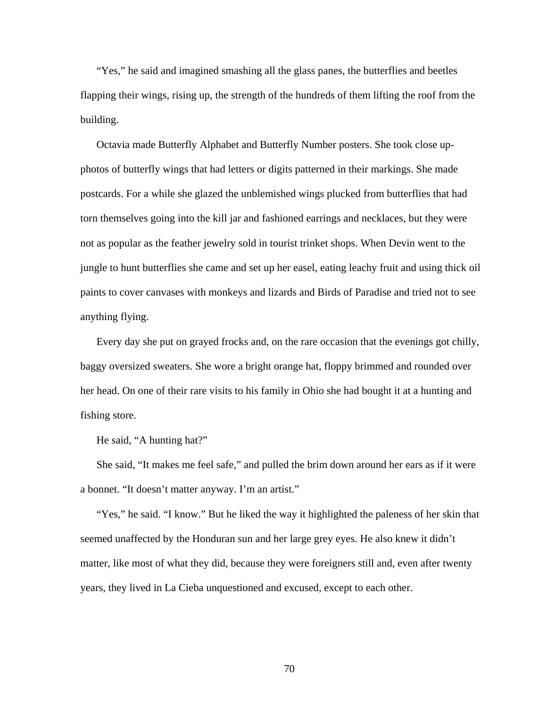"Yes," he said and imagined smashing all the glass panes, the butterflies and beetles flapping their wings, rising up, the strength of the hundreds of them lifting the roof from the building.

 Octavia made Butterfly Alphabet and Butterfly Number posters. She took close upphotos of butterfly wings that had letters or digits patterned in their markings. She made postcards. For a while she glazed the unblemished wings plucked from butterflies that had torn themselves going into the kill jar and fashioned earrings and necklaces, but they were not as popular as the feather jewelry sold in tourist trinket shops. When Devin went to the jungle to hunt butterflies she came and set up her easel, eating leachy fruit and using thick oil paints to cover canvases with monkeys and lizards and Birds of Paradise and tried not to see anything flying.

 Every day she put on grayed frocks and, on the rare occasion that the evenings got chilly, baggy oversized sweaters. She wore a bright orange hat, floppy brimmed and rounded over her head. On one of their rare visits to his family in Ohio she had bought it at a hunting and fishing store.

He said, "A hunting hat?"

 She said, "It makes me feel safe," and pulled the brim down around her ears as if it were a bonnet. "It doesn't matter anyway. I'm an artist."

 "Yes," he said. "I know." But he liked the way it highlighted the paleness of her skin that seemed unaffected by the Honduran sun and her large grey eyes. He also knew it didn't matter, like most of what they did, because they were foreigners still and, even after twenty years, they lived in La Cieba unquestioned and excused, except to each other.

70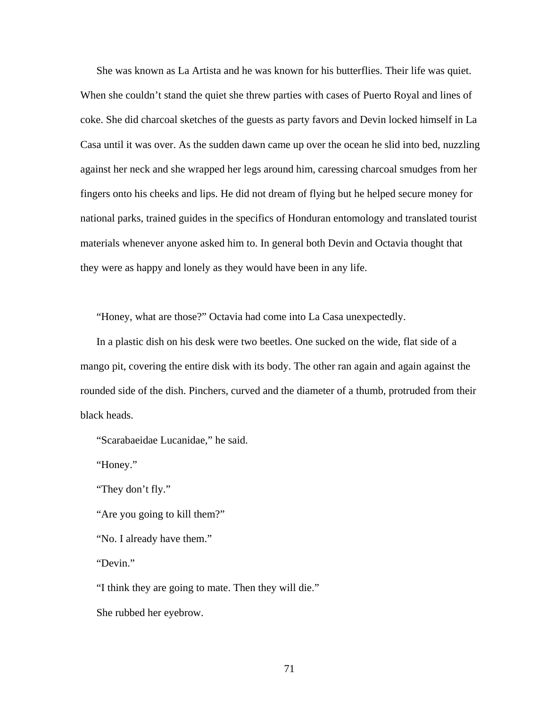She was known as La Artista and he was known for his butterflies. Their life was quiet. When she couldn't stand the quiet she threw parties with cases of Puerto Royal and lines of coke. She did charcoal sketches of the guests as party favors and Devin locked himself in La Casa until it was over. As the sudden dawn came up over the ocean he slid into bed, nuzzling against her neck and she wrapped her legs around him, caressing charcoal smudges from her fingers onto his cheeks and lips. He did not dream of flying but he helped secure money for national parks, trained guides in the specifics of Honduran entomology and translated tourist materials whenever anyone asked him to. In general both Devin and Octavia thought that they were as happy and lonely as they would have been in any life.

"Honey, what are those?" Octavia had come into La Casa unexpectedly.

 In a plastic dish on his desk were two beetles. One sucked on the wide, flat side of a mango pit, covering the entire disk with its body. The other ran again and again against the rounded side of the dish. Pinchers, curved and the diameter of a thumb, protruded from their black heads.

"Scarabaeidae Lucanidae," he said.

"Honey."

"They don't fly."

"Are you going to kill them?"

"No. I already have them."

"Devin."

"I think they are going to mate. Then they will die."

She rubbed her eyebrow.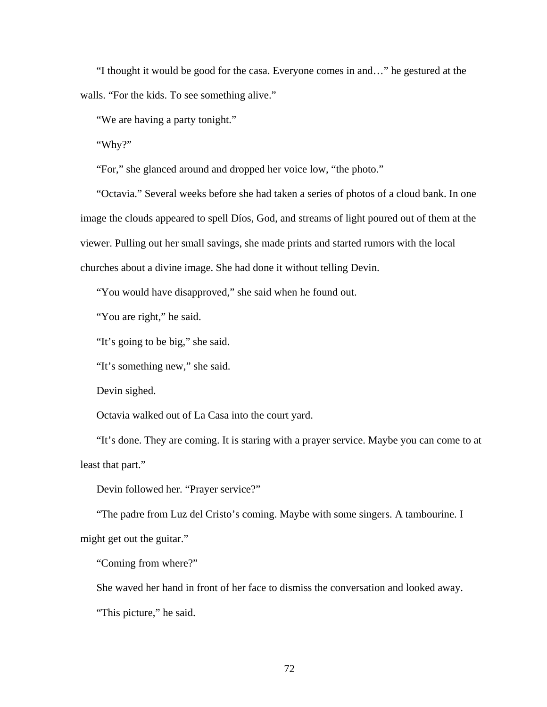"I thought it would be good for the casa. Everyone comes in and…" he gestured at the walls. "For the kids. To see something alive."

"We are having a party tonight."

"Why?"

"For," she glanced around and dropped her voice low, "the photo."

 "Octavia." Several weeks before she had taken a series of photos of a cloud bank. In one image the clouds appeared to spell Díos, God, and streams of light poured out of them at the viewer. Pulling out her small savings, she made prints and started rumors with the local churches about a divine image. She had done it without telling Devin.

"You would have disapproved," she said when he found out.

"You are right," he said.

"It's going to be big," she said.

"It's something new," she said.

Devin sighed.

Octavia walked out of La Casa into the court yard.

 "It's done. They are coming. It is staring with a prayer service. Maybe you can come to at least that part."

Devin followed her. "Prayer service?"

 "The padre from Luz del Cristo's coming. Maybe with some singers. A tambourine. I might get out the guitar."

"Coming from where?"

She waved her hand in front of her face to dismiss the conversation and looked away.

"This picture," he said.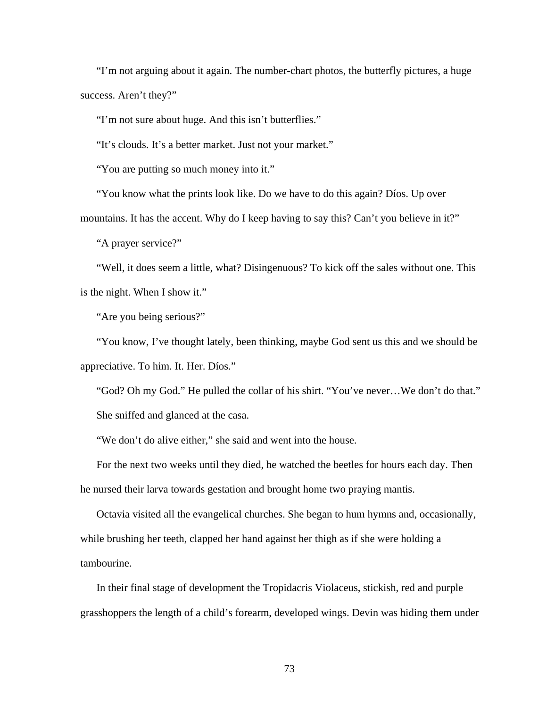"I'm not arguing about it again. The number-chart photos, the butterfly pictures, a huge success. Aren't they?"

"I'm not sure about huge. And this isn't butterflies."

"It's clouds. It's a better market. Just not your market."

"You are putting so much money into it."

"You know what the prints look like. Do we have to do this again? Díos. Up over

mountains. It has the accent. Why do I keep having to say this? Can't you believe in it?"

"A prayer service?"

 "Well, it does seem a little, what? Disingenuous? To kick off the sales without one. This is the night. When I show it."

"Are you being serious?"

 "You know, I've thought lately, been thinking, maybe God sent us this and we should be appreciative. To him. It. Her. Díos."

 "God? Oh my God." He pulled the collar of his shirt. "You've never…We don't do that." She sniffed and glanced at the casa.

"We don't do alive either," she said and went into the house.

 For the next two weeks until they died, he watched the beetles for hours each day. Then he nursed their larva towards gestation and brought home two praying mantis.

 Octavia visited all the evangelical churches. She began to hum hymns and, occasionally, while brushing her teeth, clapped her hand against her thigh as if she were holding a tambourine.

 In their final stage of development the Tropidacris Violaceus, stickish, red and purple grasshoppers the length of a child's forearm, developed wings. Devin was hiding them under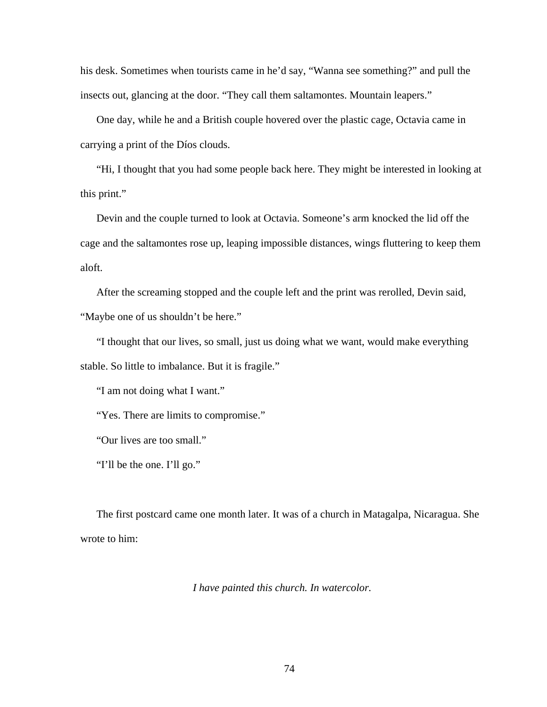his desk. Sometimes when tourists came in he'd say, "Wanna see something?" and pull the insects out, glancing at the door. "They call them saltamontes. Mountain leapers."

 One day, while he and a British couple hovered over the plastic cage, Octavia came in carrying a print of the Díos clouds.

 "Hi, I thought that you had some people back here. They might be interested in looking at this print."

 Devin and the couple turned to look at Octavia. Someone's arm knocked the lid off the cage and the saltamontes rose up, leaping impossible distances, wings fluttering to keep them aloft.

 After the screaming stopped and the couple left and the print was rerolled, Devin said, "Maybe one of us shouldn't be here."

 "I thought that our lives, so small, just us doing what we want, would make everything stable. So little to imbalance. But it is fragile."

"I am not doing what I want."

"Yes. There are limits to compromise."

"Our lives are too small."

"I'll be the one. I'll go."

 The first postcard came one month later. It was of a church in Matagalpa, Nicaragua. She wrote to him:

*I have painted this church. In watercolor.*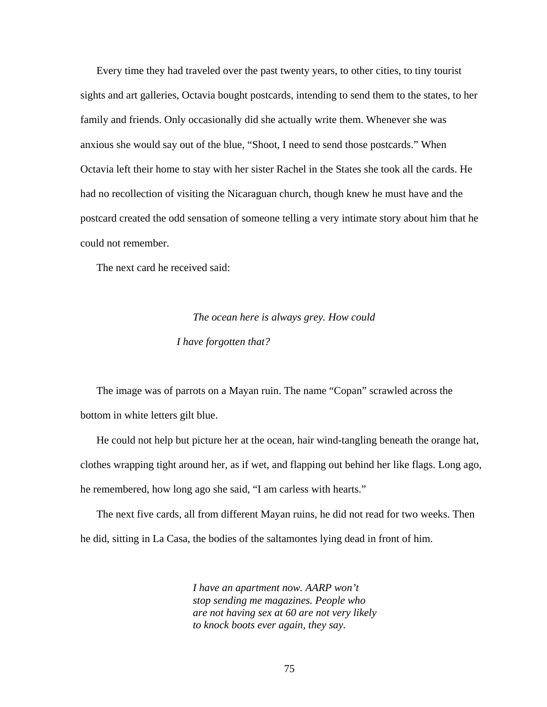Every time they had traveled over the past twenty years, to other cities, to tiny tourist sights and art galleries, Octavia bought postcards, intending to send them to the states, to her family and friends. Only occasionally did she actually write them. Whenever she was anxious she would say out of the blue, "Shoot, I need to send those postcards." When Octavia left their home to stay with her sister Rachel in the States she took all the cards. He had no recollection of visiting the Nicaraguan church, though knew he must have and the postcard created the odd sensation of someone telling a very intimate story about him that he could not remember.

The next card he received said:

# *The ocean here is always grey. How could I have forgotten that?*

 The image was of parrots on a Mayan ruin. The name "Copan" scrawled across the bottom in white letters gilt blue.

 He could not help but picture her at the ocean, hair wind-tangling beneath the orange hat, clothes wrapping tight around her, as if wet, and flapping out behind her like flags. Long ago, he remembered, how long ago she said, "I am carless with hearts."

 The next five cards, all from different Mayan ruins, he did not read for two weeks. Then he did, sitting in La Casa, the bodies of the saltamontes lying dead in front of him.

> *I have an apartment now. AARP won't stop sending me magazines. People who are not having sex at 60 are not very likely to knock boots ever again, they say.*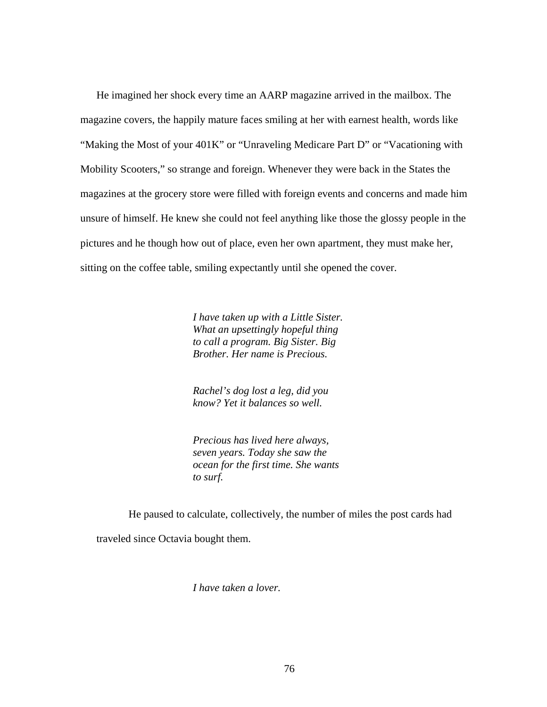He imagined her shock every time an AARP magazine arrived in the mailbox. The magazine covers, the happily mature faces smiling at her with earnest health, words like "Making the Most of your 401K" or "Unraveling Medicare Part D" or "Vacationing with Mobility Scooters," so strange and foreign. Whenever they were back in the States the magazines at the grocery store were filled with foreign events and concerns and made him unsure of himself. He knew she could not feel anything like those the glossy people in the pictures and he though how out of place, even her own apartment, they must make her, sitting on the coffee table, smiling expectantly until she opened the cover.

> *I have taken up with a Little Sister. What an upsettingly hopeful thing to call a program. Big Sister. Big Brother. Her name is Precious.*

*Rachel's dog lost a leg, did you know? Yet it balances so well.* 

*Precious has lived here always, seven years. Today she saw the ocean for the first time. She wants to surf.* 

 He paused to calculate, collectively, the number of miles the post cards had traveled since Octavia bought them.

*I have taken a lover.*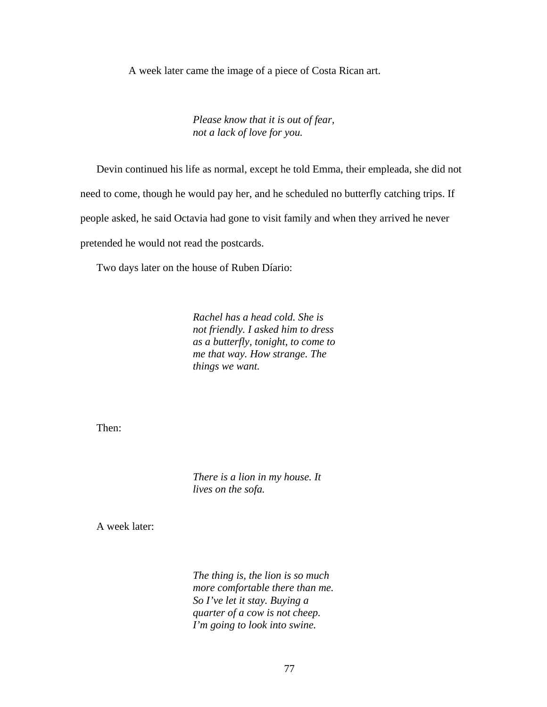A week later came the image of a piece of Costa Rican art.

*Please know that it is out of fear, not a lack of love for you.* 

 Devin continued his life as normal, except he told Emma, their empleada, she did not need to come, though he would pay her, and he scheduled no butterfly catching trips. If people asked, he said Octavia had gone to visit family and when they arrived he never pretended he would not read the postcards.

Two days later on the house of Ruben Díario:

*Rachel has a head cold. She is not friendly. I asked him to dress as a butterfly, tonight, to come to me that way. How strange. The things we want.* 

Then:

*There is a lion in my house. It lives on the sofa.* 

A week later:

*The thing is, the lion is so much more comfortable there than me. So I've let it stay. Buying a quarter of a cow is not cheep. I'm going to look into swine.*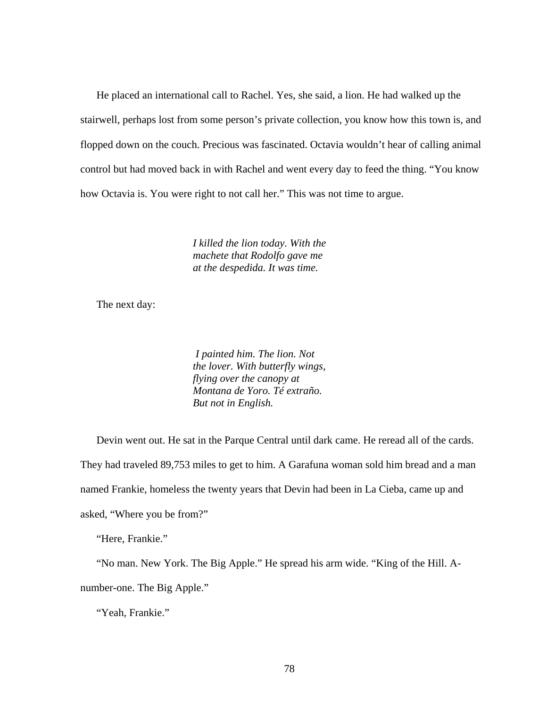He placed an international call to Rachel. Yes, she said, a lion. He had walked up the stairwell, perhaps lost from some person's private collection, you know how this town is, and flopped down on the couch. Precious was fascinated. Octavia wouldn't hear of calling animal control but had moved back in with Rachel and went every day to feed the thing. "You know how Octavia is. You were right to not call her." This was not time to argue.

> *I killed the lion today. With the machete that Rodolfo gave me at the despedida. It was time.*

The next day:

 *I painted him. The lion. Not the lover. With butterfly wings, flying over the canopy at Montana de Yoro. Té extraño. But not in English.* 

 Devin went out. He sat in the Parque Central until dark came. He reread all of the cards. They had traveled 89,753 miles to get to him. A Garafuna woman sold him bread and a man named Frankie, homeless the twenty years that Devin had been in La Cieba, came up and asked, "Where you be from?"

"Here, Frankie."

 "No man. New York. The Big Apple." He spread his arm wide. "King of the Hill. Anumber-one. The Big Apple."

"Yeah, Frankie."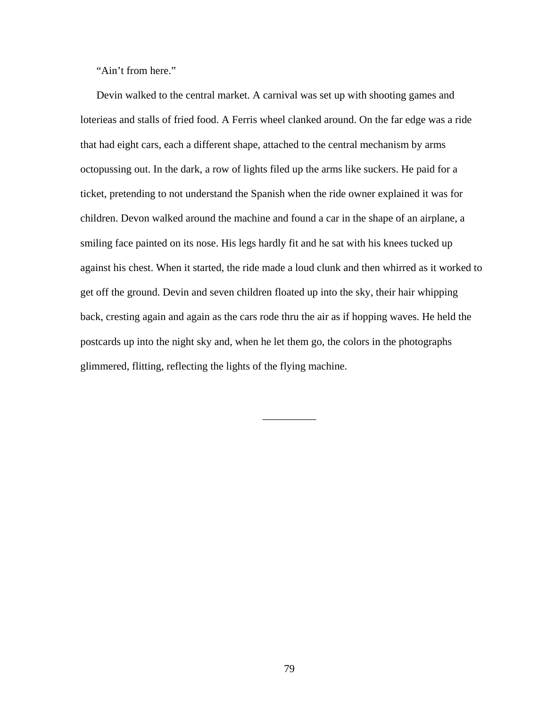"Ain't from here."

 Devin walked to the central market. A carnival was set up with shooting games and loterieas and stalls of fried food. A Ferris wheel clanked around. On the far edge was a ride that had eight cars, each a different shape, attached to the central mechanism by arms octopussing out. In the dark, a row of lights filed up the arms like suckers. He paid for a ticket, pretending to not understand the Spanish when the ride owner explained it was for children. Devon walked around the machine and found a car in the shape of an airplane, a smiling face painted on its nose. His legs hardly fit and he sat with his knees tucked up against his chest. When it started, the ride made a loud clunk and then whirred as it worked to get off the ground. Devin and seven children floated up into the sky, their hair whipping back, cresting again and again as the cars rode thru the air as if hopping waves. He held the postcards up into the night sky and, when he let them go, the colors in the photographs glimmered, flitting, reflecting the lights of the flying machine.

 $\overline{\phantom{a}}$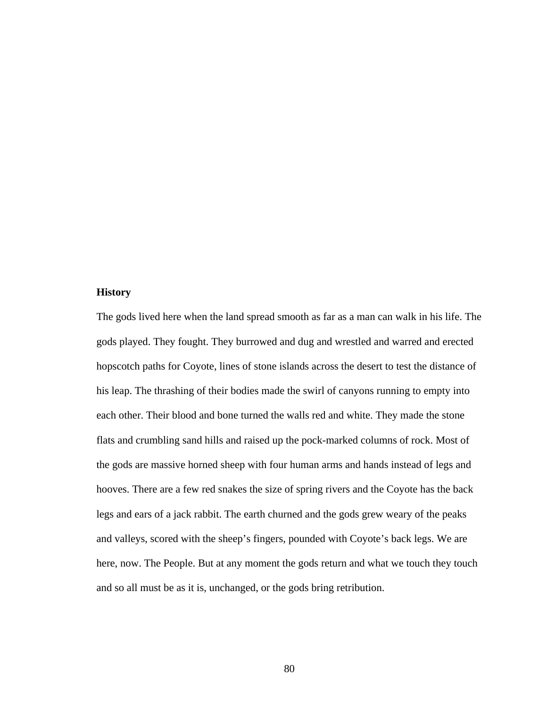## **History**

The gods lived here when the land spread smooth as far as a man can walk in his life. The gods played. They fought. They burrowed and dug and wrestled and warred and erected hopscotch paths for Coyote, lines of stone islands across the desert to test the distance of his leap. The thrashing of their bodies made the swirl of canyons running to empty into each other. Their blood and bone turned the walls red and white. They made the stone flats and crumbling sand hills and raised up the pock-marked columns of rock. Most of the gods are massive horned sheep with four human arms and hands instead of legs and hooves. There are a few red snakes the size of spring rivers and the Coyote has the back legs and ears of a jack rabbit. The earth churned and the gods grew weary of the peaks and valleys, scored with the sheep's fingers, pounded with Coyote's back legs. We are here, now. The People. But at any moment the gods return and what we touch they touch and so all must be as it is, unchanged, or the gods bring retribution.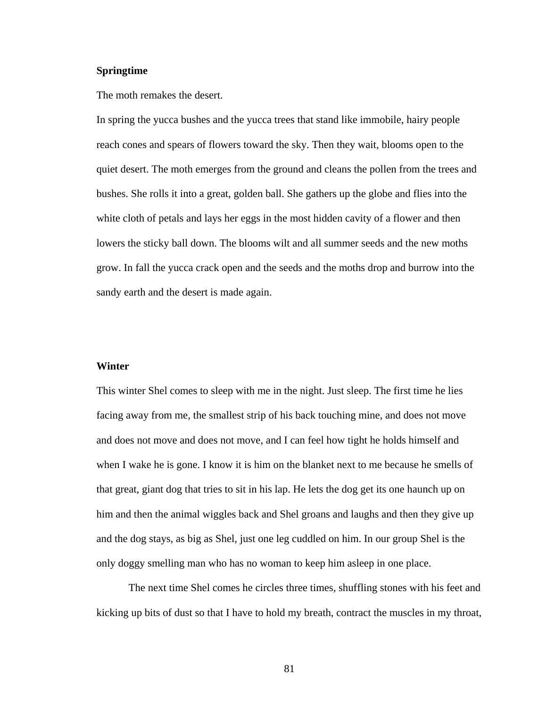## **Springtime**

The moth remakes the desert.

In spring the yucca bushes and the yucca trees that stand like immobile, hairy people reach cones and spears of flowers toward the sky. Then they wait, blooms open to the quiet desert. The moth emerges from the ground and cleans the pollen from the trees and bushes. She rolls it into a great, golden ball. She gathers up the globe and flies into the white cloth of petals and lays her eggs in the most hidden cavity of a flower and then lowers the sticky ball down. The blooms wilt and all summer seeds and the new moths grow. In fall the yucca crack open and the seeds and the moths drop and burrow into the sandy earth and the desert is made again.

#### **Winter**

This winter Shel comes to sleep with me in the night. Just sleep. The first time he lies facing away from me, the smallest strip of his back touching mine, and does not move and does not move and does not move, and I can feel how tight he holds himself and when I wake he is gone. I know it is him on the blanket next to me because he smells of that great, giant dog that tries to sit in his lap. He lets the dog get its one haunch up on him and then the animal wiggles back and Shel groans and laughs and then they give up and the dog stays, as big as Shel, just one leg cuddled on him. In our group Shel is the only doggy smelling man who has no woman to keep him asleep in one place.

 The next time Shel comes he circles three times, shuffling stones with his feet and kicking up bits of dust so that I have to hold my breath, contract the muscles in my throat,

81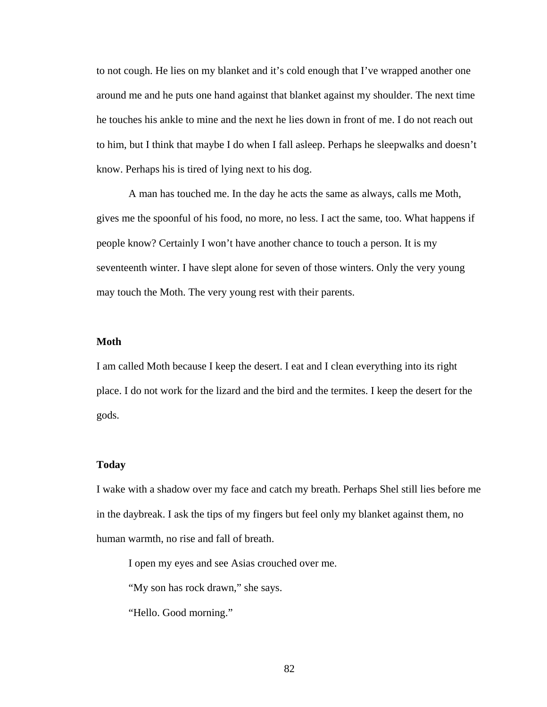to not cough. He lies on my blanket and it's cold enough that I've wrapped another one around me and he puts one hand against that blanket against my shoulder. The next time he touches his ankle to mine and the next he lies down in front of me. I do not reach out to him, but I think that maybe I do when I fall asleep. Perhaps he sleepwalks and doesn't know. Perhaps his is tired of lying next to his dog.

 A man has touched me. In the day he acts the same as always, calls me Moth, gives me the spoonful of his food, no more, no less. I act the same, too. What happens if people know? Certainly I won't have another chance to touch a person. It is my seventeenth winter. I have slept alone for seven of those winters. Only the very young may touch the Moth. The very young rest with their parents.

### **Moth**

I am called Moth because I keep the desert. I eat and I clean everything into its right place. I do not work for the lizard and the bird and the termites. I keep the desert for the gods.

#### **Today**

I wake with a shadow over my face and catch my breath. Perhaps Shel still lies before me in the daybreak. I ask the tips of my fingers but feel only my blanket against them, no human warmth, no rise and fall of breath.

I open my eyes and see Asias crouched over me.

"My son has rock drawn," she says.

"Hello. Good morning."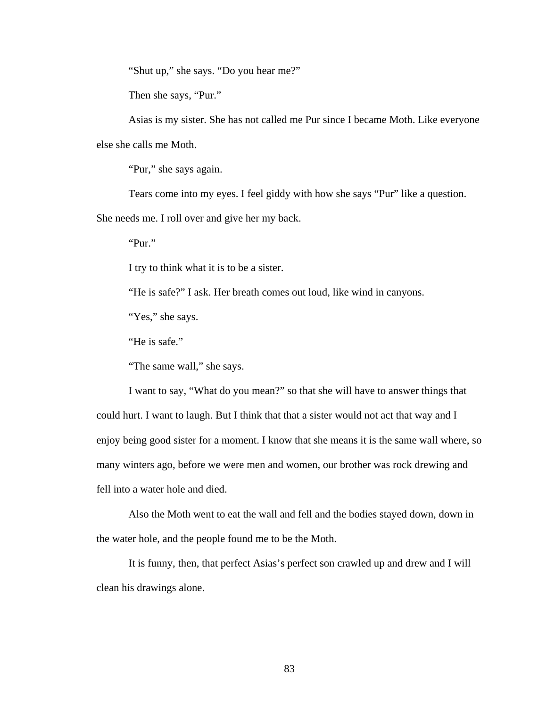"Shut up," she says. "Do you hear me?"

Then she says, "Pur."

 Asias is my sister. She has not called me Pur since I became Moth. Like everyone else she calls me Moth.

"Pur," she says again.

Tears come into my eyes. I feel giddy with how she says "Pur" like a question.

She needs me. I roll over and give her my back.

"Pur."

I try to think what it is to be a sister.

"He is safe?" I ask. Her breath comes out loud, like wind in canyons.

"Yes," she says.

"He is safe."

"The same wall," she says.

 I want to say, "What do you mean?" so that she will have to answer things that could hurt. I want to laugh. But I think that that a sister would not act that way and I enjoy being good sister for a moment. I know that she means it is the same wall where, so many winters ago, before we were men and women, our brother was rock drewing and fell into a water hole and died.

 Also the Moth went to eat the wall and fell and the bodies stayed down, down in the water hole, and the people found me to be the Moth.

 It is funny, then, that perfect Asias's perfect son crawled up and drew and I will clean his drawings alone.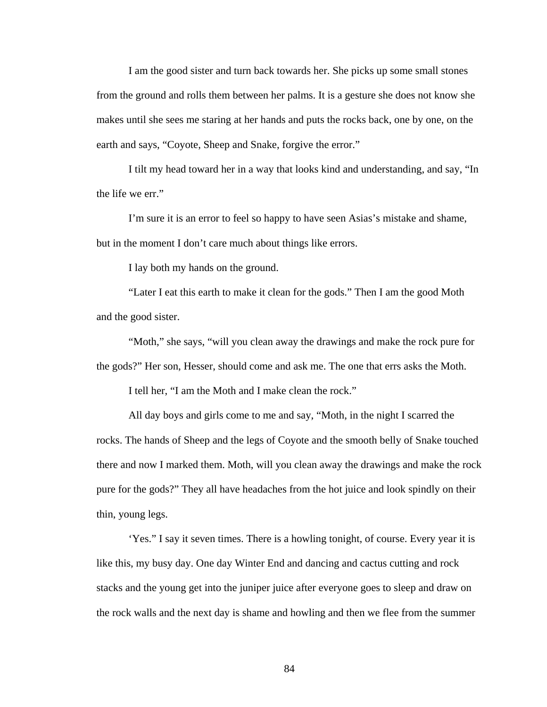I am the good sister and turn back towards her. She picks up some small stones from the ground and rolls them between her palms. It is a gesture she does not know she makes until she sees me staring at her hands and puts the rocks back, one by one, on the earth and says, "Coyote, Sheep and Snake, forgive the error."

 I tilt my head toward her in a way that looks kind and understanding, and say, "In the life we err."

 I'm sure it is an error to feel so happy to have seen Asias's mistake and shame, but in the moment I don't care much about things like errors.

I lay both my hands on the ground.

 "Later I eat this earth to make it clean for the gods." Then I am the good Moth and the good sister.

 "Moth," she says, "will you clean away the drawings and make the rock pure for the gods?" Her son, Hesser, should come and ask me. The one that errs asks the Moth.

I tell her, "I am the Moth and I make clean the rock."

 All day boys and girls come to me and say, "Moth, in the night I scarred the rocks. The hands of Sheep and the legs of Coyote and the smooth belly of Snake touched there and now I marked them. Moth, will you clean away the drawings and make the rock pure for the gods?" They all have headaches from the hot juice and look spindly on their thin, young legs.

 'Yes." I say it seven times. There is a howling tonight, of course. Every year it is like this, my busy day. One day Winter End and dancing and cactus cutting and rock stacks and the young get into the juniper juice after everyone goes to sleep and draw on the rock walls and the next day is shame and howling and then we flee from the summer

84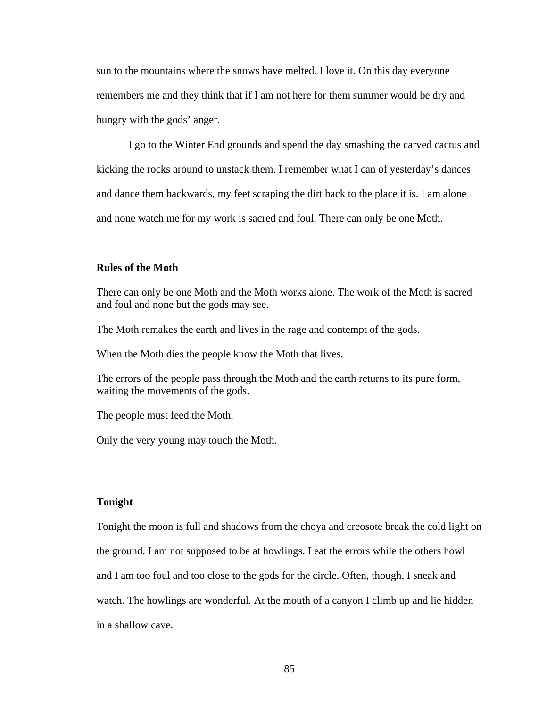sun to the mountains where the snows have melted. I love it. On this day everyone remembers me and they think that if I am not here for them summer would be dry and hungry with the gods' anger.

 I go to the Winter End grounds and spend the day smashing the carved cactus and kicking the rocks around to unstack them. I remember what I can of yesterday's dances and dance them backwards, my feet scraping the dirt back to the place it is. I am alone and none watch me for my work is sacred and foul. There can only be one Moth.

# **Rules of the Moth**

There can only be one Moth and the Moth works alone. The work of the Moth is sacred and foul and none but the gods may see.

The Moth remakes the earth and lives in the rage and contempt of the gods.

When the Moth dies the people know the Moth that lives.

The errors of the people pass through the Moth and the earth returns to its pure form, waiting the movements of the gods.

The people must feed the Moth.

Only the very young may touch the Moth.

### **Tonight**

Tonight the moon is full and shadows from the choya and creosote break the cold light on the ground. I am not supposed to be at howlings. I eat the errors while the others howl and I am too foul and too close to the gods for the circle. Often, though, I sneak and watch. The howlings are wonderful. At the mouth of a canyon I climb up and lie hidden in a shallow cave.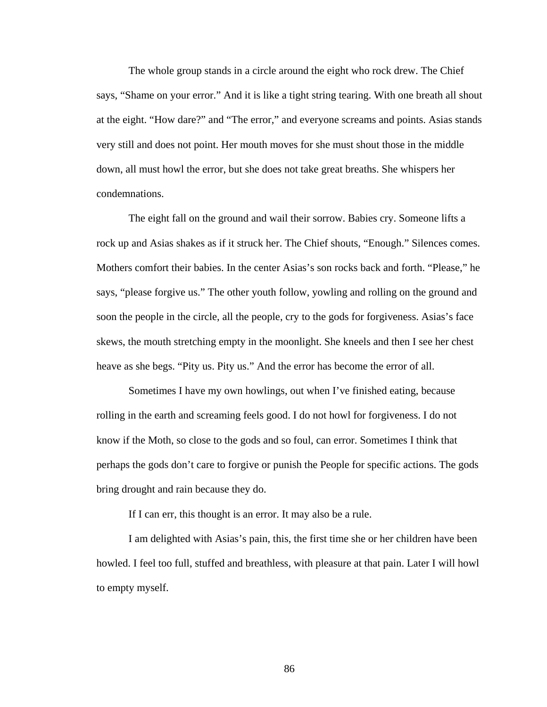The whole group stands in a circle around the eight who rock drew. The Chief says, "Shame on your error." And it is like a tight string tearing. With one breath all shout at the eight. "How dare?" and "The error," and everyone screams and points. Asias stands very still and does not point. Her mouth moves for she must shout those in the middle down, all must howl the error, but she does not take great breaths. She whispers her condemnations.

 The eight fall on the ground and wail their sorrow. Babies cry. Someone lifts a rock up and Asias shakes as if it struck her. The Chief shouts, "Enough." Silences comes. Mothers comfort their babies. In the center Asias's son rocks back and forth. "Please," he says, "please forgive us." The other youth follow, yowling and rolling on the ground and soon the people in the circle, all the people, cry to the gods for forgiveness. Asias's face skews, the mouth stretching empty in the moonlight. She kneels and then I see her chest heave as she begs. "Pity us. Pity us." And the error has become the error of all.

 Sometimes I have my own howlings, out when I've finished eating, because rolling in the earth and screaming feels good. I do not howl for forgiveness. I do not know if the Moth, so close to the gods and so foul, can error. Sometimes I think that perhaps the gods don't care to forgive or punish the People for specific actions. The gods bring drought and rain because they do.

If I can err, this thought is an error. It may also be a rule.

 I am delighted with Asias's pain, this, the first time she or her children have been howled. I feel too full, stuffed and breathless, with pleasure at that pain. Later I will howl to empty myself.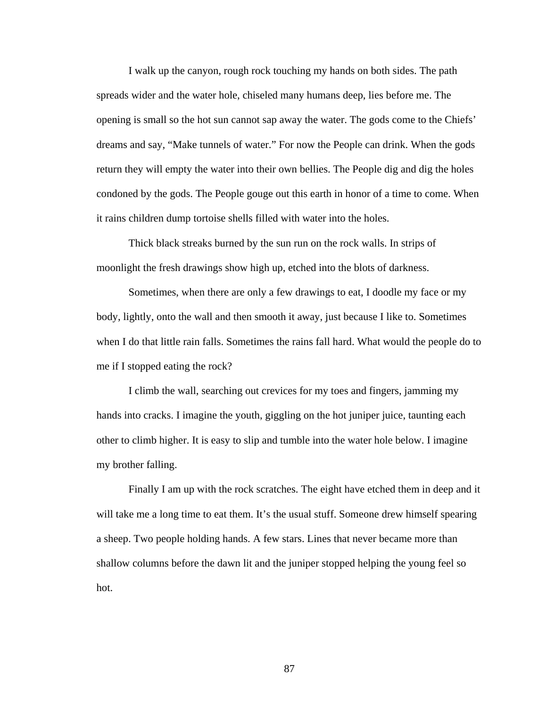I walk up the canyon, rough rock touching my hands on both sides. The path spreads wider and the water hole, chiseled many humans deep, lies before me. The opening is small so the hot sun cannot sap away the water. The gods come to the Chiefs' dreams and say, "Make tunnels of water." For now the People can drink. When the gods return they will empty the water into their own bellies. The People dig and dig the holes condoned by the gods. The People gouge out this earth in honor of a time to come. When it rains children dump tortoise shells filled with water into the holes.

 Thick black streaks burned by the sun run on the rock walls. In strips of moonlight the fresh drawings show high up, etched into the blots of darkness.

 Sometimes, when there are only a few drawings to eat, I doodle my face or my body, lightly, onto the wall and then smooth it away, just because I like to. Sometimes when I do that little rain falls. Sometimes the rains fall hard. What would the people do to me if I stopped eating the rock?

 I climb the wall, searching out crevices for my toes and fingers, jamming my hands into cracks. I imagine the youth, giggling on the hot juniper juice, taunting each other to climb higher. It is easy to slip and tumble into the water hole below. I imagine my brother falling.

 Finally I am up with the rock scratches. The eight have etched them in deep and it will take me a long time to eat them. It's the usual stuff. Someone drew himself spearing a sheep. Two people holding hands. A few stars. Lines that never became more than shallow columns before the dawn lit and the juniper stopped helping the young feel so hot.

87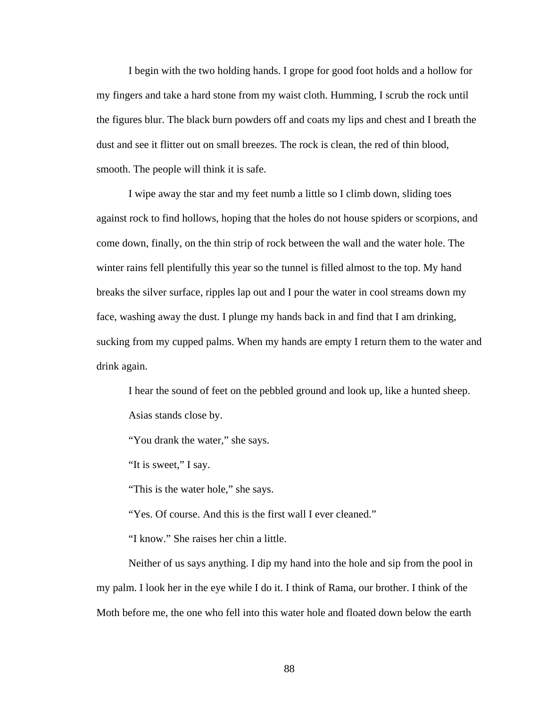I begin with the two holding hands. I grope for good foot holds and a hollow for my fingers and take a hard stone from my waist cloth. Humming, I scrub the rock until the figures blur. The black burn powders off and coats my lips and chest and I breath the dust and see it flitter out on small breezes. The rock is clean, the red of thin blood, smooth. The people will think it is safe.

 I wipe away the star and my feet numb a little so I climb down, sliding toes against rock to find hollows, hoping that the holes do not house spiders or scorpions, and come down, finally, on the thin strip of rock between the wall and the water hole. The winter rains fell plentifully this year so the tunnel is filled almost to the top. My hand breaks the silver surface, ripples lap out and I pour the water in cool streams down my face, washing away the dust. I plunge my hands back in and find that I am drinking, sucking from my cupped palms. When my hands are empty I return them to the water and drink again.

 I hear the sound of feet on the pebbled ground and look up, like a hunted sheep. Asias stands close by.

"You drank the water," she says.

"It is sweet," I say.

"This is the water hole," she says.

"Yes. Of course. And this is the first wall I ever cleaned."

"I know." She raises her chin a little.

 Neither of us says anything. I dip my hand into the hole and sip from the pool in my palm. I look her in the eye while I do it. I think of Rama, our brother. I think of the Moth before me, the one who fell into this water hole and floated down below the earth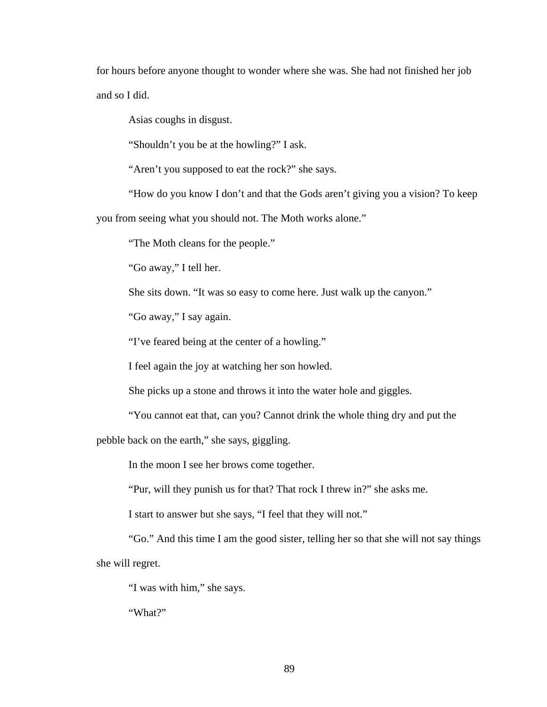for hours before anyone thought to wonder where she was. She had not finished her job and so I did.

Asias coughs in disgust.

"Shouldn't you be at the howling?" I ask.

"Aren't you supposed to eat the rock?" she says.

"How do you know I don't and that the Gods aren't giving you a vision? To keep

you from seeing what you should not. The Moth works alone."

"The Moth cleans for the people."

"Go away," I tell her.

She sits down. "It was so easy to come here. Just walk up the canyon."

"Go away," I say again.

"I've feared being at the center of a howling."

I feel again the joy at watching her son howled.

She picks up a stone and throws it into the water hole and giggles.

"You cannot eat that, can you? Cannot drink the whole thing dry and put the

pebble back on the earth," she says, giggling.

In the moon I see her brows come together.

"Pur, will they punish us for that? That rock I threw in?" she asks me.

I start to answer but she says, "I feel that they will not."

 "Go." And this time I am the good sister, telling her so that she will not say things she will regret.

"I was with him," she says.

"What?"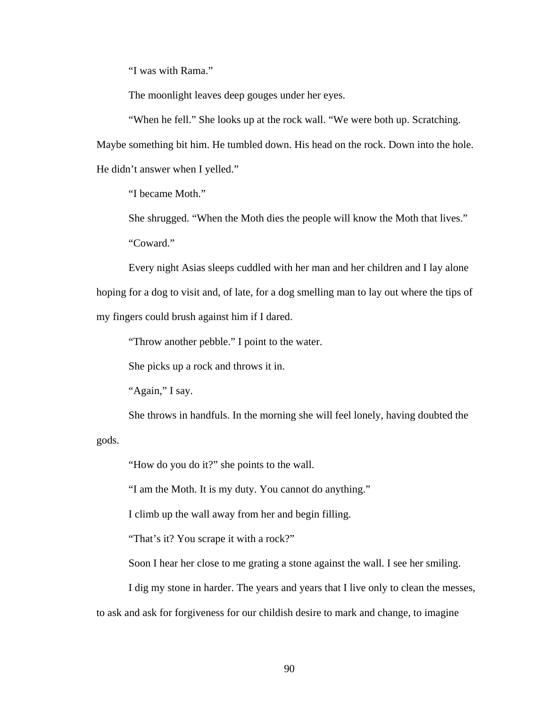"I was with Rama."

The moonlight leaves deep gouges under her eyes.

"When he fell." She looks up at the rock wall. "We were both up. Scratching.

Maybe something bit him. He tumbled down. His head on the rock. Down into the hole.

He didn't answer when I yelled."

"I became Moth."

 She shrugged. "When the Moth dies the people will know the Moth that lives." "Coward."

 Every night Asias sleeps cuddled with her man and her children and I lay alone hoping for a dog to visit and, of late, for a dog smelling man to lay out where the tips of my fingers could brush against him if I dared.

"Throw another pebble." I point to the water.

She picks up a rock and throws it in.

"Again," I say.

She throws in handfuls. In the morning she will feel lonely, having doubted the

gods.

"How do you do it?" she points to the wall.

"I am the Moth. It is my duty. You cannot do anything."

I climb up the wall away from her and begin filling.

"That's it? You scrape it with a rock?"

Soon I hear her close to me grating a stone against the wall. I see her smiling.

I dig my stone in harder. The years and years that I live only to clean the messes,

to ask and ask for forgiveness for our childish desire to mark and change, to imagine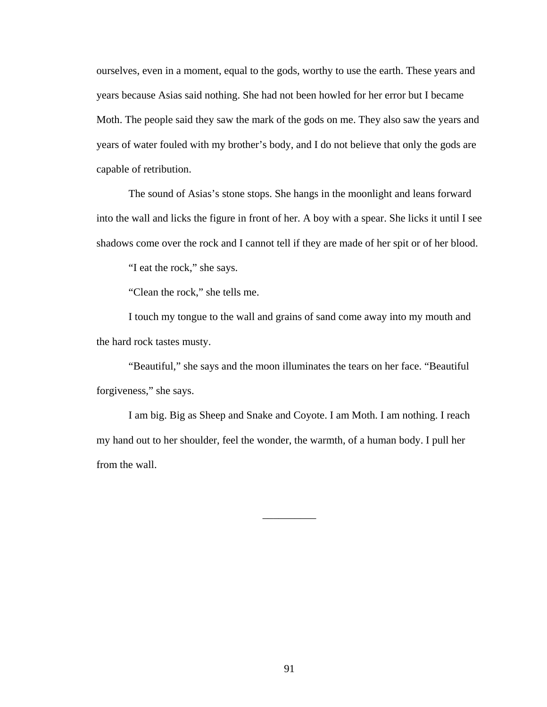ourselves, even in a moment, equal to the gods, worthy to use the earth. These years and years because Asias said nothing. She had not been howled for her error but I became Moth. The people said they saw the mark of the gods on me. They also saw the years and years of water fouled with my brother's body, and I do not believe that only the gods are capable of retribution.

 The sound of Asias's stone stops. She hangs in the moonlight and leans forward into the wall and licks the figure in front of her. A boy with a spear. She licks it until I see shadows come over the rock and I cannot tell if they are made of her spit or of her blood.

"I eat the rock," she says.

"Clean the rock," she tells me.

 I touch my tongue to the wall and grains of sand come away into my mouth and the hard rock tastes musty.

 "Beautiful," she says and the moon illuminates the tears on her face. "Beautiful forgiveness," she says.

 I am big. Big as Sheep and Snake and Coyote. I am Moth. I am nothing. I reach my hand out to her shoulder, feel the wonder, the warmth, of a human body. I pull her from the wall.

\_\_\_\_\_\_\_\_\_\_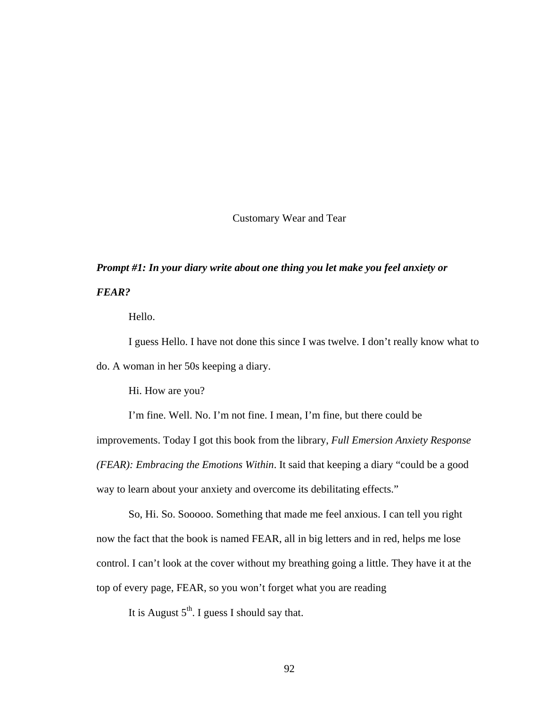Customary Wear and Tear

# *Prompt #1: In your diary write about one thing you let make you feel anxiety or FEAR?*

Hello.

 I guess Hello. I have not done this since I was twelve. I don't really know what to do. A woman in her 50s keeping a diary.

Hi. How are you?

 I'm fine. Well. No. I'm not fine. I mean, I'm fine, but there could be improvements. Today I got this book from the library, *Full Emersion Anxiety Response (FEAR): Embracing the Emotions Within*. It said that keeping a diary "could be a good way to learn about your anxiety and overcome its debilitating effects."

 So, Hi. So. Sooooo. Something that made me feel anxious. I can tell you right now the fact that the book is named FEAR, all in big letters and in red, helps me lose control. I can't look at the cover without my breathing going a little. They have it at the top of every page, FEAR, so you won't forget what you are reading

It is August  $5<sup>th</sup>$ . I guess I should say that.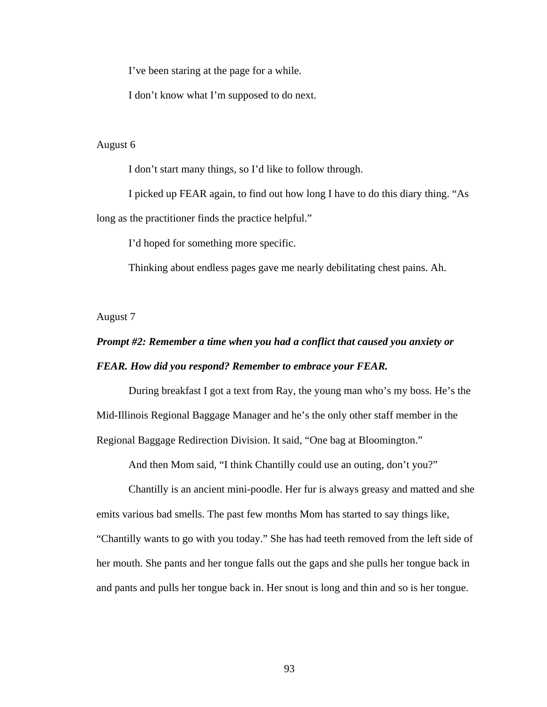I've been staring at the page for a while.

I don't know what I'm supposed to do next.

### August 6

I don't start many things, so I'd like to follow through.

 I picked up FEAR again, to find out how long I have to do this diary thing. "As long as the practitioner finds the practice helpful."

I'd hoped for something more specific.

Thinking about endless pages gave me nearly debilitating chest pains. Ah.

August 7

# *Prompt #2: Remember a time when you had a conflict that caused you anxiety or FEAR. How did you respond? Remember to embrace your FEAR.*

 During breakfast I got a text from Ray, the young man who's my boss. He's the Mid-Illinois Regional Baggage Manager and he's the only other staff member in the Regional Baggage Redirection Division. It said, "One bag at Bloomington."

And then Mom said, "I think Chantilly could use an outing, don't you?"

 Chantilly is an ancient mini-poodle. Her fur is always greasy and matted and she emits various bad smells. The past few months Mom has started to say things like, "Chantilly wants to go with you today." She has had teeth removed from the left side of her mouth. She pants and her tongue falls out the gaps and she pulls her tongue back in and pants and pulls her tongue back in. Her snout is long and thin and so is her tongue.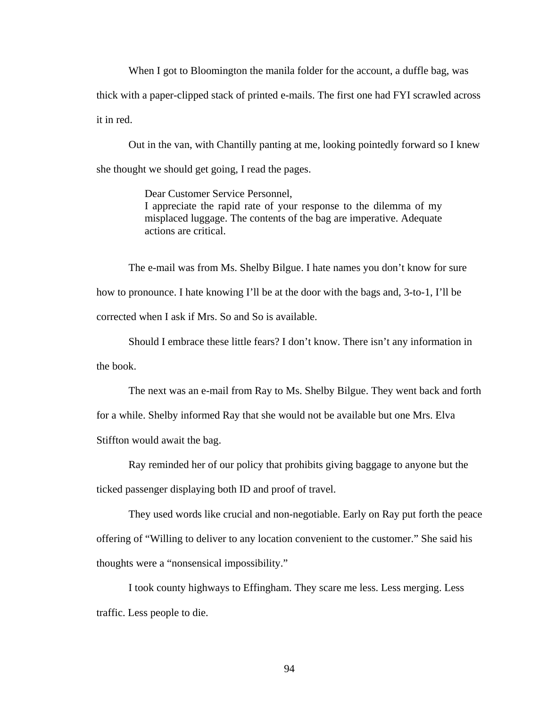When I got to Bloomington the manila folder for the account, a duffle bag, was thick with a paper-clipped stack of printed e-mails. The first one had FYI scrawled across it in red.

 Out in the van, with Chantilly panting at me, looking pointedly forward so I knew she thought we should get going, I read the pages.

> Dear Customer Service Personnel, I appreciate the rapid rate of your response to the dilemma of my misplaced luggage. The contents of the bag are imperative. Adequate actions are critical.

 The e-mail was from Ms. Shelby Bilgue. I hate names you don't know for sure how to pronounce. I hate knowing I'll be at the door with the bags and, 3-to-1, I'll be corrected when I ask if Mrs. So and So is available.

 Should I embrace these little fears? I don't know. There isn't any information in the book.

 The next was an e-mail from Ray to Ms. Shelby Bilgue. They went back and forth for a while. Shelby informed Ray that she would not be available but one Mrs. Elva Stiffton would await the bag.

 Ray reminded her of our policy that prohibits giving baggage to anyone but the ticked passenger displaying both ID and proof of travel.

 They used words like crucial and non-negotiable. Early on Ray put forth the peace offering of "Willing to deliver to any location convenient to the customer." She said his thoughts were a "nonsensical impossibility."

 I took county highways to Effingham. They scare me less. Less merging. Less traffic. Less people to die.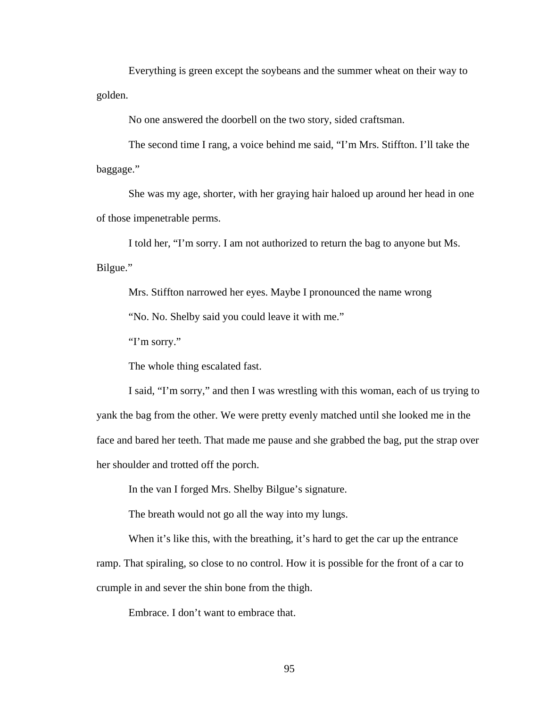Everything is green except the soybeans and the summer wheat on their way to golden.

No one answered the doorbell on the two story, sided craftsman.

 The second time I rang, a voice behind me said, "I'm Mrs. Stiffton. I'll take the baggage."

 She was my age, shorter, with her graying hair haloed up around her head in one of those impenetrable perms.

 I told her, "I'm sorry. I am not authorized to return the bag to anyone but Ms. Bilgue."

Mrs. Stiffton narrowed her eyes. Maybe I pronounced the name wrong

"No. No. Shelby said you could leave it with me."

"I'm sorry."

The whole thing escalated fast.

 I said, "I'm sorry," and then I was wrestling with this woman, each of us trying to yank the bag from the other. We were pretty evenly matched until she looked me in the face and bared her teeth. That made me pause and she grabbed the bag, put the strap over her shoulder and trotted off the porch.

In the van I forged Mrs. Shelby Bilgue's signature.

The breath would not go all the way into my lungs.

When it's like this, with the breathing, it's hard to get the car up the entrance ramp. That spiraling, so close to no control. How it is possible for the front of a car to crumple in and sever the shin bone from the thigh.

Embrace. I don't want to embrace that.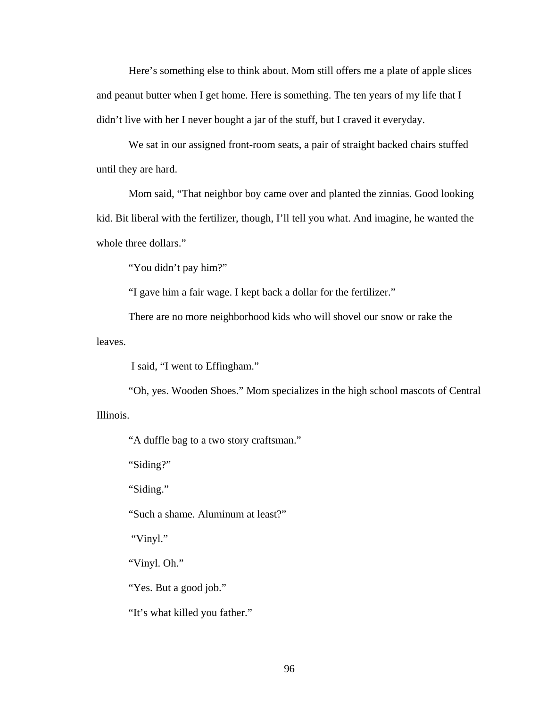Here's something else to think about. Mom still offers me a plate of apple slices and peanut butter when I get home. Here is something. The ten years of my life that I didn't live with her I never bought a jar of the stuff, but I craved it everyday.

 We sat in our assigned front-room seats, a pair of straight backed chairs stuffed until they are hard.

 Mom said, "That neighbor boy came over and planted the zinnias. Good looking kid. Bit liberal with the fertilizer, though, I'll tell you what. And imagine, he wanted the whole three dollars."

"You didn't pay him?"

"I gave him a fair wage. I kept back a dollar for the fertilizer."

 There are no more neighborhood kids who will shovel our snow or rake the leaves.

I said, "I went to Effingham."

 "Oh, yes. Wooden Shoes." Mom specializes in the high school mascots of Central Illinois.

"A duffle bag to a two story craftsman."

"Siding?"

"Siding."

"Such a shame. Aluminum at least?"

"Vinyl."

"Vinyl. Oh."

"Yes. But a good job."

"It's what killed you father."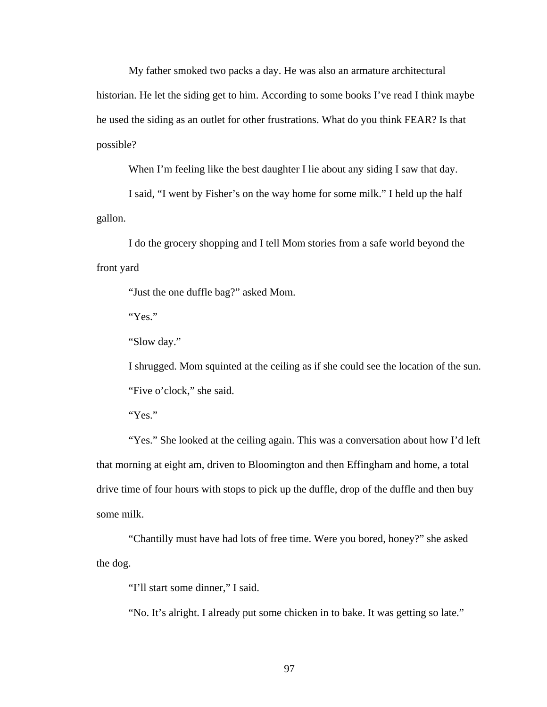My father smoked two packs a day. He was also an armature architectural historian. He let the siding get to him. According to some books I've read I think maybe he used the siding as an outlet for other frustrations. What do you think FEAR? Is that possible?

When I'm feeling like the best daughter I lie about any siding I saw that day.

 I said, "I went by Fisher's on the way home for some milk." I held up the half gallon.

 I do the grocery shopping and I tell Mom stories from a safe world beyond the front yard

"Just the one duffle bag?" asked Mom.

"Yes."

"Slow day."

 I shrugged. Mom squinted at the ceiling as if she could see the location of the sun. "Five o'clock," she said.

"Yes."

"Yes." She looked at the ceiling again. This was a conversation about how I'd left that morning at eight am, driven to Bloomington and then Effingham and home, a total drive time of four hours with stops to pick up the duffle, drop of the duffle and then buy some milk.

 "Chantilly must have had lots of free time. Were you bored, honey?" she asked the dog.

"I'll start some dinner," I said.

"No. It's alright. I already put some chicken in to bake. It was getting so late."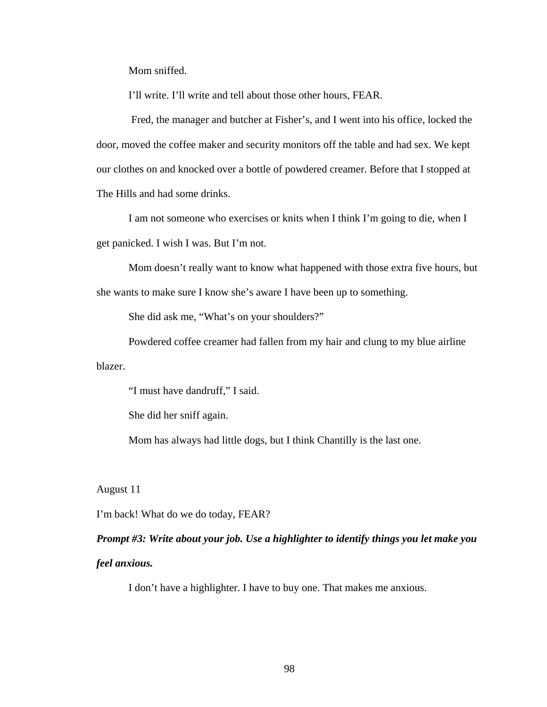Mom sniffed.

I'll write. I'll write and tell about those other hours, FEAR.

 Fred, the manager and butcher at Fisher's, and I went into his office, locked the door, moved the coffee maker and security monitors off the table and had sex. We kept our clothes on and knocked over a bottle of powdered creamer. Before that I stopped at The Hills and had some drinks.

 I am not someone who exercises or knits when I think I'm going to die, when I get panicked. I wish I was. But I'm not.

 Mom doesn't really want to know what happened with those extra five hours, but she wants to make sure I know she's aware I have been up to something.

She did ask me, "What's on your shoulders?"

 Powdered coffee creamer had fallen from my hair and clung to my blue airline blazer.

"I must have dandruff," I said.

She did her sniff again.

Mom has always had little dogs, but I think Chantilly is the last one.

August 11

I'm back! What do we do today, FEAR?

*Prompt #3: Write about your job. Use a highlighter to identify things you let make you feel anxious.* 

I don't have a highlighter. I have to buy one. That makes me anxious.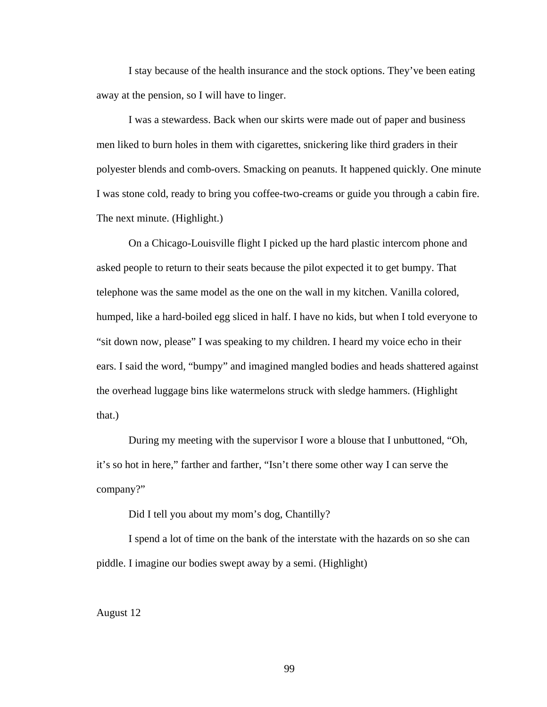I stay because of the health insurance and the stock options. They've been eating away at the pension, so I will have to linger.

 I was a stewardess. Back when our skirts were made out of paper and business men liked to burn holes in them with cigarettes, snickering like third graders in their polyester blends and comb-overs. Smacking on peanuts. It happened quickly. One minute I was stone cold, ready to bring you coffee-two-creams or guide you through a cabin fire. The next minute. (Highlight.)

 On a Chicago-Louisville flight I picked up the hard plastic intercom phone and asked people to return to their seats because the pilot expected it to get bumpy. That telephone was the same model as the one on the wall in my kitchen. Vanilla colored, humped, like a hard-boiled egg sliced in half. I have no kids, but when I told everyone to "sit down now, please" I was speaking to my children. I heard my voice echo in their ears. I said the word, "bumpy" and imagined mangled bodies and heads shattered against the overhead luggage bins like watermelons struck with sledge hammers. (Highlight that.)

 During my meeting with the supervisor I wore a blouse that I unbuttoned, "Oh, it's so hot in here," farther and farther, "Isn't there some other way I can serve the company?"

Did I tell you about my mom's dog, Chantilly?

 I spend a lot of time on the bank of the interstate with the hazards on so she can piddle. I imagine our bodies swept away by a semi. (Highlight)

August 12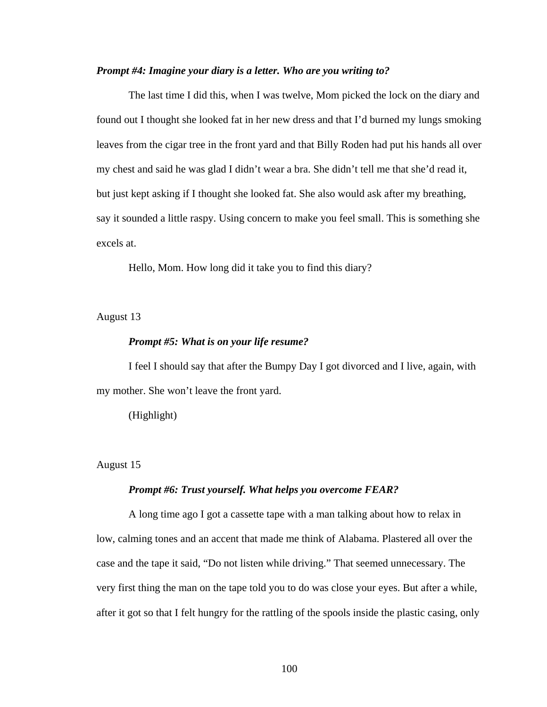### *Prompt #4: Imagine your diary is a letter. Who are you writing to?*

 The last time I did this, when I was twelve, Mom picked the lock on the diary and found out I thought she looked fat in her new dress and that I'd burned my lungs smoking leaves from the cigar tree in the front yard and that Billy Roden had put his hands all over my chest and said he was glad I didn't wear a bra. She didn't tell me that she'd read it, but just kept asking if I thought she looked fat. She also would ask after my breathing, say it sounded a little raspy. Using concern to make you feel small. This is something she excels at.

Hello, Mom. How long did it take you to find this diary?

August 13

# *Prompt #5: What is on your life resume?*

 I feel I should say that after the Bumpy Day I got divorced and I live, again, with my mother. She won't leave the front yard.

(Highlight)

### August 15

#### *Prompt #6: Trust yourself. What helps you overcome FEAR?*

 A long time ago I got a cassette tape with a man talking about how to relax in low, calming tones and an accent that made me think of Alabama. Plastered all over the case and the tape it said, "Do not listen while driving." That seemed unnecessary. The very first thing the man on the tape told you to do was close your eyes. But after a while, after it got so that I felt hungry for the rattling of the spools inside the plastic casing, only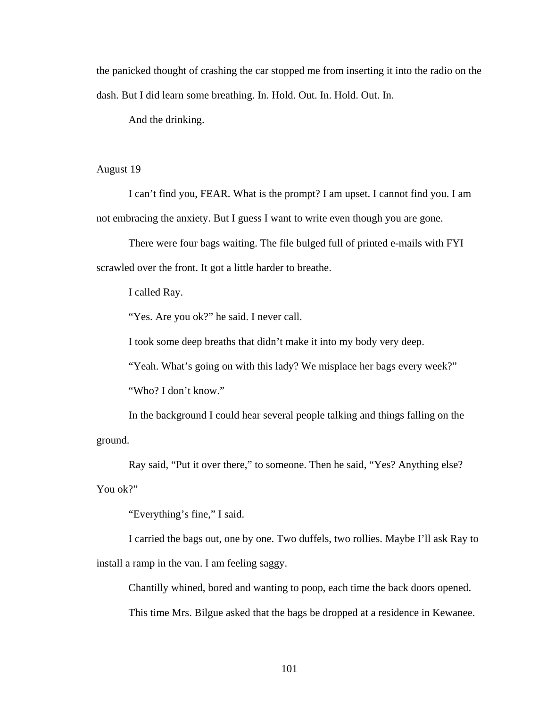the panicked thought of crashing the car stopped me from inserting it into the radio on the dash. But I did learn some breathing. In. Hold. Out. In. Hold. Out. In.

And the drinking.

# August 19

 I can't find you, FEAR. What is the prompt? I am upset. I cannot find you. I am not embracing the anxiety. But I guess I want to write even though you are gone.

There were four bags waiting. The file bulged full of printed e-mails with FYI scrawled over the front. It got a little harder to breathe.

I called Ray.

"Yes. Are you ok?" he said. I never call.

I took some deep breaths that didn't make it into my body very deep.

"Yeah. What's going on with this lady? We misplace her bags every week?"

"Who? I don't know."

 In the background I could hear several people talking and things falling on the ground.

Ray said, "Put it over there," to someone. Then he said, "Yes? Anything else?

You ok?"

"Everything's fine," I said.

 I carried the bags out, one by one. Two duffels, two rollies. Maybe I'll ask Ray to install a ramp in the van. I am feeling saggy.

 Chantilly whined, bored and wanting to poop, each time the back doors opened. This time Mrs. Bilgue asked that the bags be dropped at a residence in Kewanee.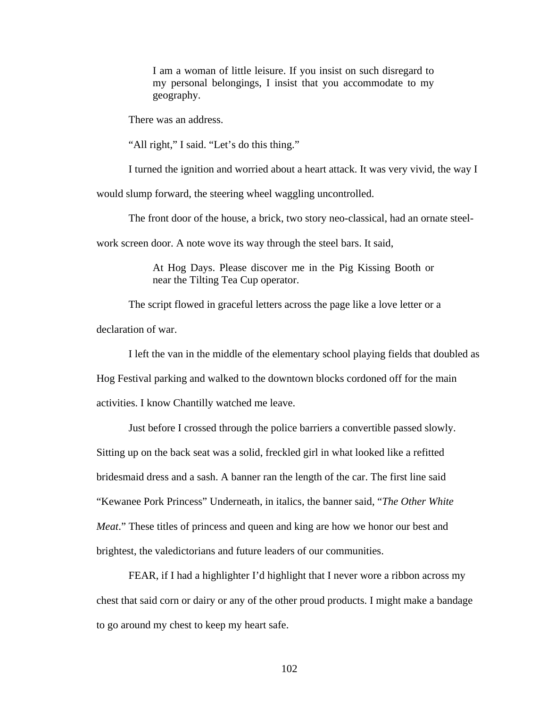I am a woman of little leisure. If you insist on such disregard to my personal belongings, I insist that you accommodate to my geography.

There was an address.

"All right," I said. "Let's do this thing."

I turned the ignition and worried about a heart attack. It was very vivid, the way I

would slump forward, the steering wheel waggling uncontrolled.

The front door of the house, a brick, two story neo-classical, had an ornate steel-

work screen door. A note wove its way through the steel bars. It said,

At Hog Days. Please discover me in the Pig Kissing Booth or near the Tilting Tea Cup operator.

 The script flowed in graceful letters across the page like a love letter or a declaration of war.

I left the van in the middle of the elementary school playing fields that doubled as

Hog Festival parking and walked to the downtown blocks cordoned off for the main

activities. I know Chantilly watched me leave.

 Just before I crossed through the police barriers a convertible passed slowly. Sitting up on the back seat was a solid, freckled girl in what looked like a refitted bridesmaid dress and a sash. A banner ran the length of the car. The first line said "Kewanee Pork Princess" Underneath, in italics, the banner said, "*The Other White Meat*." These titles of princess and queen and king are how we honor our best and brightest, the valedictorians and future leaders of our communities.

 FEAR, if I had a highlighter I'd highlight that I never wore a ribbon across my chest that said corn or dairy or any of the other proud products. I might make a bandage to go around my chest to keep my heart safe.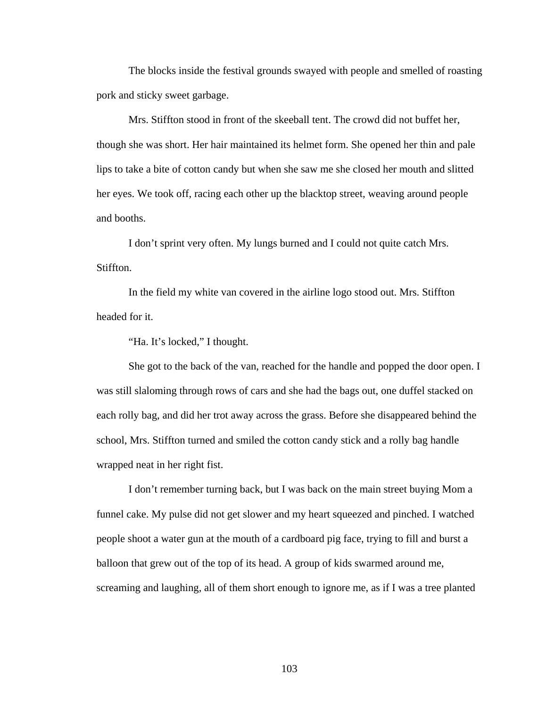The blocks inside the festival grounds swayed with people and smelled of roasting pork and sticky sweet garbage.

 Mrs. Stiffton stood in front of the skeeball tent. The crowd did not buffet her, though she was short. Her hair maintained its helmet form. She opened her thin and pale lips to take a bite of cotton candy but when she saw me she closed her mouth and slitted her eyes. We took off, racing each other up the blacktop street, weaving around people and booths.

 I don't sprint very often. My lungs burned and I could not quite catch Mrs. Stiffton.

 In the field my white van covered in the airline logo stood out. Mrs. Stiffton headed for it.

"Ha. It's locked," I thought.

 She got to the back of the van, reached for the handle and popped the door open. I was still slaloming through rows of cars and she had the bags out, one duffel stacked on each rolly bag, and did her trot away across the grass. Before she disappeared behind the school, Mrs. Stiffton turned and smiled the cotton candy stick and a rolly bag handle wrapped neat in her right fist.

 I don't remember turning back, but I was back on the main street buying Mom a funnel cake. My pulse did not get slower and my heart squeezed and pinched. I watched people shoot a water gun at the mouth of a cardboard pig face, trying to fill and burst a balloon that grew out of the top of its head. A group of kids swarmed around me, screaming and laughing, all of them short enough to ignore me, as if I was a tree planted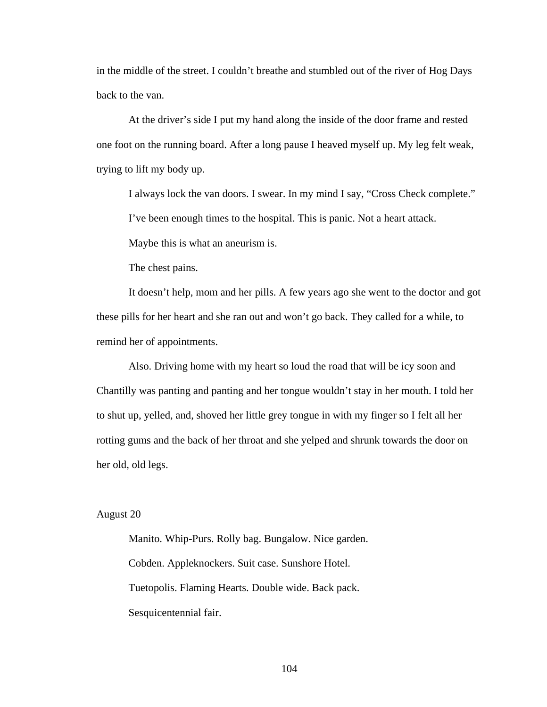in the middle of the street. I couldn't breathe and stumbled out of the river of Hog Days back to the van.

 At the driver's side I put my hand along the inside of the door frame and rested one foot on the running board. After a long pause I heaved myself up. My leg felt weak, trying to lift my body up.

I always lock the van doors. I swear. In my mind I say, "Cross Check complete."

I've been enough times to the hospital. This is panic. Not a heart attack.

Maybe this is what an aneurism is.

The chest pains.

 It doesn't help, mom and her pills. A few years ago she went to the doctor and got these pills for her heart and she ran out and won't go back. They called for a while, to remind her of appointments.

 Also. Driving home with my heart so loud the road that will be icy soon and Chantilly was panting and panting and her tongue wouldn't stay in her mouth. I told her to shut up, yelled, and, shoved her little grey tongue in with my finger so I felt all her rotting gums and the back of her throat and she yelped and shrunk towards the door on her old, old legs.

## August 20

 Manito. Whip-Purs. Rolly bag. Bungalow. Nice garden. Cobden. Appleknockers. Suit case. Sunshore Hotel. Tuetopolis. Flaming Hearts. Double wide. Back pack. Sesquicentennial fair.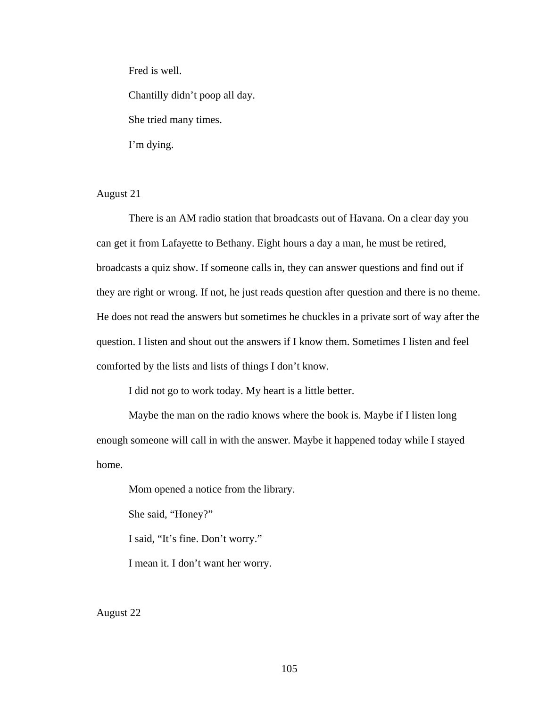Fred is well.

Chantilly didn't poop all day.

She tried many times.

I'm dying.

August 21

 There is an AM radio station that broadcasts out of Havana. On a clear day you can get it from Lafayette to Bethany. Eight hours a day a man, he must be retired, broadcasts a quiz show. If someone calls in, they can answer questions and find out if they are right or wrong. If not, he just reads question after question and there is no theme. He does not read the answers but sometimes he chuckles in a private sort of way after the question. I listen and shout out the answers if I know them. Sometimes I listen and feel comforted by the lists and lists of things I don't know.

I did not go to work today. My heart is a little better.

 Maybe the man on the radio knows where the book is. Maybe if I listen long enough someone will call in with the answer. Maybe it happened today while I stayed home.

Mom opened a notice from the library.

She said, "Honey?"

I said, "It's fine. Don't worry."

I mean it. I don't want her worry.

August 22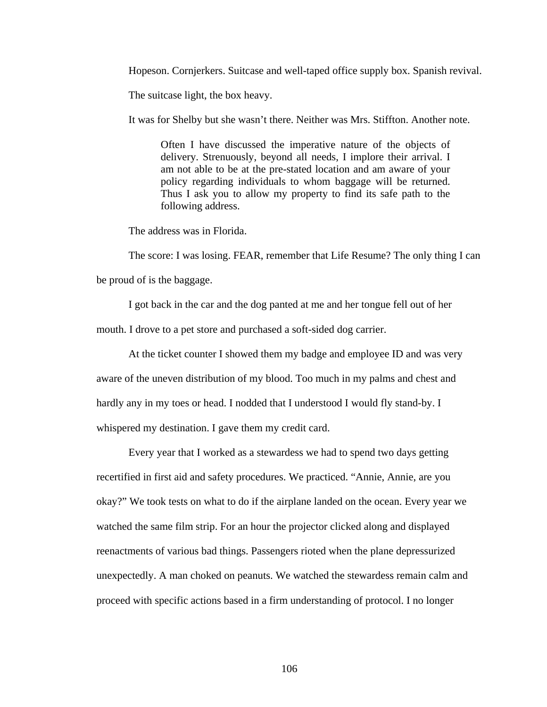Hopeson. Cornjerkers. Suitcase and well-taped office supply box. Spanish revival.

The suitcase light, the box heavy.

It was for Shelby but she wasn't there. Neither was Mrs. Stiffton. Another note.

Often I have discussed the imperative nature of the objects of delivery. Strenuously, beyond all needs, I implore their arrival. I am not able to be at the pre-stated location and am aware of your policy regarding individuals to whom baggage will be returned. Thus I ask you to allow my property to find its safe path to the following address.

The address was in Florida.

 The score: I was losing. FEAR, remember that Life Resume? The only thing I can be proud of is the baggage.

 I got back in the car and the dog panted at me and her tongue fell out of her mouth. I drove to a pet store and purchased a soft-sided dog carrier.

 At the ticket counter I showed them my badge and employee ID and was very aware of the uneven distribution of my blood. Too much in my palms and chest and hardly any in my toes or head. I nodded that I understood I would fly stand-by. I whispered my destination. I gave them my credit card.

 Every year that I worked as a stewardess we had to spend two days getting recertified in first aid and safety procedures. We practiced. "Annie, Annie, are you okay?" We took tests on what to do if the airplane landed on the ocean. Every year we watched the same film strip. For an hour the projector clicked along and displayed reenactments of various bad things. Passengers rioted when the plane depressurized unexpectedly. A man choked on peanuts. We watched the stewardess remain calm and proceed with specific actions based in a firm understanding of protocol. I no longer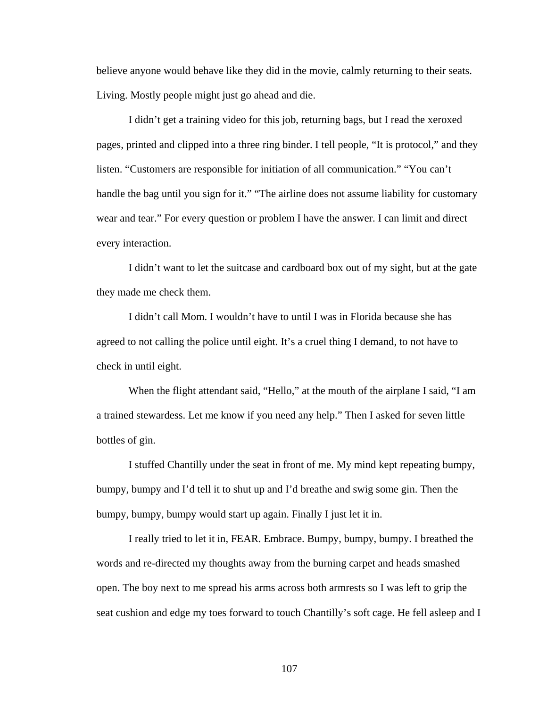believe anyone would behave like they did in the movie, calmly returning to their seats. Living. Mostly people might just go ahead and die.

 I didn't get a training video for this job, returning bags, but I read the xeroxed pages, printed and clipped into a three ring binder. I tell people, "It is protocol," and they listen. "Customers are responsible for initiation of all communication." "You can't handle the bag until you sign for it." "The airline does not assume liability for customary wear and tear." For every question or problem I have the answer. I can limit and direct every interaction.

 I didn't want to let the suitcase and cardboard box out of my sight, but at the gate they made me check them.

 I didn't call Mom. I wouldn't have to until I was in Florida because she has agreed to not calling the police until eight. It's a cruel thing I demand, to not have to check in until eight.

 When the flight attendant said, "Hello," at the mouth of the airplane I said, "I am a trained stewardess. Let me know if you need any help." Then I asked for seven little bottles of gin.

 I stuffed Chantilly under the seat in front of me. My mind kept repeating bumpy, bumpy, bumpy and I'd tell it to shut up and I'd breathe and swig some gin. Then the bumpy, bumpy, bumpy would start up again. Finally I just let it in.

 I really tried to let it in, FEAR. Embrace. Bumpy, bumpy, bumpy. I breathed the words and re-directed my thoughts away from the burning carpet and heads smashed open. The boy next to me spread his arms across both armrests so I was left to grip the seat cushion and edge my toes forward to touch Chantilly's soft cage. He fell asleep and I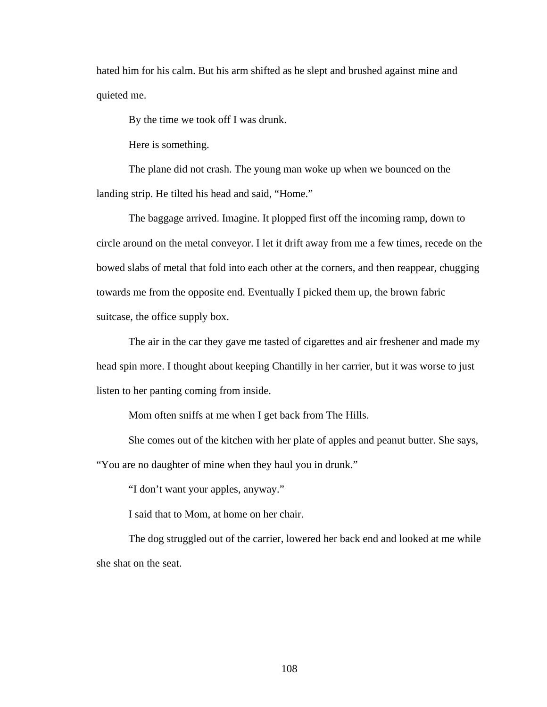hated him for his calm. But his arm shifted as he slept and brushed against mine and quieted me.

By the time we took off I was drunk.

Here is something.

 The plane did not crash. The young man woke up when we bounced on the landing strip. He tilted his head and said, "Home."

 The baggage arrived. Imagine. It plopped first off the incoming ramp, down to circle around on the metal conveyor. I let it drift away from me a few times, recede on the bowed slabs of metal that fold into each other at the corners, and then reappear, chugging towards me from the opposite end. Eventually I picked them up, the brown fabric suitcase, the office supply box.

 The air in the car they gave me tasted of cigarettes and air freshener and made my head spin more. I thought about keeping Chantilly in her carrier, but it was worse to just listen to her panting coming from inside.

Mom often sniffs at me when I get back from The Hills.

 She comes out of the kitchen with her plate of apples and peanut butter. She says, "You are no daughter of mine when they haul you in drunk."

"I don't want your apples, anyway."

I said that to Mom, at home on her chair.

 The dog struggled out of the carrier, lowered her back end and looked at me while she shat on the seat.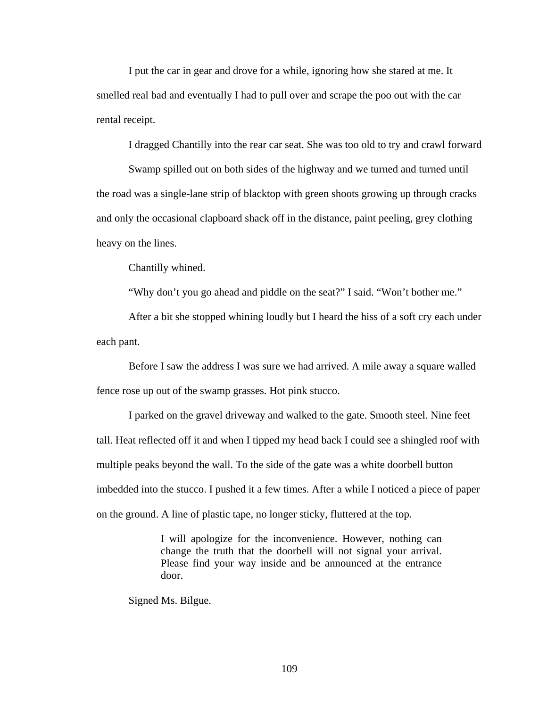I put the car in gear and drove for a while, ignoring how she stared at me. It smelled real bad and eventually I had to pull over and scrape the poo out with the car rental receipt.

I dragged Chantilly into the rear car seat. She was too old to try and crawl forward

 Swamp spilled out on both sides of the highway and we turned and turned until the road was a single-lane strip of blacktop with green shoots growing up through cracks and only the occasional clapboard shack off in the distance, paint peeling, grey clothing heavy on the lines.

Chantilly whined.

"Why don't you go ahead and piddle on the seat?" I said. "Won't bother me."

 After a bit she stopped whining loudly but I heard the hiss of a soft cry each under each pant.

 Before I saw the address I was sure we had arrived. A mile away a square walled fence rose up out of the swamp grasses. Hot pink stucco.

 I parked on the gravel driveway and walked to the gate. Smooth steel. Nine feet tall. Heat reflected off it and when I tipped my head back I could see a shingled roof with multiple peaks beyond the wall. To the side of the gate was a white doorbell button imbedded into the stucco. I pushed it a few times. After a while I noticed a piece of paper on the ground. A line of plastic tape, no longer sticky, fluttered at the top.

> I will apologize for the inconvenience. However, nothing can change the truth that the doorbell will not signal your arrival. Please find your way inside and be announced at the entrance door.

Signed Ms. Bilgue.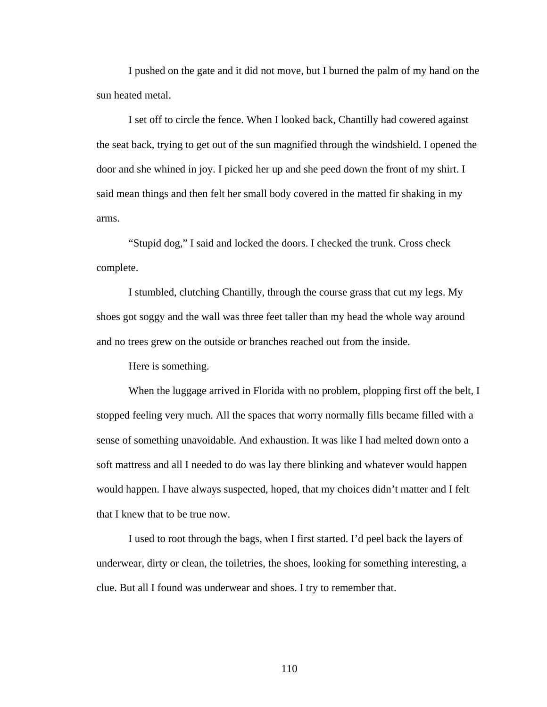I pushed on the gate and it did not move, but I burned the palm of my hand on the sun heated metal.

 I set off to circle the fence. When I looked back, Chantilly had cowered against the seat back, trying to get out of the sun magnified through the windshield. I opened the door and she whined in joy. I picked her up and she peed down the front of my shirt. I said mean things and then felt her small body covered in the matted fir shaking in my arms.

 "Stupid dog," I said and locked the doors. I checked the trunk. Cross check complete.

 I stumbled, clutching Chantilly, through the course grass that cut my legs. My shoes got soggy and the wall was three feet taller than my head the whole way around and no trees grew on the outside or branches reached out from the inside.

Here is something.

When the luggage arrived in Florida with no problem, plopping first off the belt, I stopped feeling very much. All the spaces that worry normally fills became filled with a sense of something unavoidable. And exhaustion. It was like I had melted down onto a soft mattress and all I needed to do was lay there blinking and whatever would happen would happen. I have always suspected, hoped, that my choices didn't matter and I felt that I knew that to be true now.

 I used to root through the bags, when I first started. I'd peel back the layers of underwear, dirty or clean, the toiletries, the shoes, looking for something interesting, a clue. But all I found was underwear and shoes. I try to remember that.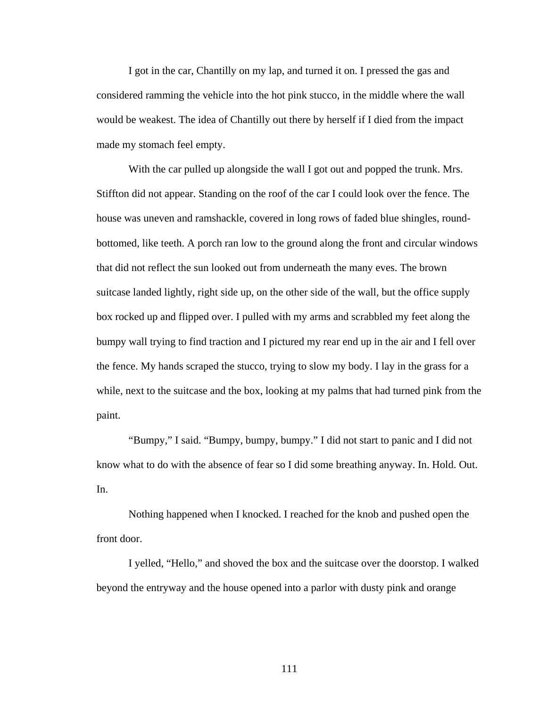I got in the car, Chantilly on my lap, and turned it on. I pressed the gas and considered ramming the vehicle into the hot pink stucco, in the middle where the wall would be weakest. The idea of Chantilly out there by herself if I died from the impact made my stomach feel empty.

With the car pulled up alongside the wall I got out and popped the trunk. Mrs. Stiffton did not appear. Standing on the roof of the car I could look over the fence. The house was uneven and ramshackle, covered in long rows of faded blue shingles, roundbottomed, like teeth. A porch ran low to the ground along the front and circular windows that did not reflect the sun looked out from underneath the many eves. The brown suitcase landed lightly, right side up, on the other side of the wall, but the office supply box rocked up and flipped over. I pulled with my arms and scrabbled my feet along the bumpy wall trying to find traction and I pictured my rear end up in the air and I fell over the fence. My hands scraped the stucco, trying to slow my body. I lay in the grass for a while, next to the suitcase and the box, looking at my palms that had turned pink from the paint.

 "Bumpy," I said. "Bumpy, bumpy, bumpy." I did not start to panic and I did not know what to do with the absence of fear so I did some breathing anyway. In. Hold. Out. In.

 Nothing happened when I knocked. I reached for the knob and pushed open the front door.

 I yelled, "Hello," and shoved the box and the suitcase over the doorstop. I walked beyond the entryway and the house opened into a parlor with dusty pink and orange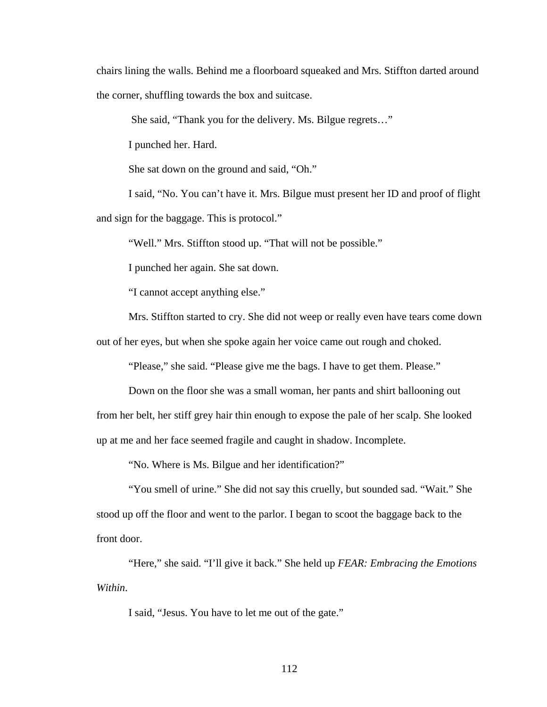chairs lining the walls. Behind me a floorboard squeaked and Mrs. Stiffton darted around the corner, shuffling towards the box and suitcase.

She said, "Thank you for the delivery. Ms. Bilgue regrets…"

I punched her. Hard.

She sat down on the ground and said, "Oh."

 I said, "No. You can't have it. Mrs. Bilgue must present her ID and proof of flight and sign for the baggage. This is protocol."

"Well." Mrs. Stiffton stood up. "That will not be possible."

I punched her again. She sat down.

"I cannot accept anything else."

Mrs. Stiffton started to cry. She did not weep or really even have tears come down

out of her eyes, but when she spoke again her voice came out rough and choked.

"Please," she said. "Please give me the bags. I have to get them. Please."

 Down on the floor she was a small woman, her pants and shirt ballooning out from her belt, her stiff grey hair thin enough to expose the pale of her scalp. She looked up at me and her face seemed fragile and caught in shadow. Incomplete.

"No. Where is Ms. Bilgue and her identification?"

 "You smell of urine." She did not say this cruelly, but sounded sad. "Wait." She stood up off the floor and went to the parlor. I began to scoot the baggage back to the front door.

 "Here," she said. "I'll give it back." She held up *FEAR: Embracing the Emotions Within*.

I said, "Jesus. You have to let me out of the gate."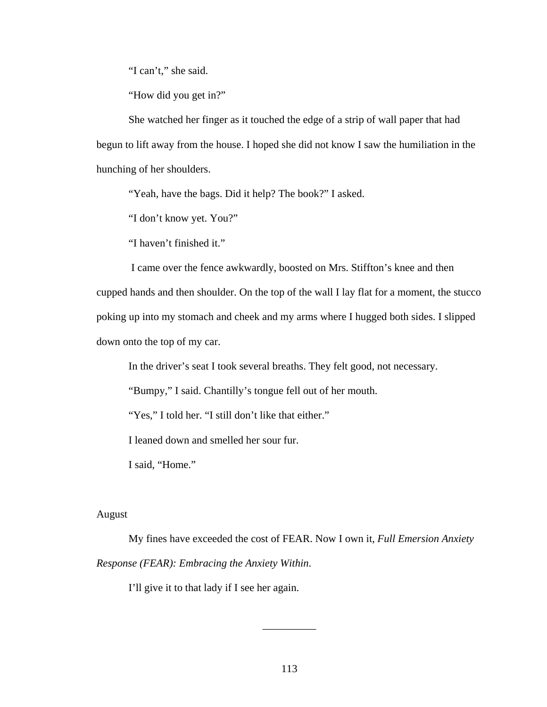"I can't," she said.

"How did you get in?"

 She watched her finger as it touched the edge of a strip of wall paper that had begun to lift away from the house. I hoped she did not know I saw the humiliation in the hunching of her shoulders.

"Yeah, have the bags. Did it help? The book?" I asked.

"I don't know yet. You?"

"I haven't finished it."

 I came over the fence awkwardly, boosted on Mrs. Stiffton's knee and then cupped hands and then shoulder. On the top of the wall I lay flat for a moment, the stucco poking up into my stomach and cheek and my arms where I hugged both sides. I slipped down onto the top of my car.

In the driver's seat I took several breaths. They felt good, not necessary.

"Bumpy," I said. Chantilly's tongue fell out of her mouth.

"Yes," I told her. "I still don't like that either."

I leaned down and smelled her sour fur.

I said, "Home."

## August

 My fines have exceeded the cost of FEAR. Now I own it, *Full Emersion Anxiety Response (FEAR): Embracing the Anxiety Within*.

I'll give it to that lady if I see her again.

\_\_\_\_\_\_\_\_\_\_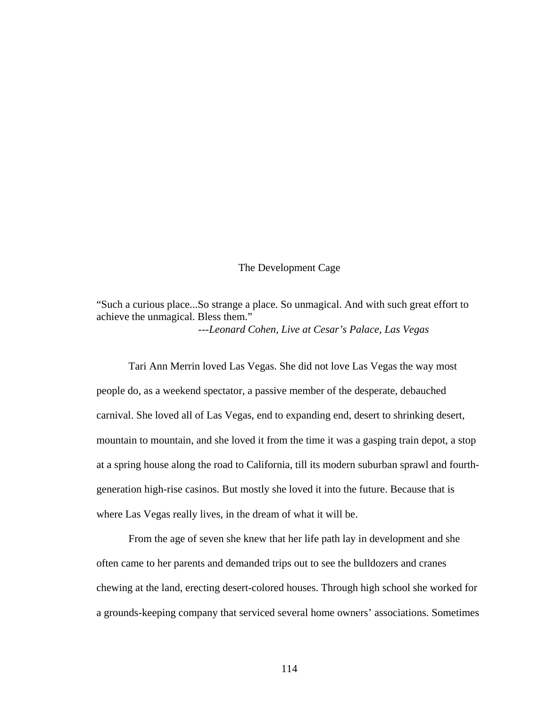## The Development Cage

"Such a curious place...So strange a place. So unmagical. And with such great effort to achieve the unmagical. Bless them." ---*Leonard Cohen, Live at Cesar's Palace, Las Vegas*

 Tari Ann Merrin loved Las Vegas. She did not love Las Vegas the way most people do, as a weekend spectator, a passive member of the desperate, debauched carnival. She loved all of Las Vegas, end to expanding end, desert to shrinking desert, mountain to mountain, and she loved it from the time it was a gasping train depot, a stop at a spring house along the road to California, till its modern suburban sprawl and fourthgeneration high-rise casinos. But mostly she loved it into the future. Because that is where Las Vegas really lives, in the dream of what it will be.

 From the age of seven she knew that her life path lay in development and she often came to her parents and demanded trips out to see the bulldozers and cranes chewing at the land, erecting desert-colored houses. Through high school she worked for a grounds-keeping company that serviced several home owners' associations. Sometimes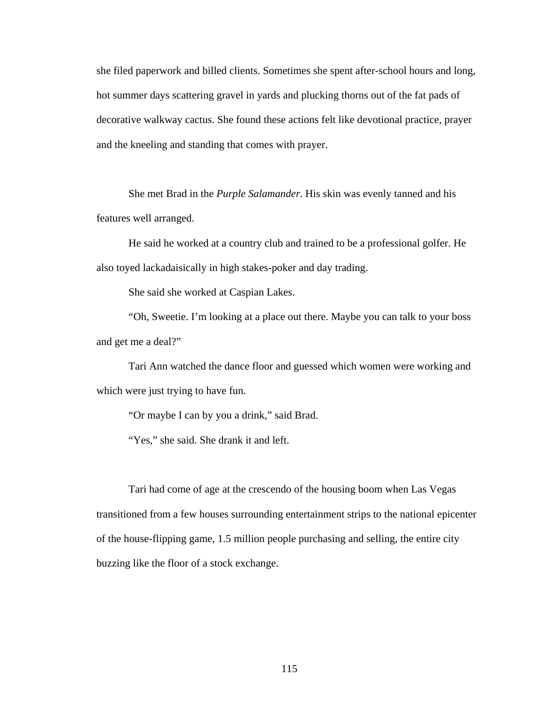she filed paperwork and billed clients. Sometimes she spent after-school hours and long, hot summer days scattering gravel in yards and plucking thorns out of the fat pads of decorative walkway cactus. She found these actions felt like devotional practice, prayer and the kneeling and standing that comes with prayer.

 She met Brad in the *Purple Salamander*. His skin was evenly tanned and his features well arranged.

 He said he worked at a country club and trained to be a professional golfer. He also toyed lackadaisically in high stakes-poker and day trading.

She said she worked at Caspian Lakes.

 "Oh, Sweetie. I'm looking at a place out there. Maybe you can talk to your boss and get me a deal?"

 Tari Ann watched the dance floor and guessed which women were working and which were just trying to have fun.

"Or maybe I can by you a drink," said Brad.

"Yes," she said. She drank it and left.

 Tari had come of age at the crescendo of the housing boom when Las Vegas transitioned from a few houses surrounding entertainment strips to the national epicenter of the house-flipping game, 1.5 million people purchasing and selling, the entire city buzzing like the floor of a stock exchange.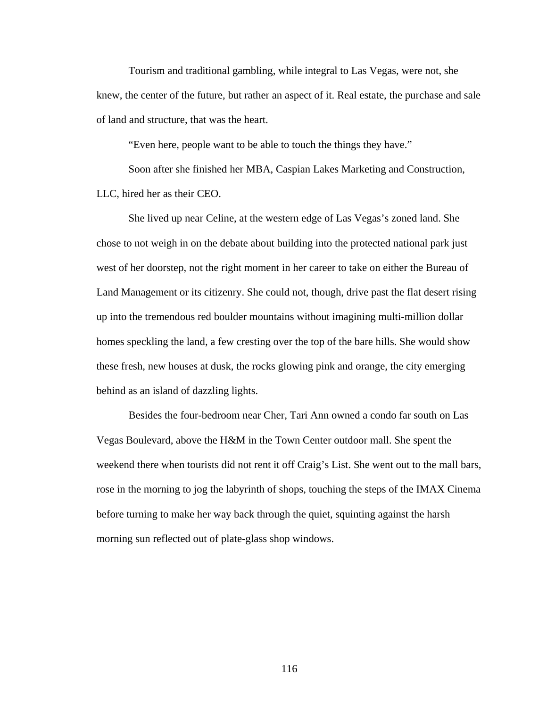Tourism and traditional gambling, while integral to Las Vegas, were not, she knew, the center of the future, but rather an aspect of it. Real estate, the purchase and sale of land and structure, that was the heart.

"Even here, people want to be able to touch the things they have."

 Soon after she finished her MBA, Caspian Lakes Marketing and Construction, LLC, hired her as their CEO.

 She lived up near Celine, at the western edge of Las Vegas's zoned land. She chose to not weigh in on the debate about building into the protected national park just west of her doorstep, not the right moment in her career to take on either the Bureau of Land Management or its citizenry. She could not, though, drive past the flat desert rising up into the tremendous red boulder mountains without imagining multi-million dollar homes speckling the land, a few cresting over the top of the bare hills. She would show these fresh, new houses at dusk, the rocks glowing pink and orange, the city emerging behind as an island of dazzling lights.

 Besides the four-bedroom near Cher, Tari Ann owned a condo far south on Las Vegas Boulevard, above the H&M in the Town Center outdoor mall. She spent the weekend there when tourists did not rent it off Craig's List. She went out to the mall bars, rose in the morning to jog the labyrinth of shops, touching the steps of the IMAX Cinema before turning to make her way back through the quiet, squinting against the harsh morning sun reflected out of plate-glass shop windows.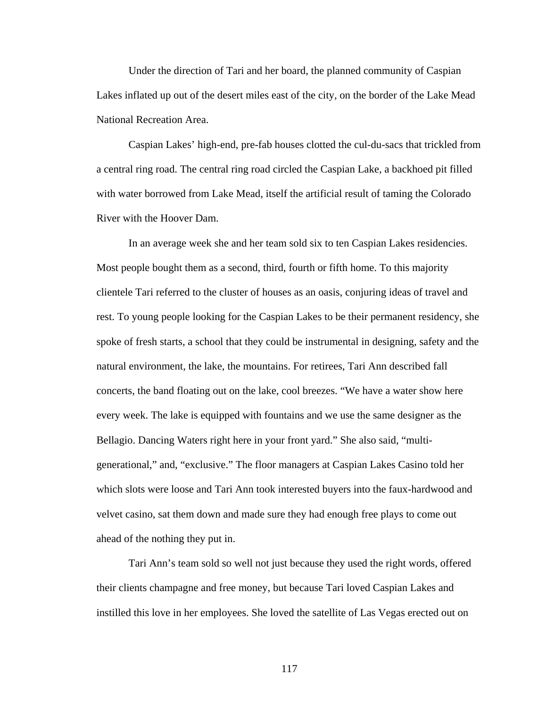Under the direction of Tari and her board, the planned community of Caspian Lakes inflated up out of the desert miles east of the city, on the border of the Lake Mead National Recreation Area.

 Caspian Lakes' high-end, pre-fab houses clotted the cul-du-sacs that trickled from a central ring road. The central ring road circled the Caspian Lake, a backhoed pit filled with water borrowed from Lake Mead, itself the artificial result of taming the Colorado River with the Hoover Dam.

 In an average week she and her team sold six to ten Caspian Lakes residencies. Most people bought them as a second, third, fourth or fifth home. To this majority clientele Tari referred to the cluster of houses as an oasis, conjuring ideas of travel and rest. To young people looking for the Caspian Lakes to be their permanent residency, she spoke of fresh starts, a school that they could be instrumental in designing, safety and the natural environment, the lake, the mountains. For retirees, Tari Ann described fall concerts, the band floating out on the lake, cool breezes. "We have a water show here every week. The lake is equipped with fountains and we use the same designer as the Bellagio. Dancing Waters right here in your front yard." She also said, "multigenerational," and, "exclusive." The floor managers at Caspian Lakes Casino told her which slots were loose and Tari Ann took interested buyers into the faux-hardwood and velvet casino, sat them down and made sure they had enough free plays to come out ahead of the nothing they put in.

 Tari Ann's team sold so well not just because they used the right words, offered their clients champagne and free money, but because Tari loved Caspian Lakes and instilled this love in her employees. She loved the satellite of Las Vegas erected out on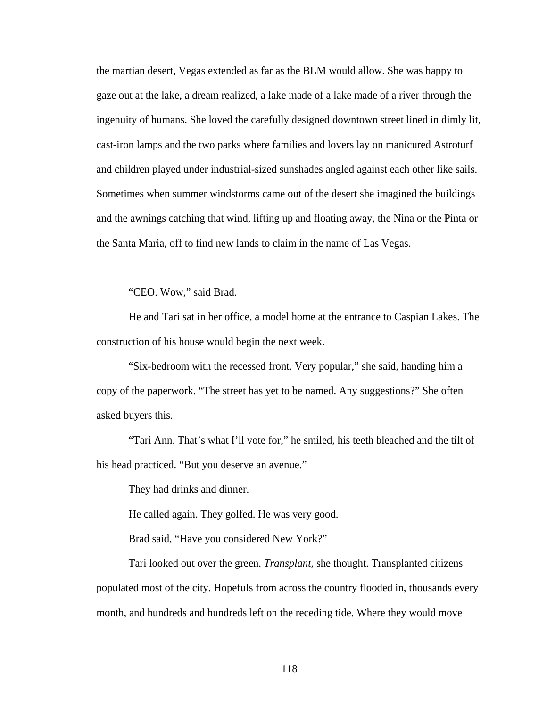the martian desert, Vegas extended as far as the BLM would allow. She was happy to gaze out at the lake, a dream realized, a lake made of a lake made of a river through the ingenuity of humans. She loved the carefully designed downtown street lined in dimly lit, cast-iron lamps and the two parks where families and lovers lay on manicured Astroturf and children played under industrial-sized sunshades angled against each other like sails. Sometimes when summer windstorms came out of the desert she imagined the buildings and the awnings catching that wind, lifting up and floating away, the Nina or the Pinta or the Santa Maria, off to find new lands to claim in the name of Las Vegas.

"CEO. Wow," said Brad.

 He and Tari sat in her office, a model home at the entrance to Caspian Lakes. The construction of his house would begin the next week.

 "Six-bedroom with the recessed front. Very popular," she said, handing him a copy of the paperwork. "The street has yet to be named. Any suggestions?" She often asked buyers this.

 "Tari Ann. That's what I'll vote for," he smiled, his teeth bleached and the tilt of his head practiced. "But you deserve an avenue."

They had drinks and dinner.

He called again. They golfed. He was very good.

Brad said, "Have you considered New York?"

 Tari looked out over the green. *Transplant,* she thought. Transplanted citizens populated most of the city. Hopefuls from across the country flooded in, thousands every month, and hundreds and hundreds left on the receding tide. Where they would move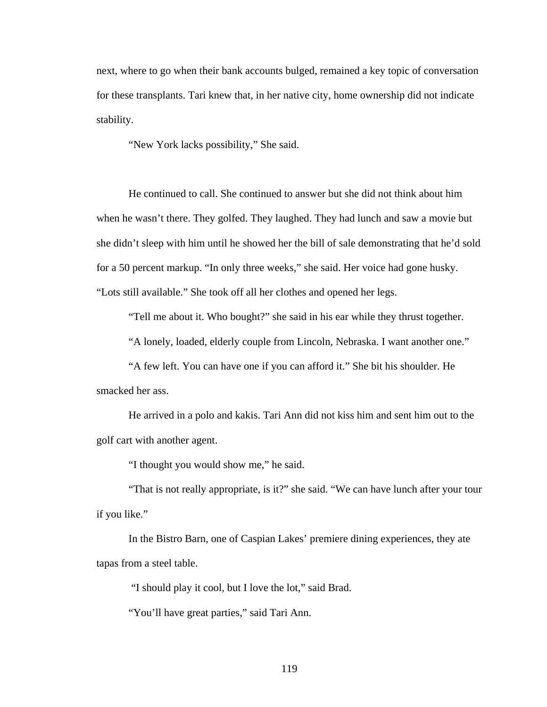next, where to go when their bank accounts bulged, remained a key topic of conversation for these transplants. Tari knew that, in her native city, home ownership did not indicate stability.

"New York lacks possibility," She said.

 He continued to call. She continued to answer but she did not think about him when he wasn't there. They golfed. They laughed. They had lunch and saw a movie but she didn't sleep with him until he showed her the bill of sale demonstrating that he'd sold for a 50 percent markup. "In only three weeks," she said. Her voice had gone husky. "Lots still available." She took off all her clothes and opened her legs.

"Tell me about it. Who bought?" she said in his ear while they thrust together.

"A lonely, loaded, elderly couple from Lincoln, Nebraska. I want another one."

 "A few left. You can have one if you can afford it." She bit his shoulder. He smacked her ass.

 He arrived in a polo and kakis. Tari Ann did not kiss him and sent him out to the golf cart with another agent.

"I thought you would show me," he said.

 "That is not really appropriate, is it?" she said. "We can have lunch after your tour if you like."

 In the Bistro Barn, one of Caspian Lakes' premiere dining experiences, they ate tapas from a steel table.

"I should play it cool, but I love the lot," said Brad.

"You'll have great parties," said Tari Ann.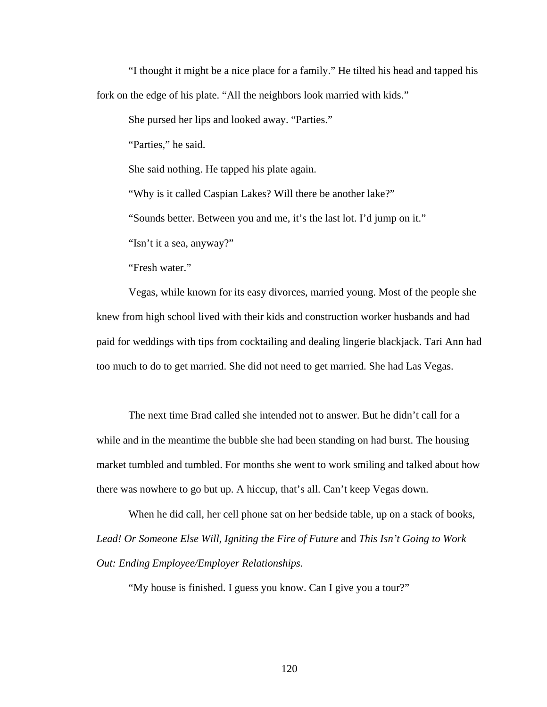"I thought it might be a nice place for a family." He tilted his head and tapped his fork on the edge of his plate. "All the neighbors look married with kids."

She pursed her lips and looked away. "Parties."

"Parties," he said.

She said nothing. He tapped his plate again.

"Why is it called Caspian Lakes? Will there be another lake?"

"Sounds better. Between you and me, it's the last lot. I'd jump on it."

"Isn't it a sea, anyway?"

"Fresh water."

 Vegas, while known for its easy divorces, married young. Most of the people she knew from high school lived with their kids and construction worker husbands and had paid for weddings with tips from cocktailing and dealing lingerie blackjack. Tari Ann had too much to do to get married. She did not need to get married. She had Las Vegas.

 The next time Brad called she intended not to answer. But he didn't call for a while and in the meantime the bubble she had been standing on had burst. The housing market tumbled and tumbled. For months she went to work smiling and talked about how there was nowhere to go but up. A hiccup, that's all. Can't keep Vegas down.

 When he did call, her cell phone sat on her bedside table, up on a stack of books, *Lead! Or Someone Else Will, Igniting the Fire of Future* and *This Isn't Going to Work Out: Ending Employee/Employer Relationships*.

"My house is finished. I guess you know. Can I give you a tour?"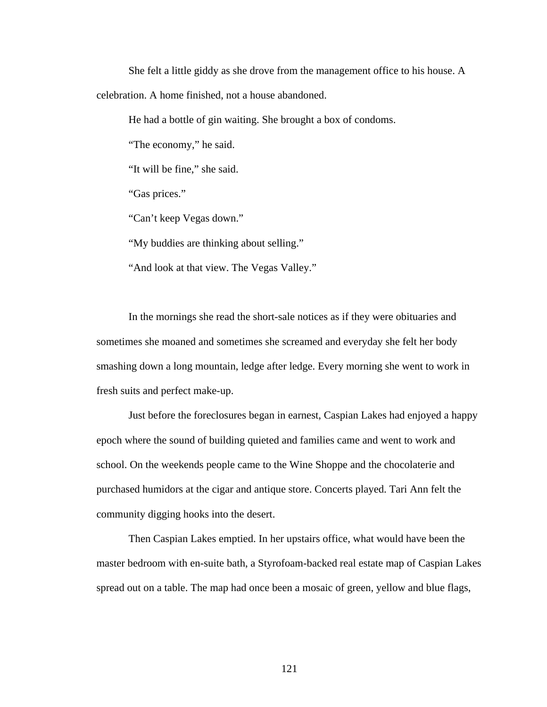She felt a little giddy as she drove from the management office to his house. A celebration. A home finished, not a house abandoned.

He had a bottle of gin waiting. She brought a box of condoms.

"The economy," he said.

"It will be fine," she said.

"Gas prices."

"Can't keep Vegas down."

"My buddies are thinking about selling."

"And look at that view. The Vegas Valley."

 In the mornings she read the short-sale notices as if they were obituaries and sometimes she moaned and sometimes she screamed and everyday she felt her body smashing down a long mountain, ledge after ledge. Every morning she went to work in fresh suits and perfect make-up.

 Just before the foreclosures began in earnest, Caspian Lakes had enjoyed a happy epoch where the sound of building quieted and families came and went to work and school. On the weekends people came to the Wine Shoppe and the chocolaterie and purchased humidors at the cigar and antique store. Concerts played. Tari Ann felt the community digging hooks into the desert.

 Then Caspian Lakes emptied. In her upstairs office, what would have been the master bedroom with en-suite bath, a Styrofoam-backed real estate map of Caspian Lakes spread out on a table. The map had once been a mosaic of green, yellow and blue flags,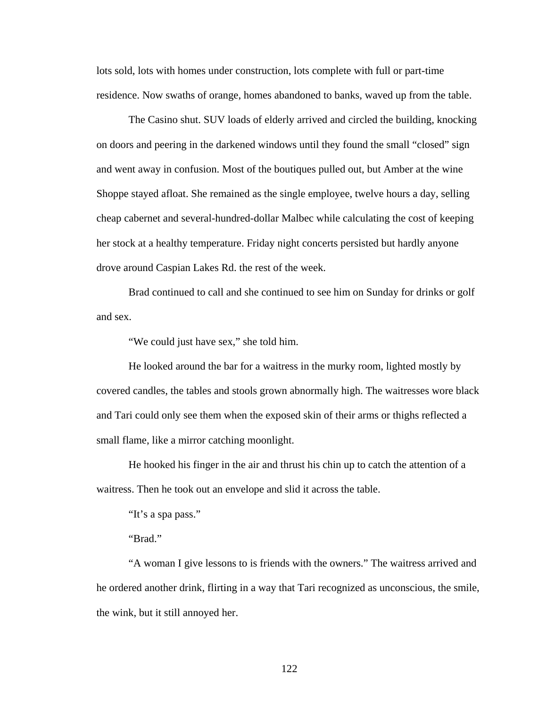lots sold, lots with homes under construction, lots complete with full or part-time residence. Now swaths of orange, homes abandoned to banks, waved up from the table.

 The Casino shut. SUV loads of elderly arrived and circled the building, knocking on doors and peering in the darkened windows until they found the small "closed" sign and went away in confusion. Most of the boutiques pulled out, but Amber at the wine Shoppe stayed afloat. She remained as the single employee, twelve hours a day, selling cheap cabernet and several-hundred-dollar Malbec while calculating the cost of keeping her stock at a healthy temperature. Friday night concerts persisted but hardly anyone drove around Caspian Lakes Rd. the rest of the week.

 Brad continued to call and she continued to see him on Sunday for drinks or golf and sex.

"We could just have sex," she told him.

 He looked around the bar for a waitress in the murky room, lighted mostly by covered candles, the tables and stools grown abnormally high. The waitresses wore black and Tari could only see them when the exposed skin of their arms or thighs reflected a small flame, like a mirror catching moonlight.

 He hooked his finger in the air and thrust his chin up to catch the attention of a waitress. Then he took out an envelope and slid it across the table.

"It's a spa pass."

"Brad."

 "A woman I give lessons to is friends with the owners." The waitress arrived and he ordered another drink, flirting in a way that Tari recognized as unconscious, the smile, the wink, but it still annoyed her.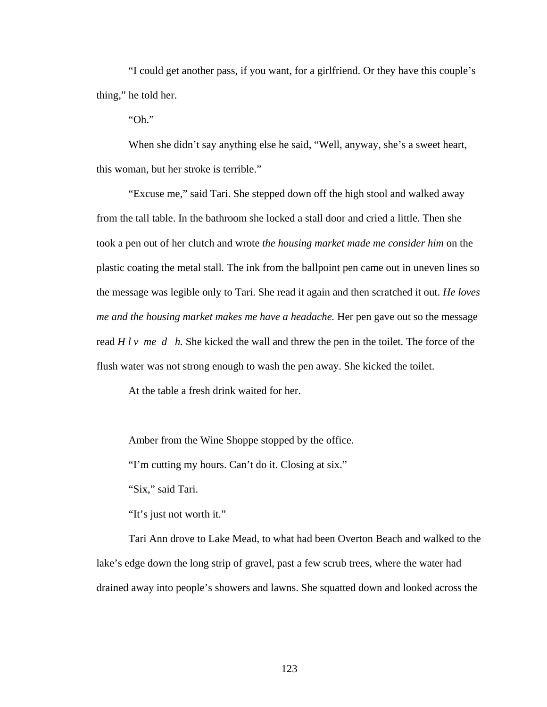"I could get another pass, if you want, for a girlfriend. Or they have this couple's thing," he told her.

"Oh."

 When she didn't say anything else he said, "Well, anyway, she's a sweet heart, this woman, but her stroke is terrible."

 "Excuse me," said Tari. She stepped down off the high stool and walked away from the tall table. In the bathroom she locked a stall door and cried a little. Then she took a pen out of her clutch and wrote *the housing market made me consider him* on the plastic coating the metal stall*.* The ink from the ballpoint pen came out in uneven lines so the message was legible only to Tari. She read it again and then scratched it out. *He loves me and the housing market makes me have a headache.* Her pen gave out so the message read *H l v me d h.* She kicked the wall and threw the pen in the toilet. The force of the flush water was not strong enough to wash the pen away. She kicked the toilet.

At the table a fresh drink waited for her.

Amber from the Wine Shoppe stopped by the office.

"I'm cutting my hours. Can't do it. Closing at six."

"Six," said Tari.

"It's just not worth it."

 Tari Ann drove to Lake Mead, to what had been Overton Beach and walked to the lake's edge down the long strip of gravel, past a few scrub trees, where the water had drained away into people's showers and lawns. She squatted down and looked across the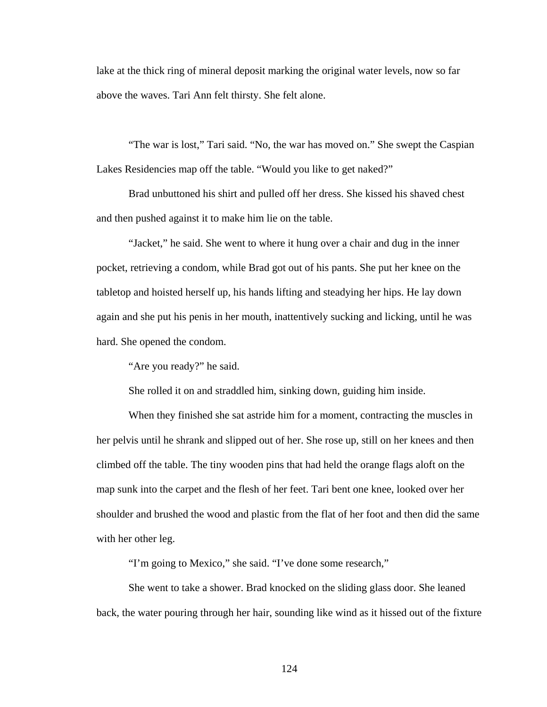lake at the thick ring of mineral deposit marking the original water levels, now so far above the waves. Tari Ann felt thirsty. She felt alone.

 "The war is lost," Tari said. "No, the war has moved on." She swept the Caspian Lakes Residencies map off the table. "Would you like to get naked?"

 Brad unbuttoned his shirt and pulled off her dress. She kissed his shaved chest and then pushed against it to make him lie on the table.

 "Jacket," he said. She went to where it hung over a chair and dug in the inner pocket, retrieving a condom, while Brad got out of his pants. She put her knee on the tabletop and hoisted herself up, his hands lifting and steadying her hips. He lay down again and she put his penis in her mouth, inattentively sucking and licking, until he was hard. She opened the condom.

"Are you ready?" he said.

She rolled it on and straddled him, sinking down, guiding him inside.

 When they finished she sat astride him for a moment, contracting the muscles in her pelvis until he shrank and slipped out of her. She rose up, still on her knees and then climbed off the table. The tiny wooden pins that had held the orange flags aloft on the map sunk into the carpet and the flesh of her feet. Tari bent one knee, looked over her shoulder and brushed the wood and plastic from the flat of her foot and then did the same with her other leg.

"I'm going to Mexico," she said. "I've done some research,"

 She went to take a shower. Brad knocked on the sliding glass door. She leaned back, the water pouring through her hair, sounding like wind as it hissed out of the fixture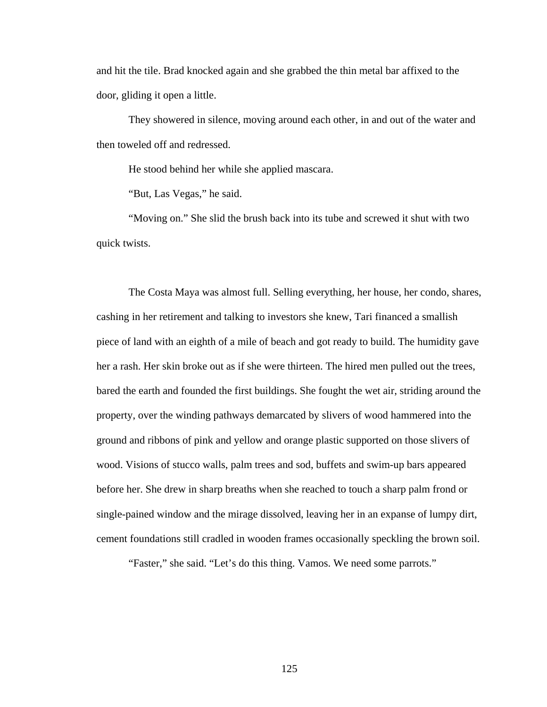and hit the tile. Brad knocked again and she grabbed the thin metal bar affixed to the door, gliding it open a little.

 They showered in silence, moving around each other, in and out of the water and then toweled off and redressed.

He stood behind her while she applied mascara.

"But, Las Vegas," he said.

 "Moving on." She slid the brush back into its tube and screwed it shut with two quick twists.

 The Costa Maya was almost full. Selling everything, her house, her condo, shares, cashing in her retirement and talking to investors she knew, Tari financed a smallish piece of land with an eighth of a mile of beach and got ready to build. The humidity gave her a rash. Her skin broke out as if she were thirteen. The hired men pulled out the trees, bared the earth and founded the first buildings. She fought the wet air, striding around the property, over the winding pathways demarcated by slivers of wood hammered into the ground and ribbons of pink and yellow and orange plastic supported on those slivers of wood. Visions of stucco walls, palm trees and sod, buffets and swim-up bars appeared before her. She drew in sharp breaths when she reached to touch a sharp palm frond or single-pained window and the mirage dissolved, leaving her in an expanse of lumpy dirt, cement foundations still cradled in wooden frames occasionally speckling the brown soil.

"Faster," she said. "Let's do this thing. Vamos. We need some parrots."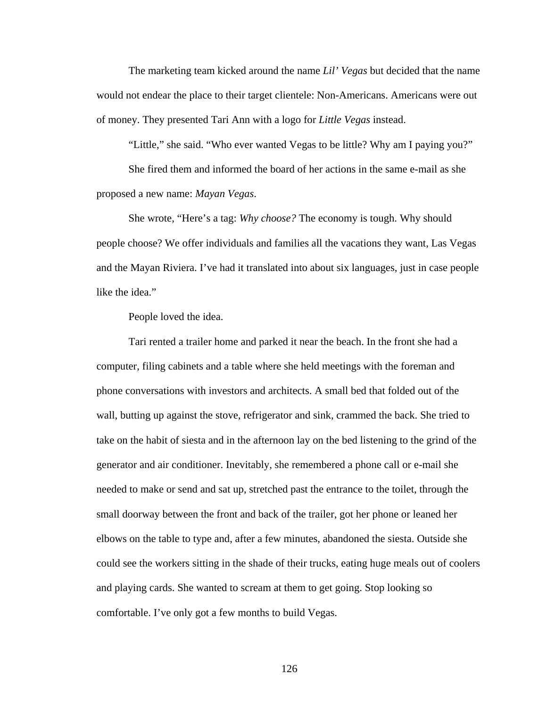The marketing team kicked around the name *Lil' Vegas* but decided that the name would not endear the place to their target clientele: Non-Americans. Americans were out of money. They presented Tari Ann with a logo for *Little Vegas* instead.

 "Little," she said. "Who ever wanted Vegas to be little? Why am I paying you?" She fired them and informed the board of her actions in the same e-mail as she proposed a new name: *Mayan Vegas*.

 She wrote, "Here's a tag: *Why choose?* The economy is tough. Why should people choose? We offer individuals and families all the vacations they want, Las Vegas and the Mayan Riviera. I've had it translated into about six languages, just in case people like the idea."

People loved the idea.

 Tari rented a trailer home and parked it near the beach. In the front she had a computer, filing cabinets and a table where she held meetings with the foreman and phone conversations with investors and architects. A small bed that folded out of the wall, butting up against the stove, refrigerator and sink, crammed the back. She tried to take on the habit of siesta and in the afternoon lay on the bed listening to the grind of the generator and air conditioner. Inevitably, she remembered a phone call or e-mail she needed to make or send and sat up, stretched past the entrance to the toilet, through the small doorway between the front and back of the trailer, got her phone or leaned her elbows on the table to type and, after a few minutes, abandoned the siesta. Outside she could see the workers sitting in the shade of their trucks, eating huge meals out of coolers and playing cards. She wanted to scream at them to get going. Stop looking so comfortable. I've only got a few months to build Vegas.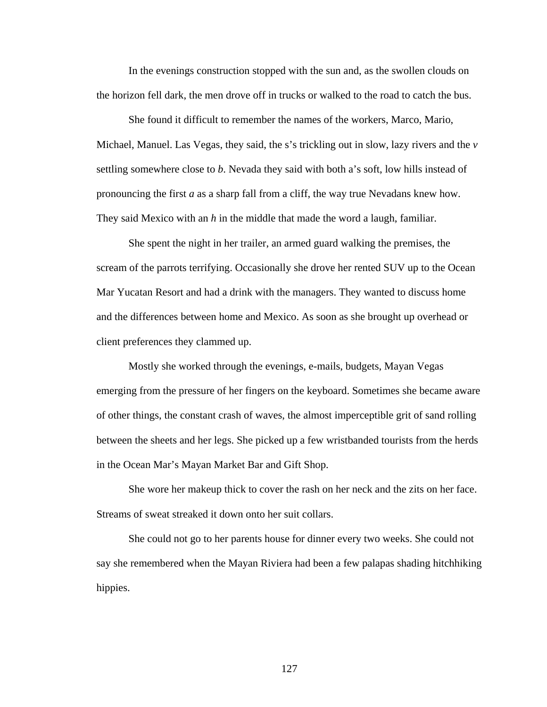In the evenings construction stopped with the sun and, as the swollen clouds on the horizon fell dark, the men drove off in trucks or walked to the road to catch the bus.

 She found it difficult to remember the names of the workers, Marco, Mario, Michael, Manuel. Las Vegas, they said, the s's trickling out in slow, lazy rivers and the *v* settling somewhere close to *b*. Nevada they said with both a's soft, low hills instead of pronouncing the first *a* as a sharp fall from a cliff, the way true Nevadans knew how. They said Mexico with an *h* in the middle that made the word a laugh, familiar.

 She spent the night in her trailer, an armed guard walking the premises, the scream of the parrots terrifying. Occasionally she drove her rented SUV up to the Ocean Mar Yucatan Resort and had a drink with the managers. They wanted to discuss home and the differences between home and Mexico. As soon as she brought up overhead or client preferences they clammed up.

 Mostly she worked through the evenings, e-mails, budgets, Mayan Vegas emerging from the pressure of her fingers on the keyboard. Sometimes she became aware of other things, the constant crash of waves, the almost imperceptible grit of sand rolling between the sheets and her legs. She picked up a few wristbanded tourists from the herds in the Ocean Mar's Mayan Market Bar and Gift Shop.

 She wore her makeup thick to cover the rash on her neck and the zits on her face. Streams of sweat streaked it down onto her suit collars.

 She could not go to her parents house for dinner every two weeks. She could not say she remembered when the Mayan Riviera had been a few palapas shading hitchhiking hippies.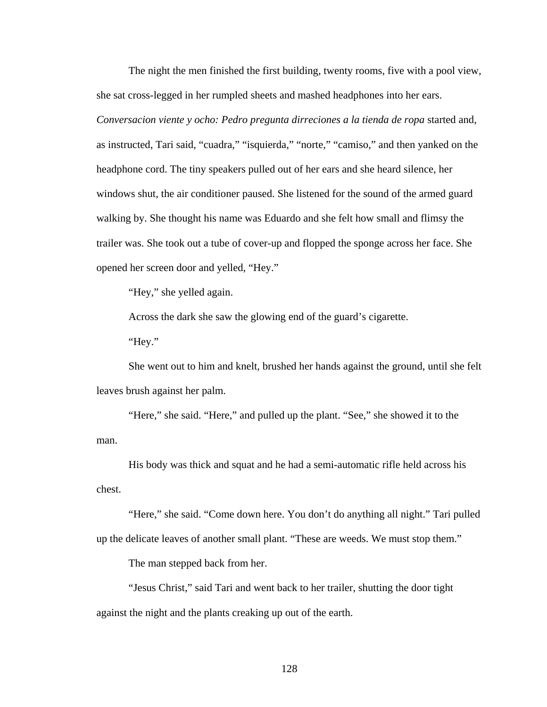The night the men finished the first building, twenty rooms, five with a pool view, she sat cross-legged in her rumpled sheets and mashed headphones into her ears. *Conversacion viente y ocho: Pedro pregunta dirreciones a la tienda de ropa* started and, as instructed, Tari said, "cuadra," "isquierda," "norte," "camiso," and then yanked on the headphone cord. The tiny speakers pulled out of her ears and she heard silence, her windows shut, the air conditioner paused. She listened for the sound of the armed guard walking by. She thought his name was Eduardo and she felt how small and flimsy the trailer was. She took out a tube of cover-up and flopped the sponge across her face. She opened her screen door and yelled, "Hey."

"Hey," she yelled again.

Across the dark she saw the glowing end of the guard's cigarette.

"Hey."

 She went out to him and knelt, brushed her hands against the ground, until she felt leaves brush against her palm.

 "Here," she said. "Here," and pulled up the plant. "See," she showed it to the man.

 His body was thick and squat and he had a semi-automatic rifle held across his chest.

 "Here," she said. "Come down here. You don't do anything all night." Tari pulled up the delicate leaves of another small plant. "These are weeds. We must stop them."

The man stepped back from her.

 "Jesus Christ," said Tari and went back to her trailer, shutting the door tight against the night and the plants creaking up out of the earth.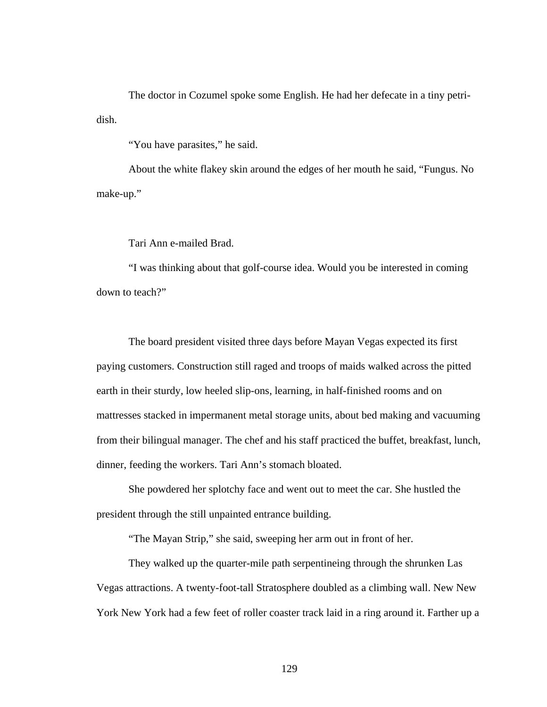The doctor in Cozumel spoke some English. He had her defecate in a tiny petridish.

"You have parasites," he said.

 About the white flakey skin around the edges of her mouth he said, "Fungus. No make-up."

Tari Ann e-mailed Brad.

 "I was thinking about that golf-course idea. Would you be interested in coming down to teach?"

 The board president visited three days before Mayan Vegas expected its first paying customers. Construction still raged and troops of maids walked across the pitted earth in their sturdy, low heeled slip-ons, learning, in half-finished rooms and on mattresses stacked in impermanent metal storage units, about bed making and vacuuming from their bilingual manager. The chef and his staff practiced the buffet, breakfast, lunch, dinner, feeding the workers. Tari Ann's stomach bloated.

 She powdered her splotchy face and went out to meet the car. She hustled the president through the still unpainted entrance building.

"The Mayan Strip," she said, sweeping her arm out in front of her.

 They walked up the quarter-mile path serpentineing through the shrunken Las Vegas attractions. A twenty-foot-tall Stratosphere doubled as a climbing wall. New New York New York had a few feet of roller coaster track laid in a ring around it. Farther up a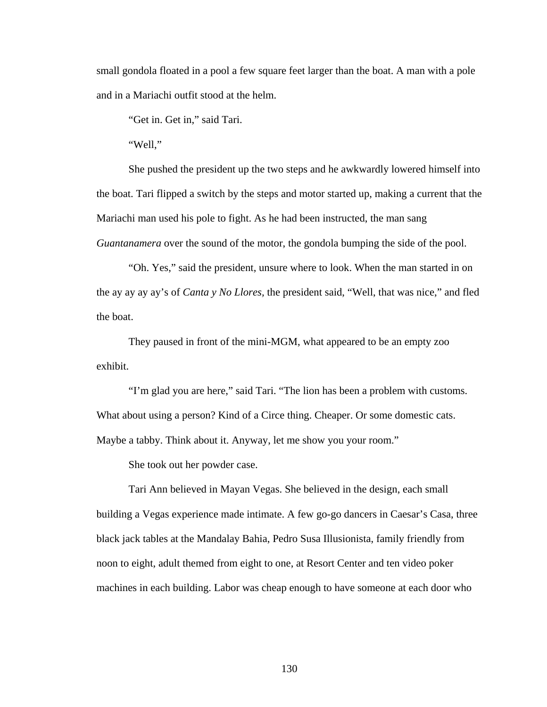small gondola floated in a pool a few square feet larger than the boat. A man with a pole and in a Mariachi outfit stood at the helm.

"Get in. Get in," said Tari.

"Well,"

 She pushed the president up the two steps and he awkwardly lowered himself into the boat. Tari flipped a switch by the steps and motor started up, making a current that the Mariachi man used his pole to fight. As he had been instructed, the man sang *Guantanamera* over the sound of the motor, the gondola bumping the side of the pool.

 "Oh. Yes," said the president, unsure where to look. When the man started in on the ay ay ay ay's of *Canta y No Llores,* the president said, "Well, that was nice," and fled the boat.

 They paused in front of the mini-MGM, what appeared to be an empty zoo exhibit.

 "I'm glad you are here," said Tari. "The lion has been a problem with customs. What about using a person? Kind of a Circe thing. Cheaper. Or some domestic cats. Maybe a tabby. Think about it. Anyway, let me show you your room."

She took out her powder case.

 Tari Ann believed in Mayan Vegas. She believed in the design, each small building a Vegas experience made intimate. A few go-go dancers in Caesar's Casa, three black jack tables at the Mandalay Bahia, Pedro Susa Illusionista, family friendly from noon to eight, adult themed from eight to one, at Resort Center and ten video poker machines in each building. Labor was cheap enough to have someone at each door who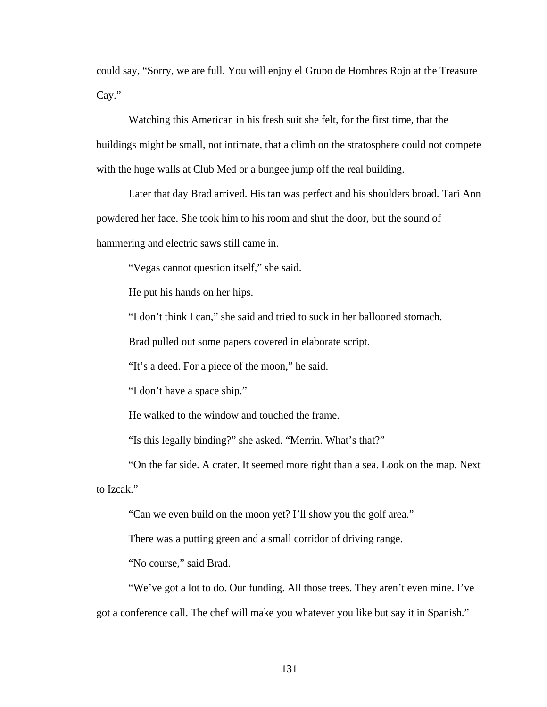could say, "Sorry, we are full. You will enjoy el Grupo de Hombres Rojo at the Treasure Cay."

 Watching this American in his fresh suit she felt, for the first time, that the buildings might be small, not intimate, that a climb on the stratosphere could not compete with the huge walls at Club Med or a bungee jump off the real building.

 Later that day Brad arrived. His tan was perfect and his shoulders broad. Tari Ann powdered her face. She took him to his room and shut the door, but the sound of hammering and electric saws still came in.

"Vegas cannot question itself," she said.

He put his hands on her hips.

"I don't think I can," she said and tried to suck in her ballooned stomach.

Brad pulled out some papers covered in elaborate script.

"It's a deed. For a piece of the moon," he said.

"I don't have a space ship."

He walked to the window and touched the frame.

"Is this legally binding?" she asked. "Merrin. What's that?"

 "On the far side. A crater. It seemed more right than a sea. Look on the map. Next to Izcak."

"Can we even build on the moon yet? I'll show you the golf area."

There was a putting green and a small corridor of driving range.

"No course," said Brad.

 "We've got a lot to do. Our funding. All those trees. They aren't even mine. I've got a conference call. The chef will make you whatever you like but say it in Spanish."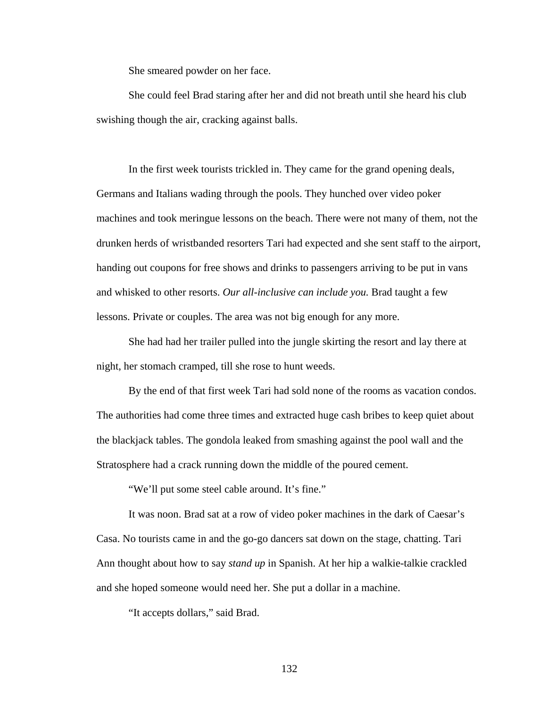She smeared powder on her face.

 She could feel Brad staring after her and did not breath until she heard his club swishing though the air, cracking against balls.

 In the first week tourists trickled in. They came for the grand opening deals, Germans and Italians wading through the pools. They hunched over video poker machines and took meringue lessons on the beach. There were not many of them, not the drunken herds of wristbanded resorters Tari had expected and she sent staff to the airport, handing out coupons for free shows and drinks to passengers arriving to be put in vans and whisked to other resorts. *Our all-inclusive can include you.* Brad taught a few lessons. Private or couples. The area was not big enough for any more.

 She had had her trailer pulled into the jungle skirting the resort and lay there at night, her stomach cramped, till she rose to hunt weeds.

 By the end of that first week Tari had sold none of the rooms as vacation condos. The authorities had come three times and extracted huge cash bribes to keep quiet about the blackjack tables. The gondola leaked from smashing against the pool wall and the Stratosphere had a crack running down the middle of the poured cement.

"We'll put some steel cable around. It's fine."

 It was noon. Brad sat at a row of video poker machines in the dark of Caesar's Casa. No tourists came in and the go-go dancers sat down on the stage, chatting. Tari Ann thought about how to say *stand up* in Spanish. At her hip a walkie-talkie crackled and she hoped someone would need her. She put a dollar in a machine.

"It accepts dollars," said Brad.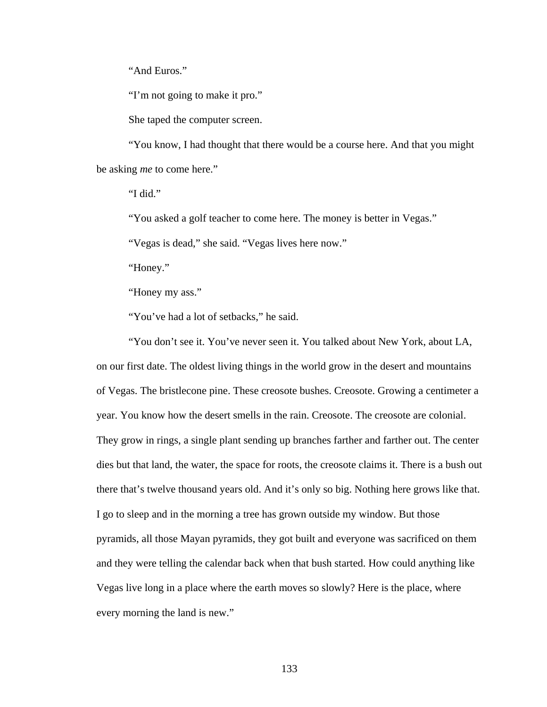"And Euros."

"I'm not going to make it pro."

She taped the computer screen.

 "You know, I had thought that there would be a course here. And that you might be asking *me* to come here."

"I did."

"You asked a golf teacher to come here. The money is better in Vegas."

"Vegas is dead," she said. "Vegas lives here now."

"Honey."

"Honey my ass."

"You've had a lot of setbacks," he said.

 "You don't see it. You've never seen it. You talked about New York, about LA, on our first date. The oldest living things in the world grow in the desert and mountains of Vegas. The bristlecone pine. These creosote bushes. Creosote. Growing a centimeter a year. You know how the desert smells in the rain. Creosote. The creosote are colonial. They grow in rings, a single plant sending up branches farther and farther out. The center dies but that land, the water, the space for roots, the creosote claims it. There is a bush out there that's twelve thousand years old. And it's only so big. Nothing here grows like that. I go to sleep and in the morning a tree has grown outside my window. But those pyramids, all those Mayan pyramids, they got built and everyone was sacrificed on them and they were telling the calendar back when that bush started. How could anything like Vegas live long in a place where the earth moves so slowly? Here is the place, where every morning the land is new."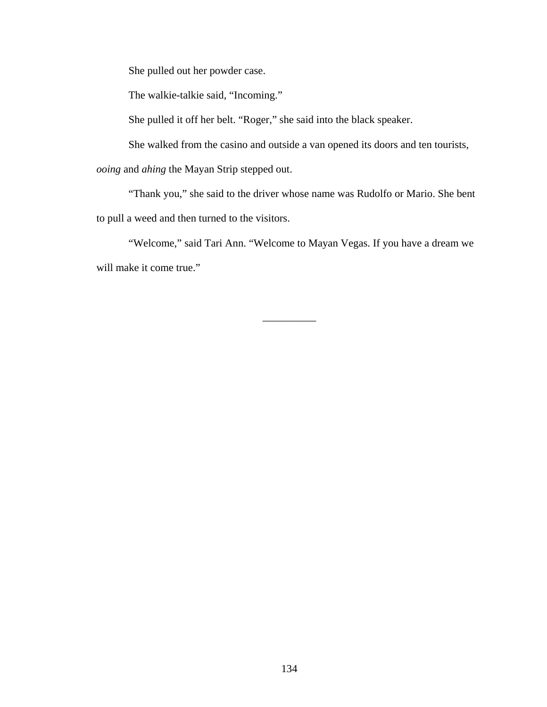She pulled out her powder case.

The walkie-talkie said, "Incoming."

She pulled it off her belt. "Roger," she said into the black speaker.

She walked from the casino and outside a van opened its doors and ten tourists,

*ooing* and *ahing* the Mayan Strip stepped out.

 "Thank you," she said to the driver whose name was Rudolfo or Mario. She bent to pull a weed and then turned to the visitors.

 "Welcome," said Tari Ann. "Welcome to Mayan Vegas. If you have a dream we will make it come true."

\_\_\_\_\_\_\_\_\_\_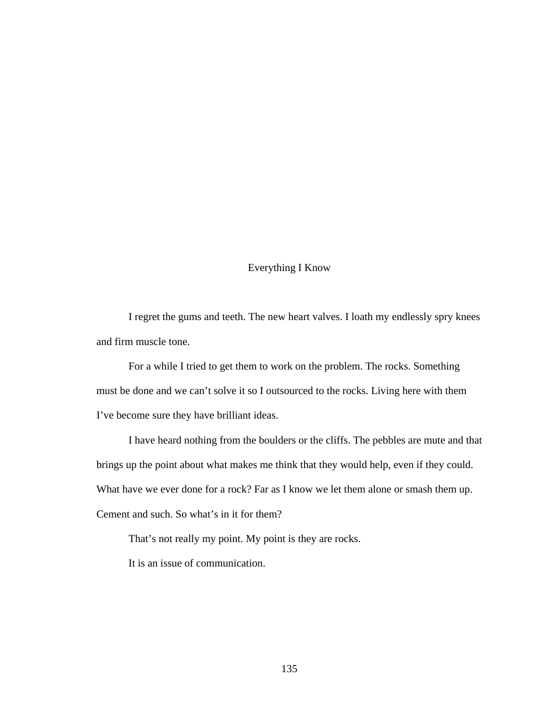## Everything I Know

 I regret the gums and teeth. The new heart valves. I loath my endlessly spry knees and firm muscle tone.

 For a while I tried to get them to work on the problem. The rocks. Something must be done and we can't solve it so I outsourced to the rocks. Living here with them I've become sure they have brilliant ideas.

 I have heard nothing from the boulders or the cliffs. The pebbles are mute and that brings up the point about what makes me think that they would help, even if they could. What have we ever done for a rock? Far as I know we let them alone or smash them up. Cement and such. So what's in it for them?

That's not really my point. My point is they are rocks.

It is an issue of communication.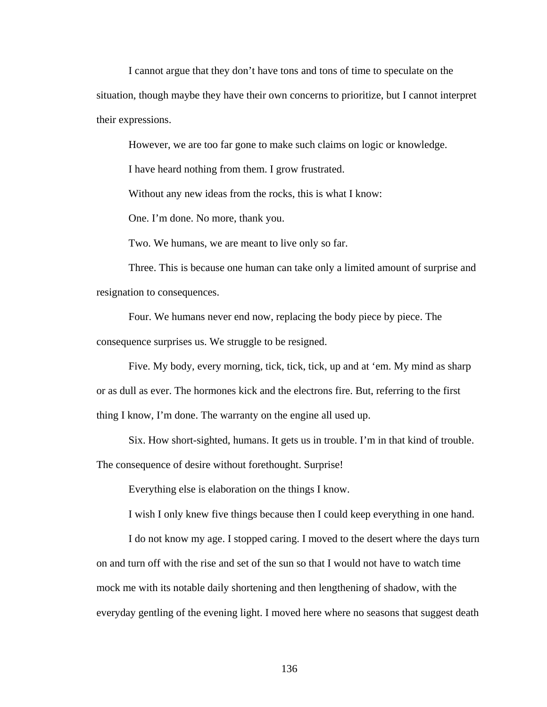I cannot argue that they don't have tons and tons of time to speculate on the situation, though maybe they have their own concerns to prioritize, but I cannot interpret their expressions.

However, we are too far gone to make such claims on logic or knowledge.

I have heard nothing from them. I grow frustrated.

Without any new ideas from the rocks, this is what I know:

One. I'm done. No more, thank you.

Two. We humans, we are meant to live only so far.

 Three. This is because one human can take only a limited amount of surprise and resignation to consequences.

 Four. We humans never end now, replacing the body piece by piece. The consequence surprises us. We struggle to be resigned.

 Five. My body, every morning, tick, tick, tick, up and at 'em. My mind as sharp or as dull as ever. The hormones kick and the electrons fire. But, referring to the first thing I know, I'm done. The warranty on the engine all used up.

Six. How short-sighted, humans. It gets us in trouble. I'm in that kind of trouble.

The consequence of desire without forethought. Surprise!

Everything else is elaboration on the things I know.

I wish I only knew five things because then I could keep everything in one hand.

 I do not know my age. I stopped caring. I moved to the desert where the days turn on and turn off with the rise and set of the sun so that I would not have to watch time mock me with its notable daily shortening and then lengthening of shadow, with the everyday gentling of the evening light. I moved here where no seasons that suggest death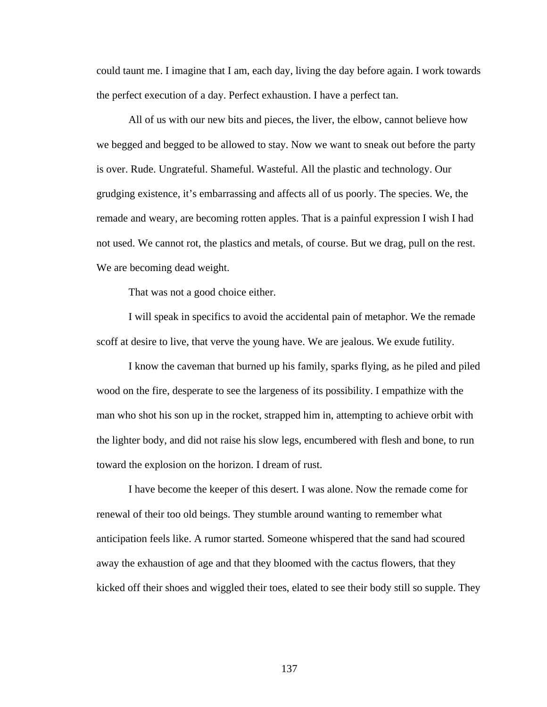could taunt me. I imagine that I am, each day, living the day before again. I work towards the perfect execution of a day. Perfect exhaustion. I have a perfect tan.

 All of us with our new bits and pieces, the liver, the elbow, cannot believe how we begged and begged to be allowed to stay. Now we want to sneak out before the party is over. Rude. Ungrateful. Shameful. Wasteful. All the plastic and technology. Our grudging existence, it's embarrassing and affects all of us poorly. The species. We, the remade and weary, are becoming rotten apples. That is a painful expression I wish I had not used. We cannot rot, the plastics and metals, of course. But we drag, pull on the rest. We are becoming dead weight.

That was not a good choice either.

 I will speak in specifics to avoid the accidental pain of metaphor. We the remade scoff at desire to live, that verve the young have. We are jealous. We exude futility.

 I know the caveman that burned up his family, sparks flying, as he piled and piled wood on the fire, desperate to see the largeness of its possibility. I empathize with the man who shot his son up in the rocket, strapped him in, attempting to achieve orbit with the lighter body, and did not raise his slow legs, encumbered with flesh and bone, to run toward the explosion on the horizon. I dream of rust.

 I have become the keeper of this desert. I was alone. Now the remade come for renewal of their too old beings. They stumble around wanting to remember what anticipation feels like. A rumor started. Someone whispered that the sand had scoured away the exhaustion of age and that they bloomed with the cactus flowers, that they kicked off their shoes and wiggled their toes, elated to see their body still so supple. They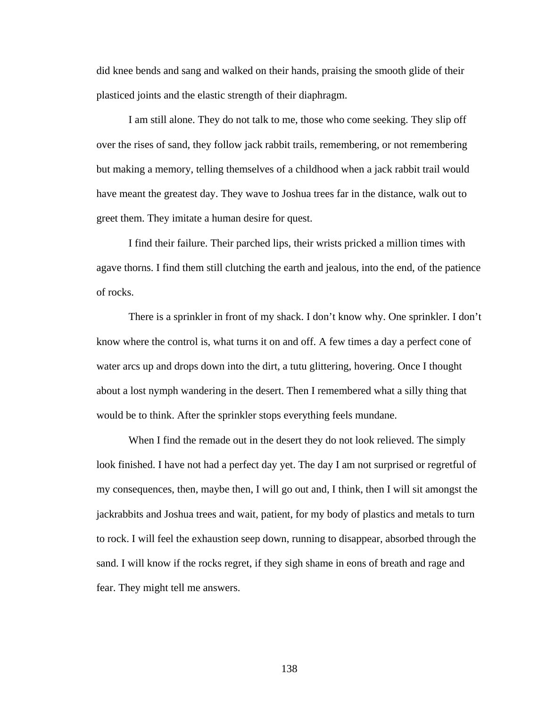did knee bends and sang and walked on their hands, praising the smooth glide of their plasticed joints and the elastic strength of their diaphragm.

 I am still alone. They do not talk to me, those who come seeking. They slip off over the rises of sand, they follow jack rabbit trails, remembering, or not remembering but making a memory, telling themselves of a childhood when a jack rabbit trail would have meant the greatest day. They wave to Joshua trees far in the distance, walk out to greet them. They imitate a human desire for quest.

 I find their failure. Their parched lips, their wrists pricked a million times with agave thorns. I find them still clutching the earth and jealous, into the end, of the patience of rocks.

 There is a sprinkler in front of my shack. I don't know why. One sprinkler. I don't know where the control is, what turns it on and off. A few times a day a perfect cone of water arcs up and drops down into the dirt, a tutu glittering, hovering. Once I thought about a lost nymph wandering in the desert. Then I remembered what a silly thing that would be to think. After the sprinkler stops everything feels mundane.

 When I find the remade out in the desert they do not look relieved. The simply look finished. I have not had a perfect day yet. The day I am not surprised or regretful of my consequences, then, maybe then, I will go out and, I think, then I will sit amongst the jackrabbits and Joshua trees and wait, patient, for my body of plastics and metals to turn to rock. I will feel the exhaustion seep down, running to disappear, absorbed through the sand. I will know if the rocks regret, if they sigh shame in eons of breath and rage and fear. They might tell me answers.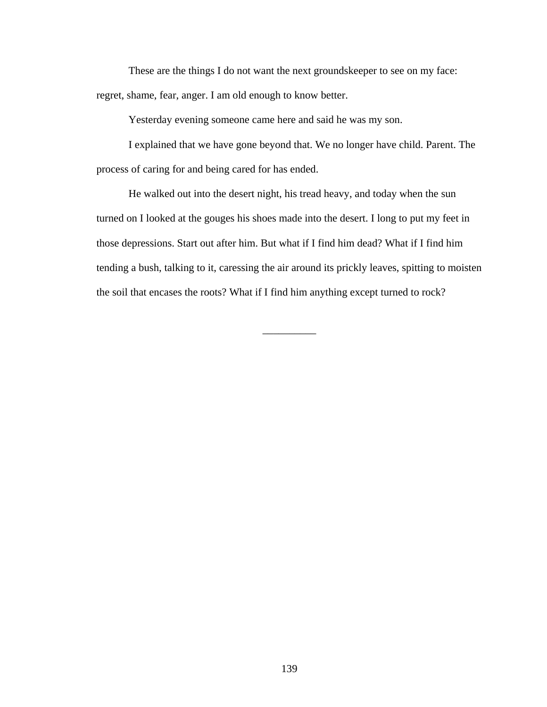These are the things I do not want the next groundskeeper to see on my face: regret, shame, fear, anger. I am old enough to know better.

Yesterday evening someone came here and said he was my son.

 I explained that we have gone beyond that. We no longer have child. Parent. The process of caring for and being cared for has ended.

 He walked out into the desert night, his tread heavy, and today when the sun turned on I looked at the gouges his shoes made into the desert. I long to put my feet in those depressions. Start out after him. But what if I find him dead? What if I find him tending a bush, talking to it, caressing the air around its prickly leaves, spitting to moisten the soil that encases the roots? What if I find him anything except turned to rock?

\_\_\_\_\_\_\_\_\_\_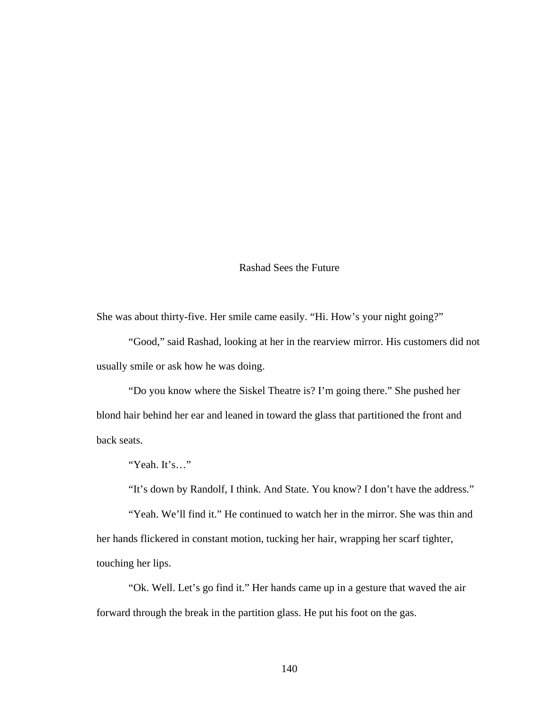## Rashad Sees the Future

She was about thirty-five. Her smile came easily. "Hi. How's your night going?"

 "Good," said Rashad, looking at her in the rearview mirror. His customers did not usually smile or ask how he was doing.

 "Do you know where the Siskel Theatre is? I'm going there." She pushed her blond hair behind her ear and leaned in toward the glass that partitioned the front and back seats.

"Yeah. It's…"

"It's down by Randolf, I think. And State. You know? I don't have the address."

 "Yeah. We'll find it." He continued to watch her in the mirror. She was thin and her hands flickered in constant motion, tucking her hair, wrapping her scarf tighter, touching her lips.

 "Ok. Well. Let's go find it." Her hands came up in a gesture that waved the air forward through the break in the partition glass. He put his foot on the gas.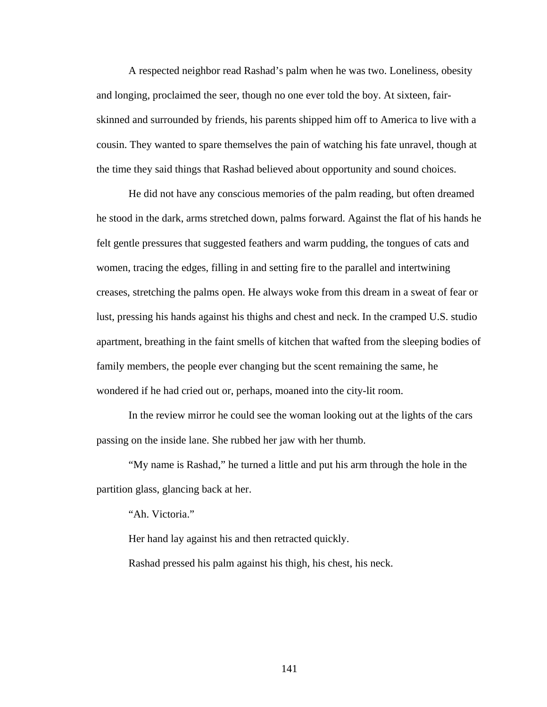A respected neighbor read Rashad's palm when he was two. Loneliness, obesity and longing, proclaimed the seer, though no one ever told the boy. At sixteen, fairskinned and surrounded by friends, his parents shipped him off to America to live with a cousin. They wanted to spare themselves the pain of watching his fate unravel, though at the time they said things that Rashad believed about opportunity and sound choices.

 He did not have any conscious memories of the palm reading, but often dreamed he stood in the dark, arms stretched down, palms forward. Against the flat of his hands he felt gentle pressures that suggested feathers and warm pudding, the tongues of cats and women, tracing the edges, filling in and setting fire to the parallel and intertwining creases, stretching the palms open. He always woke from this dream in a sweat of fear or lust, pressing his hands against his thighs and chest and neck. In the cramped U.S. studio apartment, breathing in the faint smells of kitchen that wafted from the sleeping bodies of family members, the people ever changing but the scent remaining the same, he wondered if he had cried out or, perhaps, moaned into the city-lit room.

 In the review mirror he could see the woman looking out at the lights of the cars passing on the inside lane. She rubbed her jaw with her thumb.

 "My name is Rashad," he turned a little and put his arm through the hole in the partition glass, glancing back at her.

"Ah. Victoria."

Her hand lay against his and then retracted quickly.

Rashad pressed his palm against his thigh, his chest, his neck.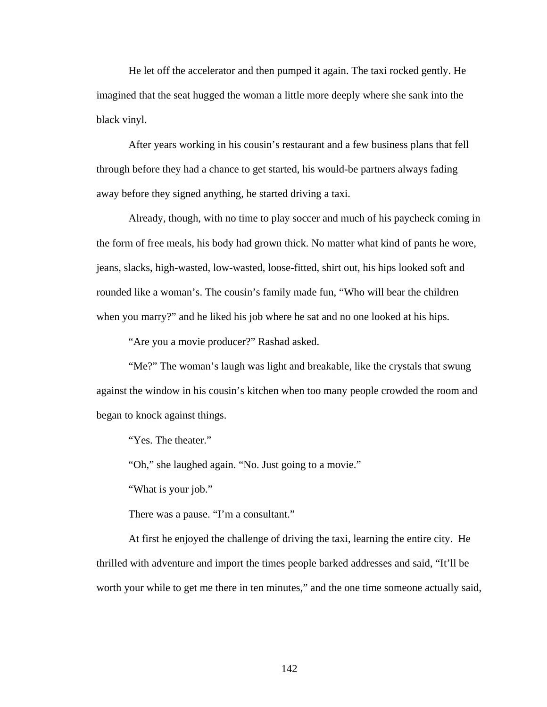He let off the accelerator and then pumped it again. The taxi rocked gently. He imagined that the seat hugged the woman a little more deeply where she sank into the black vinyl.

 After years working in his cousin's restaurant and a few business plans that fell through before they had a chance to get started, his would-be partners always fading away before they signed anything, he started driving a taxi.

 Already, though, with no time to play soccer and much of his paycheck coming in the form of free meals, his body had grown thick. No matter what kind of pants he wore, jeans, slacks, high-wasted, low-wasted, loose-fitted, shirt out, his hips looked soft and rounded like a woman's. The cousin's family made fun, "Who will bear the children when you marry?" and he liked his job where he sat and no one looked at his hips.

"Are you a movie producer?" Rashad asked.

"Me?" The woman's laugh was light and breakable, like the crystals that swung against the window in his cousin's kitchen when too many people crowded the room and began to knock against things.

"Yes. The theater."

"Oh," she laughed again. "No. Just going to a movie."

"What is your job."

There was a pause. "I'm a consultant."

 At first he enjoyed the challenge of driving the taxi, learning the entire city. He thrilled with adventure and import the times people barked addresses and said, "It'll be worth your while to get me there in ten minutes," and the one time someone actually said,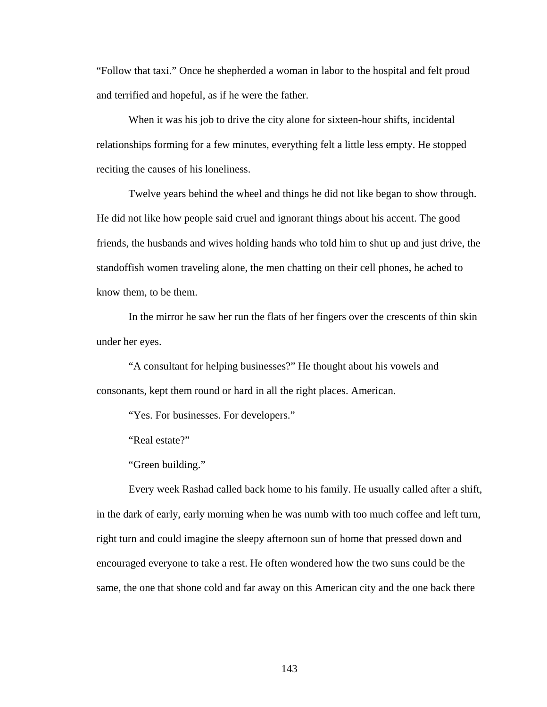"Follow that taxi." Once he shepherded a woman in labor to the hospital and felt proud and terrified and hopeful, as if he were the father.

 When it was his job to drive the city alone for sixteen-hour shifts, incidental relationships forming for a few minutes, everything felt a little less empty. He stopped reciting the causes of his loneliness.

 Twelve years behind the wheel and things he did not like began to show through. He did not like how people said cruel and ignorant things about his accent. The good friends, the husbands and wives holding hands who told him to shut up and just drive, the standoffish women traveling alone, the men chatting on their cell phones, he ached to know them, to be them.

 In the mirror he saw her run the flats of her fingers over the crescents of thin skin under her eyes.

 "A consultant for helping businesses?" He thought about his vowels and consonants, kept them round or hard in all the right places. American.

"Yes. For businesses. For developers."

"Real estate?"

"Green building."

 Every week Rashad called back home to his family. He usually called after a shift, in the dark of early, early morning when he was numb with too much coffee and left turn, right turn and could imagine the sleepy afternoon sun of home that pressed down and encouraged everyone to take a rest. He often wondered how the two suns could be the same, the one that shone cold and far away on this American city and the one back there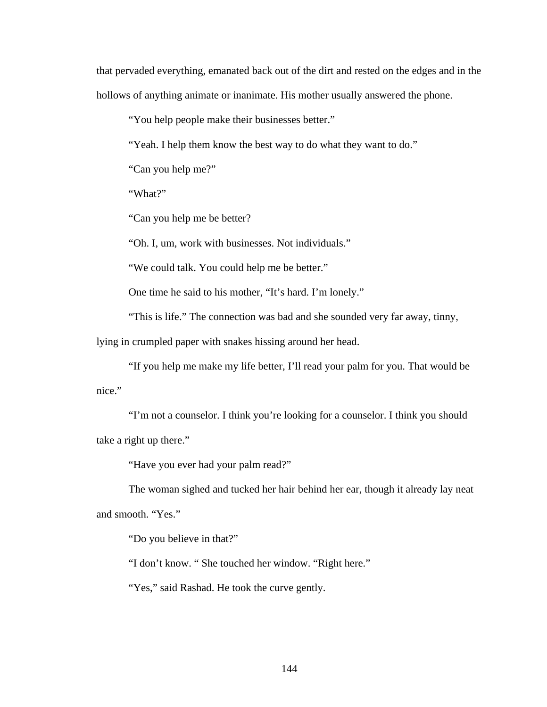that pervaded everything, emanated back out of the dirt and rested on the edges and in the hollows of anything animate or inanimate. His mother usually answered the phone.

"You help people make their businesses better."

"Yeah. I help them know the best way to do what they want to do."

"Can you help me?"

"What?"

"Can you help me be better?

"Oh. I, um, work with businesses. Not individuals."

"We could talk. You could help me be better."

One time he said to his mother, "It's hard. I'm lonely."

"This is life." The connection was bad and she sounded very far away, tinny,

lying in crumpled paper with snakes hissing around her head.

 "If you help me make my life better, I'll read your palm for you. That would be nice."

 "I'm not a counselor. I think you're looking for a counselor. I think you should take a right up there."

"Have you ever had your palm read?"

 The woman sighed and tucked her hair behind her ear, though it already lay neat and smooth. "Yes."

"Do you believe in that?"

"I don't know. " She touched her window. "Right here."

"Yes," said Rashad. He took the curve gently.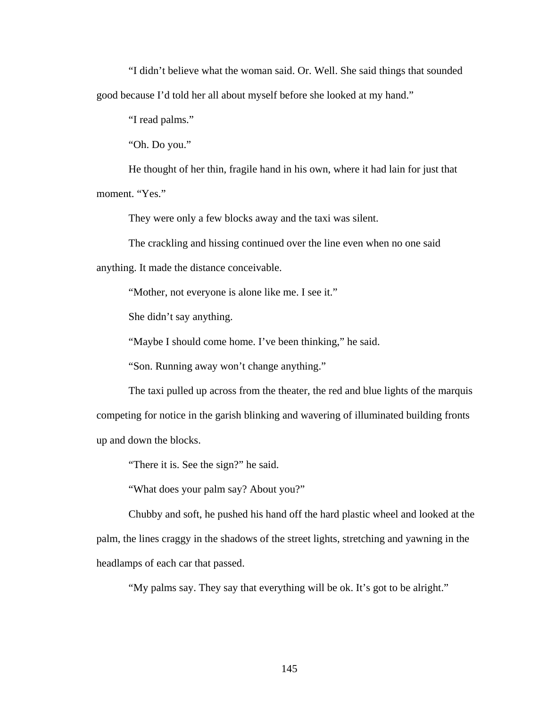"I didn't believe what the woman said. Or. Well. She said things that sounded good because I'd told her all about myself before she looked at my hand."

"I read palms."

"Oh. Do you."

 He thought of her thin, fragile hand in his own, where it had lain for just that moment. "Yes."

They were only a few blocks away and the taxi was silent.

 The crackling and hissing continued over the line even when no one said anything. It made the distance conceivable.

"Mother, not everyone is alone like me. I see it."

She didn't say anything.

"Maybe I should come home. I've been thinking," he said.

"Son. Running away won't change anything."

 The taxi pulled up across from the theater, the red and blue lights of the marquis competing for notice in the garish blinking and wavering of illuminated building fronts up and down the blocks.

"There it is. See the sign?" he said.

"What does your palm say? About you?"

 Chubby and soft, he pushed his hand off the hard plastic wheel and looked at the palm, the lines craggy in the shadows of the street lights, stretching and yawning in the headlamps of each car that passed.

"My palms say. They say that everything will be ok. It's got to be alright."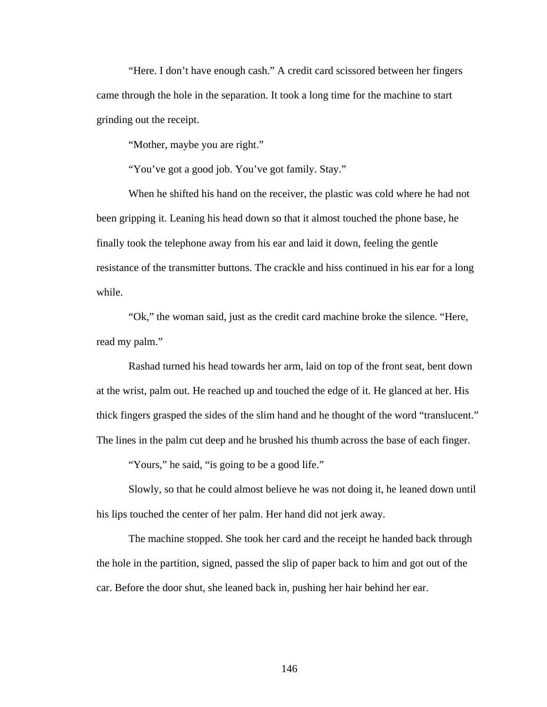"Here. I don't have enough cash." A credit card scissored between her fingers came through the hole in the separation. It took a long time for the machine to start grinding out the receipt.

"Mother, maybe you are right."

"You've got a good job. You've got family. Stay."

 When he shifted his hand on the receiver, the plastic was cold where he had not been gripping it. Leaning his head down so that it almost touched the phone base, he finally took the telephone away from his ear and laid it down, feeling the gentle resistance of the transmitter buttons. The crackle and hiss continued in his ear for a long while.

 "Ok," the woman said, just as the credit card machine broke the silence. "Here, read my palm."

 Rashad turned his head towards her arm, laid on top of the front seat, bent down at the wrist, palm out. He reached up and touched the edge of it. He glanced at her. His thick fingers grasped the sides of the slim hand and he thought of the word "translucent." The lines in the palm cut deep and he brushed his thumb across the base of each finger.

"Yours," he said, "is going to be a good life."

 Slowly, so that he could almost believe he was not doing it, he leaned down until his lips touched the center of her palm. Her hand did not jerk away.

 The machine stopped. She took her card and the receipt he handed back through the hole in the partition, signed, passed the slip of paper back to him and got out of the car. Before the door shut, she leaned back in, pushing her hair behind her ear.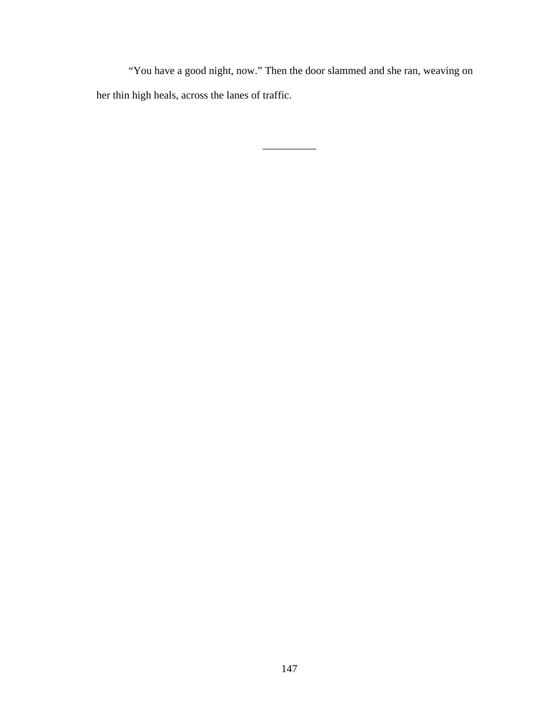"You have a good night, now." Then the door slammed and she ran, weaving on her thin high heals, across the lanes of traffic.

\_\_\_\_\_\_\_\_\_\_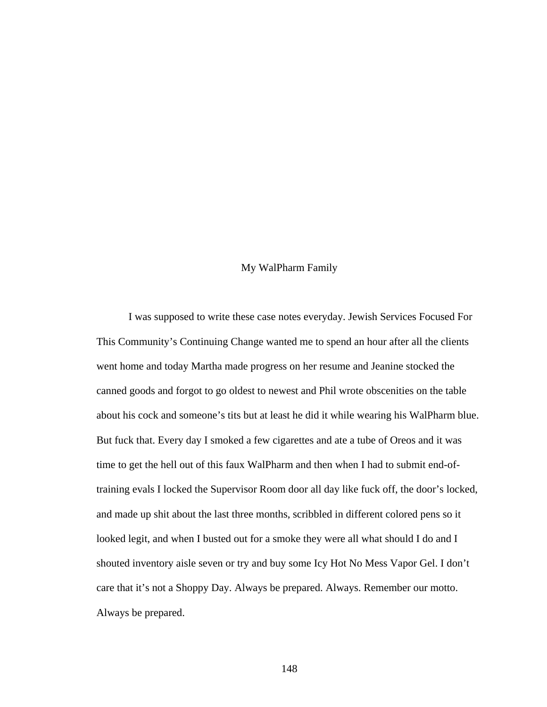## My WalPharm Family

 I was supposed to write these case notes everyday. Jewish Services Focused For This Community's Continuing Change wanted me to spend an hour after all the clients went home and today Martha made progress on her resume and Jeanine stocked the canned goods and forgot to go oldest to newest and Phil wrote obscenities on the table about his cock and someone's tits but at least he did it while wearing his WalPharm blue. But fuck that. Every day I smoked a few cigarettes and ate a tube of Oreos and it was time to get the hell out of this faux WalPharm and then when I had to submit end-oftraining evals I locked the Supervisor Room door all day like fuck off, the door's locked, and made up shit about the last three months, scribbled in different colored pens so it looked legit, and when I busted out for a smoke they were all what should I do and I shouted inventory aisle seven or try and buy some Icy Hot No Mess Vapor Gel. I don't care that it's not a Shoppy Day. Always be prepared. Always. Remember our motto. Always be prepared.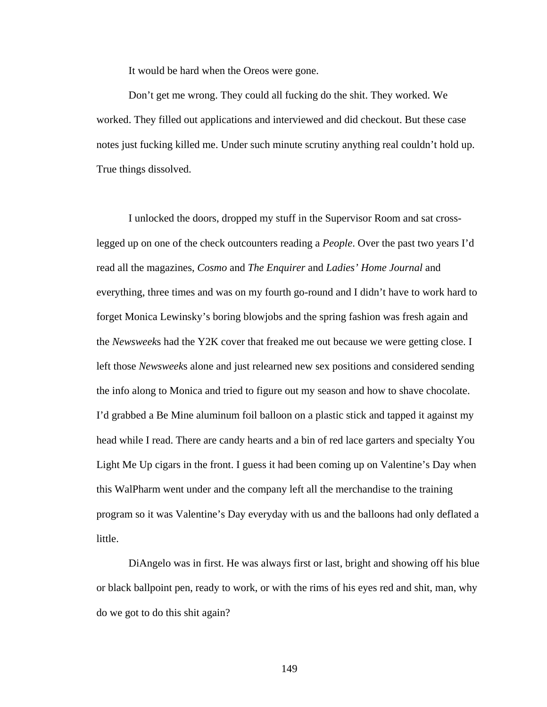It would be hard when the Oreos were gone.

 Don't get me wrong. They could all fucking do the shit. They worked. We worked. They filled out applications and interviewed and did checkout. But these case notes just fucking killed me. Under such minute scrutiny anything real couldn't hold up. True things dissolved.

 I unlocked the doors, dropped my stuff in the Supervisor Room and sat crosslegged up on one of the check outcounters reading a *People*. Over the past two years I'd read all the magazines, *Cosmo* and *The Enquirer* and *Ladies' Home Journal* and everything, three times and was on my fourth go-round and I didn't have to work hard to forget Monica Lewinsky's boring blowjobs and the spring fashion was fresh again and the *Newsweek*s had the Y2K cover that freaked me out because we were getting close. I left those *Newsweek*s alone and just relearned new sex positions and considered sending the info along to Monica and tried to figure out my season and how to shave chocolate. I'd grabbed a Be Mine aluminum foil balloon on a plastic stick and tapped it against my head while I read. There are candy hearts and a bin of red lace garters and specialty You Light Me Up cigars in the front. I guess it had been coming up on Valentine's Day when this WalPharm went under and the company left all the merchandise to the training program so it was Valentine's Day everyday with us and the balloons had only deflated a little.

 DiAngelo was in first. He was always first or last, bright and showing off his blue or black ballpoint pen, ready to work, or with the rims of his eyes red and shit, man, why do we got to do this shit again?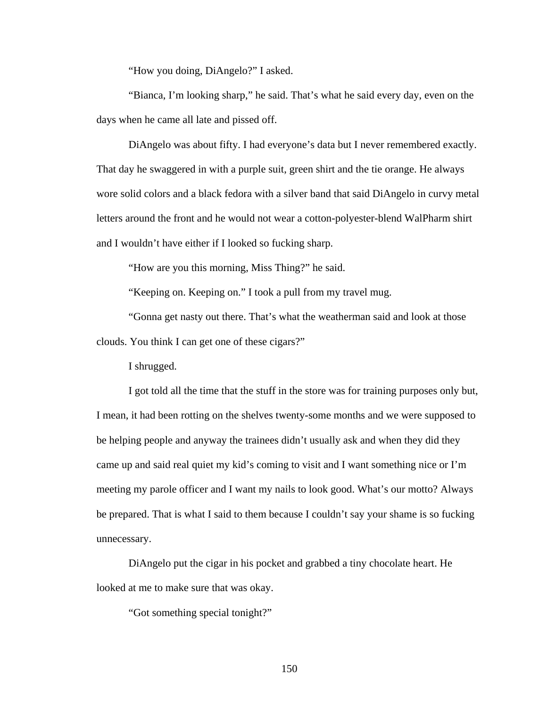"How you doing, DiAngelo?" I asked.

 "Bianca, I'm looking sharp," he said. That's what he said every day, even on the days when he came all late and pissed off.

 DiAngelo was about fifty. I had everyone's data but I never remembered exactly. That day he swaggered in with a purple suit, green shirt and the tie orange. He always wore solid colors and a black fedora with a silver band that said DiAngelo in curvy metal letters around the front and he would not wear a cotton-polyester-blend WalPharm shirt and I wouldn't have either if I looked so fucking sharp.

"How are you this morning, Miss Thing?" he said.

"Keeping on. Keeping on." I took a pull from my travel mug.

 "Gonna get nasty out there. That's what the weatherman said and look at those clouds. You think I can get one of these cigars?"

I shrugged.

 I got told all the time that the stuff in the store was for training purposes only but, I mean, it had been rotting on the shelves twenty-some months and we were supposed to be helping people and anyway the trainees didn't usually ask and when they did they came up and said real quiet my kid's coming to visit and I want something nice or I'm meeting my parole officer and I want my nails to look good. What's our motto? Always be prepared. That is what I said to them because I couldn't say your shame is so fucking unnecessary.

 DiAngelo put the cigar in his pocket and grabbed a tiny chocolate heart. He looked at me to make sure that was okay.

"Got something special tonight?"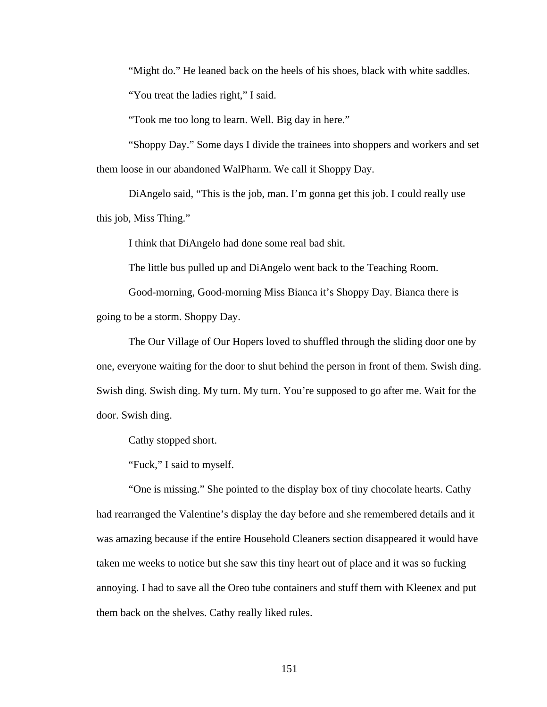"Might do." He leaned back on the heels of his shoes, black with white saddles.

"You treat the ladies right," I said.

"Took me too long to learn. Well. Big day in here."

 "Shoppy Day." Some days I divide the trainees into shoppers and workers and set them loose in our abandoned WalPharm. We call it Shoppy Day.

 DiAngelo said, "This is the job, man. I'm gonna get this job. I could really use this job, Miss Thing."

I think that DiAngelo had done some real bad shit.

The little bus pulled up and DiAngelo went back to the Teaching Room.

 Good-morning, Good-morning Miss Bianca it's Shoppy Day. Bianca there is going to be a storm. Shoppy Day.

 The Our Village of Our Hopers loved to shuffled through the sliding door one by one, everyone waiting for the door to shut behind the person in front of them. Swish ding. Swish ding. Swish ding. My turn. My turn. You're supposed to go after me. Wait for the door. Swish ding.

Cathy stopped short.

"Fuck," I said to myself.

 "One is missing." She pointed to the display box of tiny chocolate hearts. Cathy had rearranged the Valentine's display the day before and she remembered details and it was amazing because if the entire Household Cleaners section disappeared it would have taken me weeks to notice but she saw this tiny heart out of place and it was so fucking annoying. I had to save all the Oreo tube containers and stuff them with Kleenex and put them back on the shelves. Cathy really liked rules.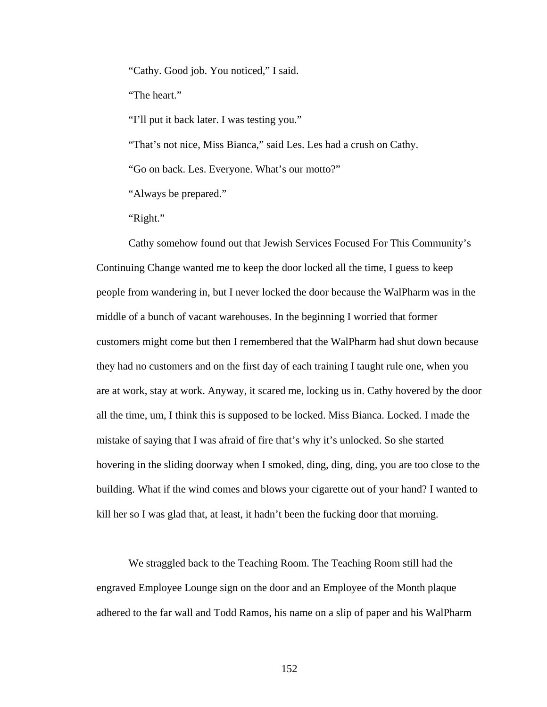"Cathy. Good job. You noticed," I said.

"The heart."

"I'll put it back later. I was testing you."

"That's not nice, Miss Bianca," said Les. Les had a crush on Cathy.

"Go on back. Les. Everyone. What's our motto?"

"Always be prepared."

"Right."

 Cathy somehow found out that Jewish Services Focused For This Community's Continuing Change wanted me to keep the door locked all the time, I guess to keep people from wandering in, but I never locked the door because the WalPharm was in the middle of a bunch of vacant warehouses. In the beginning I worried that former customers might come but then I remembered that the WalPharm had shut down because they had no customers and on the first day of each training I taught rule one, when you are at work, stay at work. Anyway, it scared me, locking us in. Cathy hovered by the door all the time, um, I think this is supposed to be locked. Miss Bianca. Locked. I made the mistake of saying that I was afraid of fire that's why it's unlocked. So she started hovering in the sliding doorway when I smoked, ding, ding, ding, you are too close to the building. What if the wind comes and blows your cigarette out of your hand? I wanted to kill her so I was glad that, at least, it hadn't been the fucking door that morning.

 We straggled back to the Teaching Room. The Teaching Room still had the engraved Employee Lounge sign on the door and an Employee of the Month plaque adhered to the far wall and Todd Ramos, his name on a slip of paper and his WalPharm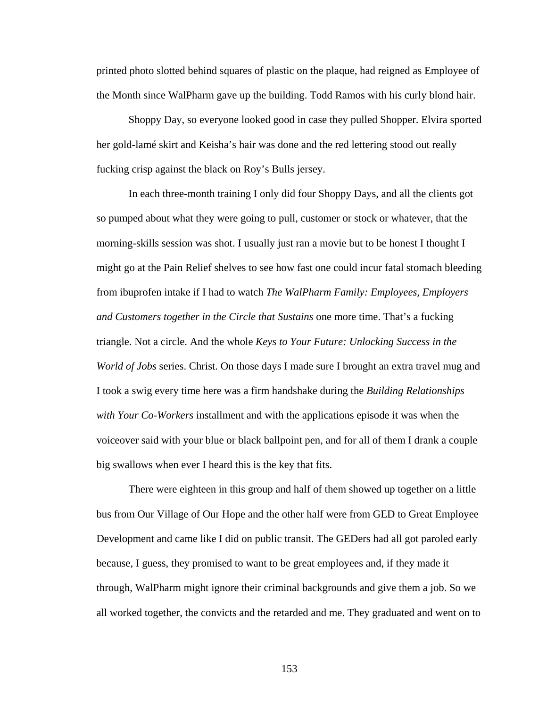printed photo slotted behind squares of plastic on the plaque, had reigned as Employee of the Month since WalPharm gave up the building. Todd Ramos with his curly blond hair.

 Shoppy Day, so everyone looked good in case they pulled Shopper. Elvira sported her gold-lamé skirt and Keisha's hair was done and the red lettering stood out really fucking crisp against the black on Roy's Bulls jersey.

 In each three-month training I only did four Shoppy Days, and all the clients got so pumped about what they were going to pull, customer or stock or whatever, that the morning-skills session was shot. I usually just ran a movie but to be honest I thought I might go at the Pain Relief shelves to see how fast one could incur fatal stomach bleeding from ibuprofen intake if I had to watch *The WalPharm Family: Employees, Employers and Customers together in the Circle that Sustains* one more time. That's a fucking triangle. Not a circle. And the whole *Keys to Your Future: Unlocking Success in the World of Jobs* series. Christ. On those days I made sure I brought an extra travel mug and I took a swig every time here was a firm handshake during the *Building Relationships with Your Co-Workers* installment and with the applications episode it was when the voiceover said with your blue or black ballpoint pen, and for all of them I drank a couple big swallows when ever I heard this is the key that fits.

 There were eighteen in this group and half of them showed up together on a little bus from Our Village of Our Hope and the other half were from GED to Great Employee Development and came like I did on public transit. The GEDers had all got paroled early because, I guess, they promised to want to be great employees and, if they made it through, WalPharm might ignore their criminal backgrounds and give them a job. So we all worked together, the convicts and the retarded and me. They graduated and went on to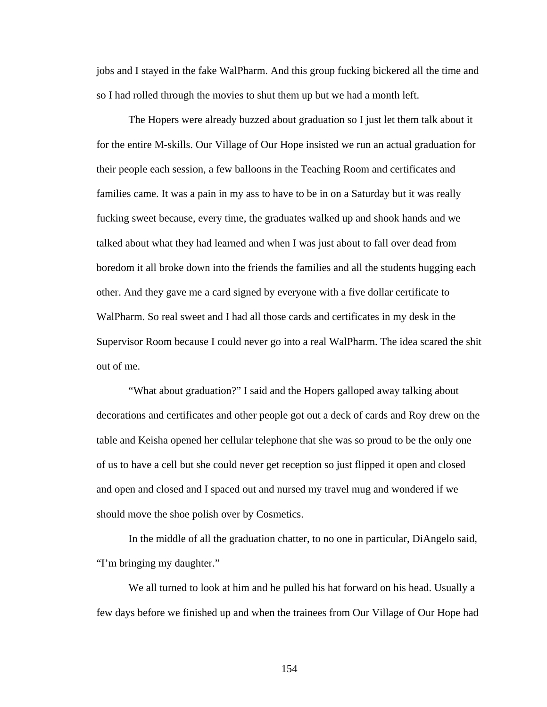jobs and I stayed in the fake WalPharm. And this group fucking bickered all the time and so I had rolled through the movies to shut them up but we had a month left.

 The Hopers were already buzzed about graduation so I just let them talk about it for the entire M-skills. Our Village of Our Hope insisted we run an actual graduation for their people each session, a few balloons in the Teaching Room and certificates and families came. It was a pain in my ass to have to be in on a Saturday but it was really fucking sweet because, every time, the graduates walked up and shook hands and we talked about what they had learned and when I was just about to fall over dead from boredom it all broke down into the friends the families and all the students hugging each other. And they gave me a card signed by everyone with a five dollar certificate to WalPharm. So real sweet and I had all those cards and certificates in my desk in the Supervisor Room because I could never go into a real WalPharm. The idea scared the shit out of me.

 "What about graduation?" I said and the Hopers galloped away talking about decorations and certificates and other people got out a deck of cards and Roy drew on the table and Keisha opened her cellular telephone that she was so proud to be the only one of us to have a cell but she could never get reception so just flipped it open and closed and open and closed and I spaced out and nursed my travel mug and wondered if we should move the shoe polish over by Cosmetics.

 In the middle of all the graduation chatter, to no one in particular, DiAngelo said, "I'm bringing my daughter."

 We all turned to look at him and he pulled his hat forward on his head. Usually a few days before we finished up and when the trainees from Our Village of Our Hope had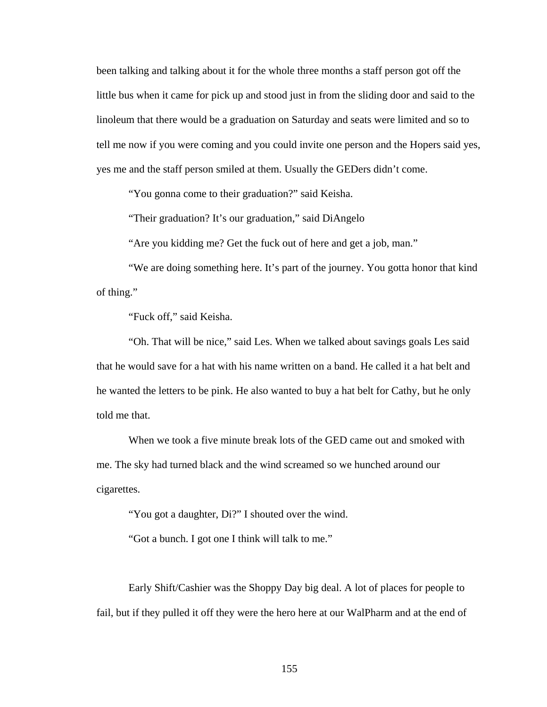been talking and talking about it for the whole three months a staff person got off the little bus when it came for pick up and stood just in from the sliding door and said to the linoleum that there would be a graduation on Saturday and seats were limited and so to tell me now if you were coming and you could invite one person and the Hopers said yes, yes me and the staff person smiled at them. Usually the GEDers didn't come.

"You gonna come to their graduation?" said Keisha.

"Their graduation? It's our graduation," said DiAngelo

"Are you kidding me? Get the fuck out of here and get a job, man."

 "We are doing something here. It's part of the journey. You gotta honor that kind of thing."

"Fuck off," said Keisha.

 "Oh. That will be nice," said Les. When we talked about savings goals Les said that he would save for a hat with his name written on a band. He called it a hat belt and he wanted the letters to be pink. He also wanted to buy a hat belt for Cathy, but he only told me that.

 When we took a five minute break lots of the GED came out and smoked with me. The sky had turned black and the wind screamed so we hunched around our cigarettes.

"You got a daughter, Di?" I shouted over the wind.

"Got a bunch. I got one I think will talk to me."

 Early Shift/Cashier was the Shoppy Day big deal. A lot of places for people to fail, but if they pulled it off they were the hero here at our WalPharm and at the end of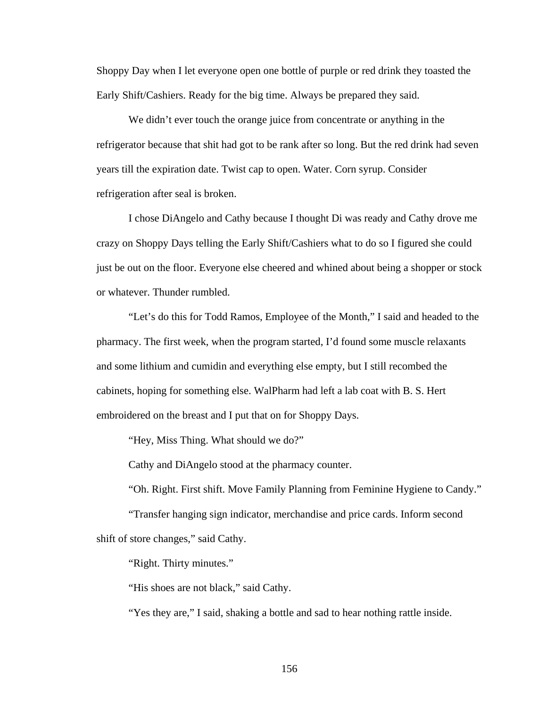Shoppy Day when I let everyone open one bottle of purple or red drink they toasted the Early Shift/Cashiers. Ready for the big time. Always be prepared they said.

We didn't ever touch the orange juice from concentrate or anything in the refrigerator because that shit had got to be rank after so long. But the red drink had seven years till the expiration date. Twist cap to open. Water. Corn syrup. Consider refrigeration after seal is broken.

 I chose DiAngelo and Cathy because I thought Di was ready and Cathy drove me crazy on Shoppy Days telling the Early Shift/Cashiers what to do so I figured she could just be out on the floor. Everyone else cheered and whined about being a shopper or stock or whatever. Thunder rumbled.

 "Let's do this for Todd Ramos, Employee of the Month," I said and headed to the pharmacy. The first week, when the program started, I'd found some muscle relaxants and some lithium and cumidin and everything else empty, but I still recombed the cabinets, hoping for something else. WalPharm had left a lab coat with B. S. Hert embroidered on the breast and I put that on for Shoppy Days.

"Hey, Miss Thing. What should we do?"

Cathy and DiAngelo stood at the pharmacy counter.

"Oh. Right. First shift. Move Family Planning from Feminine Hygiene to Candy."

 "Transfer hanging sign indicator, merchandise and price cards. Inform second shift of store changes," said Cathy.

"Right. Thirty minutes."

"His shoes are not black," said Cathy.

"Yes they are," I said, shaking a bottle and sad to hear nothing rattle inside.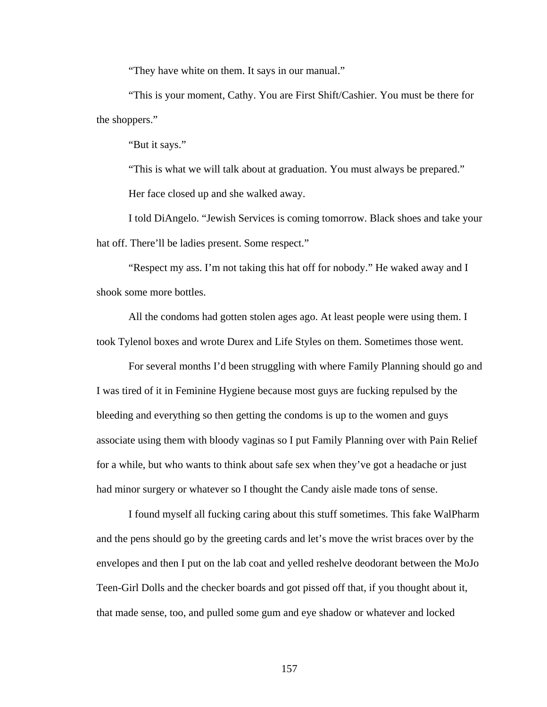"They have white on them. It says in our manual."

 "This is your moment, Cathy. You are First Shift/Cashier. You must be there for the shoppers."

"But it says."

 "This is what we will talk about at graduation. You must always be prepared." Her face closed up and she walked away.

 I told DiAngelo. "Jewish Services is coming tomorrow. Black shoes and take your hat off. There'll be ladies present. Some respect."

 "Respect my ass. I'm not taking this hat off for nobody." He waked away and I shook some more bottles.

 All the condoms had gotten stolen ages ago. At least people were using them. I took Tylenol boxes and wrote Durex and Life Styles on them. Sometimes those went.

 For several months I'd been struggling with where Family Planning should go and I was tired of it in Feminine Hygiene because most guys are fucking repulsed by the bleeding and everything so then getting the condoms is up to the women and guys associate using them with bloody vaginas so I put Family Planning over with Pain Relief for a while, but who wants to think about safe sex when they've got a headache or just had minor surgery or whatever so I thought the Candy aisle made tons of sense.

 I found myself all fucking caring about this stuff sometimes. This fake WalPharm and the pens should go by the greeting cards and let's move the wrist braces over by the envelopes and then I put on the lab coat and yelled reshelve deodorant between the MoJo Teen-Girl Dolls and the checker boards and got pissed off that, if you thought about it, that made sense, too, and pulled some gum and eye shadow or whatever and locked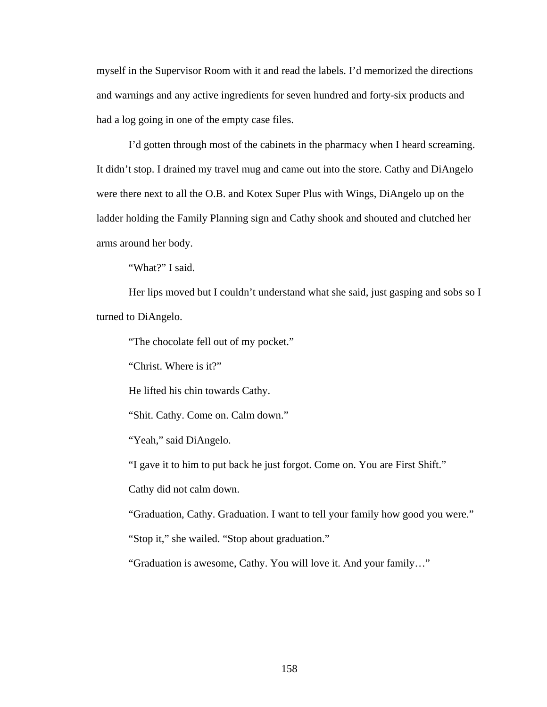myself in the Supervisor Room with it and read the labels. I'd memorized the directions and warnings and any active ingredients for seven hundred and forty-six products and had a log going in one of the empty case files.

 I'd gotten through most of the cabinets in the pharmacy when I heard screaming. It didn't stop. I drained my travel mug and came out into the store. Cathy and DiAngelo were there next to all the O.B. and Kotex Super Plus with Wings, DiAngelo up on the ladder holding the Family Planning sign and Cathy shook and shouted and clutched her arms around her body.

"What?" I said.

Her lips moved but I couldn't understand what she said, just gasping and sobs so I turned to DiAngelo.

"The chocolate fell out of my pocket."

"Christ. Where is it?"

He lifted his chin towards Cathy.

"Shit. Cathy. Come on. Calm down."

"Yeah," said DiAngelo.

"I gave it to him to put back he just forgot. Come on. You are First Shift."

Cathy did not calm down.

"Graduation, Cathy. Graduation. I want to tell your family how good you were."

"Stop it," she wailed. "Stop about graduation."

"Graduation is awesome, Cathy. You will love it. And your family…"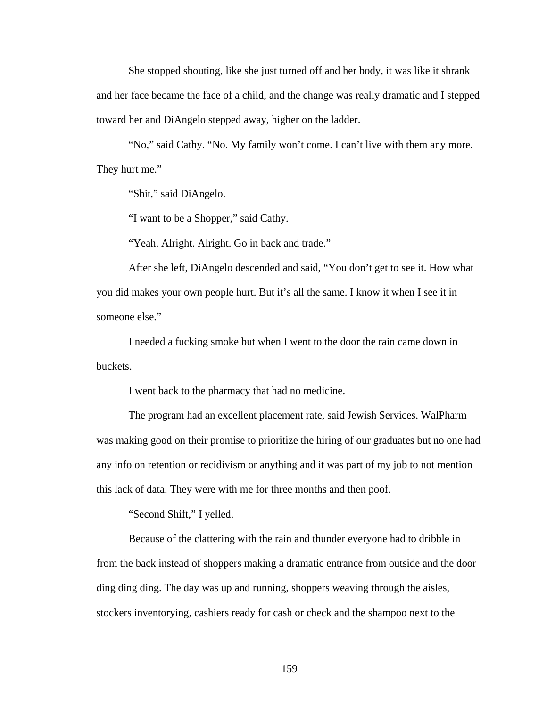She stopped shouting, like she just turned off and her body, it was like it shrank and her face became the face of a child, and the change was really dramatic and I stepped toward her and DiAngelo stepped away, higher on the ladder.

"No," said Cathy. "No. My family won't come. I can't live with them any more. They hurt me."

"Shit," said DiAngelo.

"I want to be a Shopper," said Cathy.

"Yeah. Alright. Alright. Go in back and trade."

 After she left, DiAngelo descended and said, "You don't get to see it. How what you did makes your own people hurt. But it's all the same. I know it when I see it in someone else."

 I needed a fucking smoke but when I went to the door the rain came down in buckets.

I went back to the pharmacy that had no medicine.

 The program had an excellent placement rate, said Jewish Services. WalPharm was making good on their promise to prioritize the hiring of our graduates but no one had any info on retention or recidivism or anything and it was part of my job to not mention this lack of data. They were with me for three months and then poof.

"Second Shift," I yelled.

 Because of the clattering with the rain and thunder everyone had to dribble in from the back instead of shoppers making a dramatic entrance from outside and the door ding ding ding. The day was up and running, shoppers weaving through the aisles, stockers inventorying, cashiers ready for cash or check and the shampoo next to the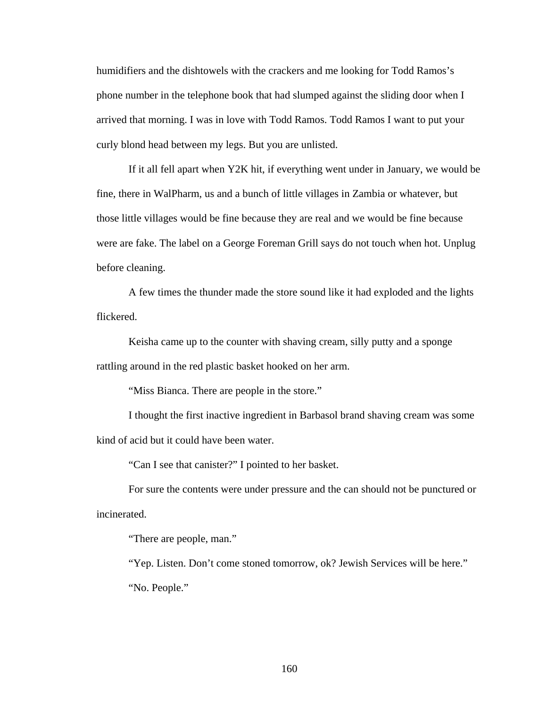humidifiers and the dishtowels with the crackers and me looking for Todd Ramos's phone number in the telephone book that had slumped against the sliding door when I arrived that morning. I was in love with Todd Ramos. Todd Ramos I want to put your curly blond head between my legs. But you are unlisted.

 If it all fell apart when Y2K hit, if everything went under in January, we would be fine, there in WalPharm, us and a bunch of little villages in Zambia or whatever, but those little villages would be fine because they are real and we would be fine because were are fake. The label on a George Foreman Grill says do not touch when hot. Unplug before cleaning.

 A few times the thunder made the store sound like it had exploded and the lights flickered.

 Keisha came up to the counter with shaving cream, silly putty and a sponge rattling around in the red plastic basket hooked on her arm.

"Miss Bianca. There are people in the store."

 I thought the first inactive ingredient in Barbasol brand shaving cream was some kind of acid but it could have been water.

"Can I see that canister?" I pointed to her basket.

 For sure the contents were under pressure and the can should not be punctured or incinerated.

"There are people, man."

 "Yep. Listen. Don't come stoned tomorrow, ok? Jewish Services will be here." "No. People."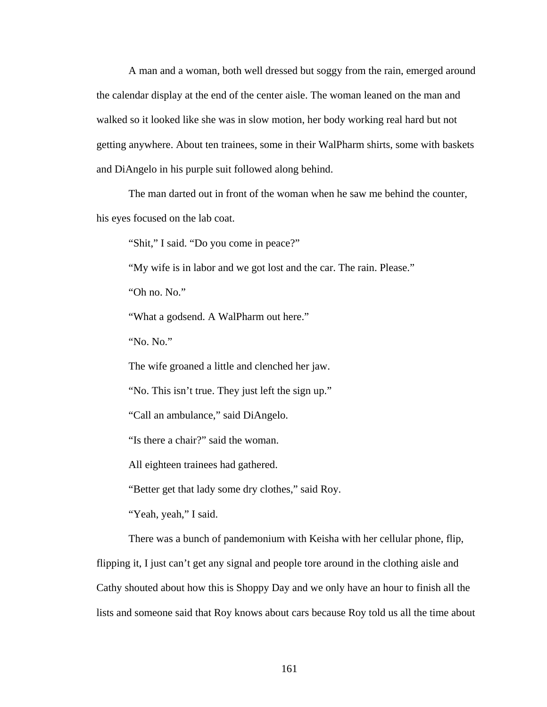A man and a woman, both well dressed but soggy from the rain, emerged around the calendar display at the end of the center aisle. The woman leaned on the man and walked so it looked like she was in slow motion, her body working real hard but not getting anywhere. About ten trainees, some in their WalPharm shirts, some with baskets and DiAngelo in his purple suit followed along behind.

 The man darted out in front of the woman when he saw me behind the counter, his eyes focused on the lab coat.

"Shit," I said. "Do you come in peace?"

"My wife is in labor and we got lost and the car. The rain. Please."

"Oh no. No."

"What a godsend. A WalPharm out here."

"No. No."

The wife groaned a little and clenched her jaw.

"No. This isn't true. They just left the sign up."

"Call an ambulance," said DiAngelo.

"Is there a chair?" said the woman.

All eighteen trainees had gathered.

"Better get that lady some dry clothes," said Roy.

"Yeah, yeah," I said.

There was a bunch of pandemonium with Keisha with her cellular phone, flip,

flipping it, I just can't get any signal and people tore around in the clothing aisle and Cathy shouted about how this is Shoppy Day and we only have an hour to finish all the lists and someone said that Roy knows about cars because Roy told us all the time about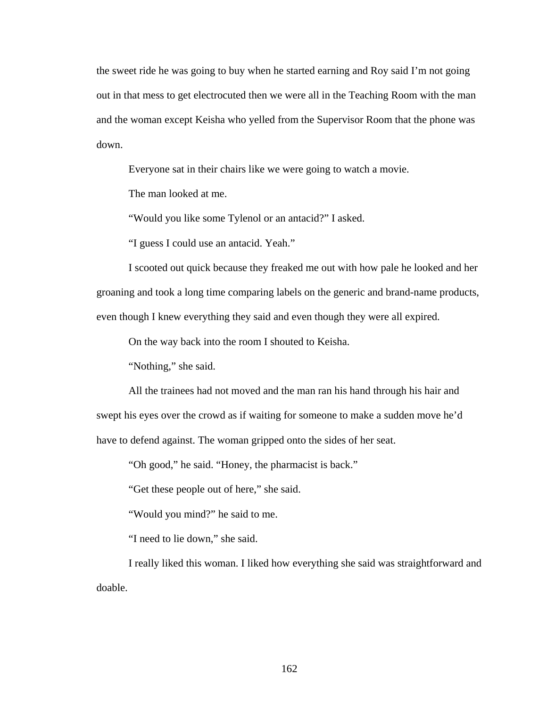the sweet ride he was going to buy when he started earning and Roy said I'm not going out in that mess to get electrocuted then we were all in the Teaching Room with the man and the woman except Keisha who yelled from the Supervisor Room that the phone was down.

Everyone sat in their chairs like we were going to watch a movie.

The man looked at me.

"Would you like some Tylenol or an antacid?" I asked.

"I guess I could use an antacid. Yeah."

 I scooted out quick because they freaked me out with how pale he looked and her groaning and took a long time comparing labels on the generic and brand-name products, even though I knew everything they said and even though they were all expired.

On the way back into the room I shouted to Keisha.

"Nothing," she said.

 All the trainees had not moved and the man ran his hand through his hair and swept his eyes over the crowd as if waiting for someone to make a sudden move he'd have to defend against. The woman gripped onto the sides of her seat.

"Oh good," he said. "Honey, the pharmacist is back."

"Get these people out of here," she said.

"Would you mind?" he said to me.

"I need to lie down," she said.

 I really liked this woman. I liked how everything she said was straightforward and doable.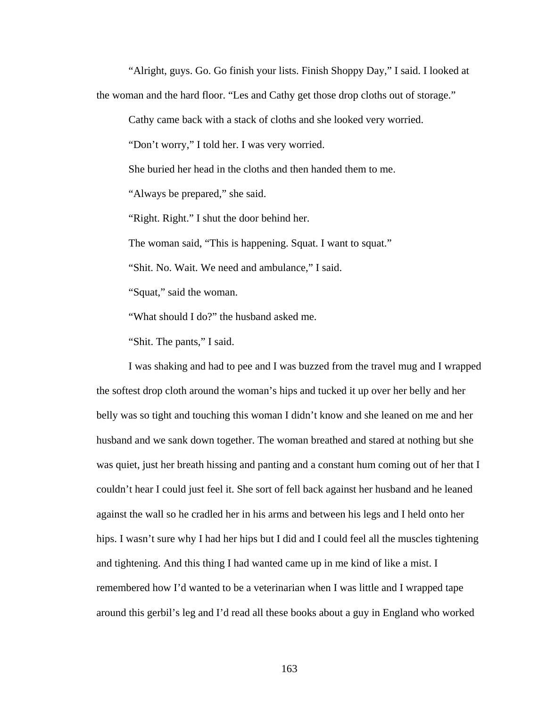"Alright, guys. Go. Go finish your lists. Finish Shoppy Day," I said. I looked at the woman and the hard floor. "Les and Cathy get those drop cloths out of storage."

Cathy came back with a stack of cloths and she looked very worried.

"Don't worry," I told her. I was very worried.

She buried her head in the cloths and then handed them to me.

"Always be prepared," she said.

"Right. Right." I shut the door behind her.

The woman said, "This is happening. Squat. I want to squat."

"Shit. No. Wait. We need and ambulance," I said.

"Squat," said the woman.

"What should I do?" the husband asked me.

"Shit. The pants," I said.

 I was shaking and had to pee and I was buzzed from the travel mug and I wrapped the softest drop cloth around the woman's hips and tucked it up over her belly and her belly was so tight and touching this woman I didn't know and she leaned on me and her husband and we sank down together. The woman breathed and stared at nothing but she was quiet, just her breath hissing and panting and a constant hum coming out of her that I couldn't hear I could just feel it. She sort of fell back against her husband and he leaned against the wall so he cradled her in his arms and between his legs and I held onto her hips. I wasn't sure why I had her hips but I did and I could feel all the muscles tightening and tightening. And this thing I had wanted came up in me kind of like a mist. I remembered how I'd wanted to be a veterinarian when I was little and I wrapped tape around this gerbil's leg and I'd read all these books about a guy in England who worked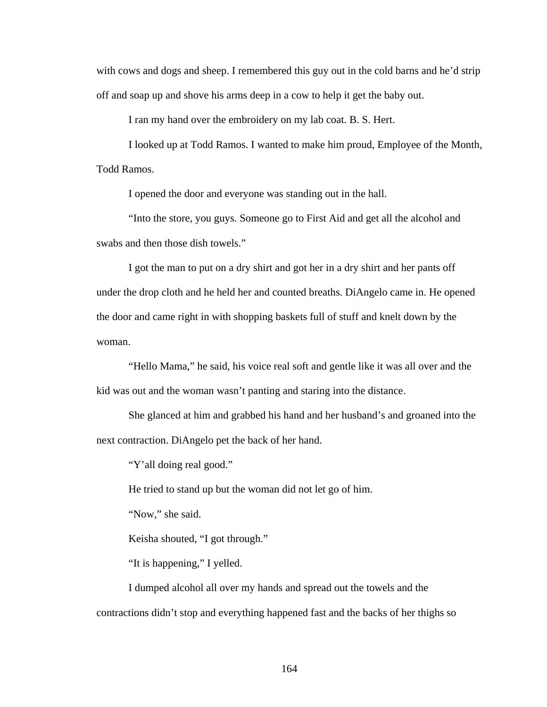with cows and dogs and sheep. I remembered this guy out in the cold barns and he'd strip off and soap up and shove his arms deep in a cow to help it get the baby out.

I ran my hand over the embroidery on my lab coat. B. S. Hert.

 I looked up at Todd Ramos. I wanted to make him proud, Employee of the Month, Todd Ramos.

I opened the door and everyone was standing out in the hall.

 "Into the store, you guys. Someone go to First Aid and get all the alcohol and swabs and then those dish towels."

 I got the man to put on a dry shirt and got her in a dry shirt and her pants off under the drop cloth and he held her and counted breaths. DiAngelo came in. He opened the door and came right in with shopping baskets full of stuff and knelt down by the woman.

 "Hello Mama," he said, his voice real soft and gentle like it was all over and the kid was out and the woman wasn't panting and staring into the distance.

 She glanced at him and grabbed his hand and her husband's and groaned into the next contraction. DiAngelo pet the back of her hand.

"Y'all doing real good."

He tried to stand up but the woman did not let go of him.

"Now," she said.

Keisha shouted, "I got through."

"It is happening," I yelled.

 I dumped alcohol all over my hands and spread out the towels and the contractions didn't stop and everything happened fast and the backs of her thighs so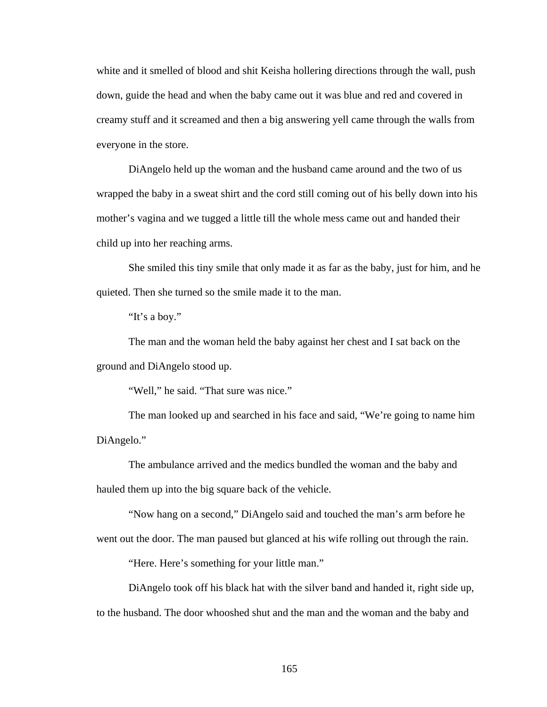white and it smelled of blood and shit Keisha hollering directions through the wall, push down, guide the head and when the baby came out it was blue and red and covered in creamy stuff and it screamed and then a big answering yell came through the walls from everyone in the store.

 DiAngelo held up the woman and the husband came around and the two of us wrapped the baby in a sweat shirt and the cord still coming out of his belly down into his mother's vagina and we tugged a little till the whole mess came out and handed their child up into her reaching arms.

 She smiled this tiny smile that only made it as far as the baby, just for him, and he quieted. Then she turned so the smile made it to the man.

"It's a boy."

 The man and the woman held the baby against her chest and I sat back on the ground and DiAngelo stood up.

"Well," he said. "That sure was nice."

 The man looked up and searched in his face and said, "We're going to name him DiAngelo."

 The ambulance arrived and the medics bundled the woman and the baby and hauled them up into the big square back of the vehicle.

 "Now hang on a second," DiAngelo said and touched the man's arm before he went out the door. The man paused but glanced at his wife rolling out through the rain.

"Here. Here's something for your little man."

 DiAngelo took off his black hat with the silver band and handed it, right side up, to the husband. The door whooshed shut and the man and the woman and the baby and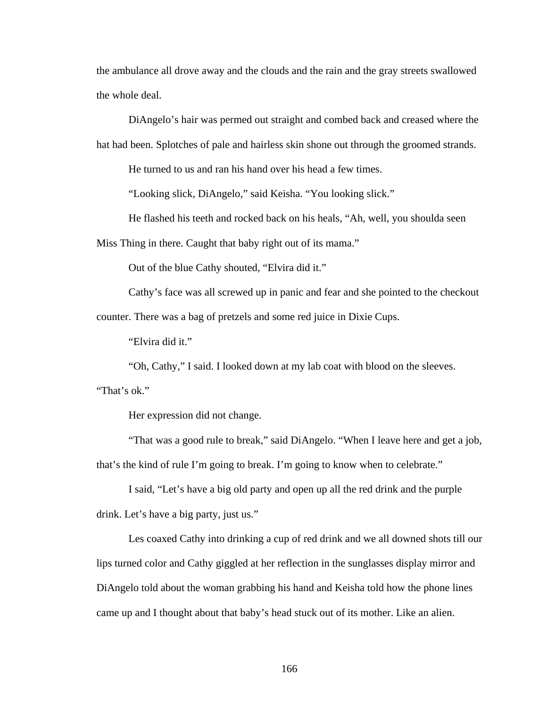the ambulance all drove away and the clouds and the rain and the gray streets swallowed the whole deal.

 DiAngelo's hair was permed out straight and combed back and creased where the hat had been. Splotches of pale and hairless skin shone out through the groomed strands.

He turned to us and ran his hand over his head a few times.

"Looking slick, DiAngelo," said Keisha. "You looking slick."

He flashed his teeth and rocked back on his heals, "Ah, well, you shoulda seen

Miss Thing in there. Caught that baby right out of its mama."

Out of the blue Cathy shouted, "Elvira did it."

 Cathy's face was all screwed up in panic and fear and she pointed to the checkout counter. There was a bag of pretzels and some red juice in Dixie Cups.

"Elvira did it."

"Oh, Cathy," I said. I looked down at my lab coat with blood on the sleeves.

"That's ok."

Her expression did not change.

 "That was a good rule to break," said DiAngelo. "When I leave here and get a job, that's the kind of rule I'm going to break. I'm going to know when to celebrate."

 I said, "Let's have a big old party and open up all the red drink and the purple drink. Let's have a big party, just us."

 Les coaxed Cathy into drinking a cup of red drink and we all downed shots till our lips turned color and Cathy giggled at her reflection in the sunglasses display mirror and DiAngelo told about the woman grabbing his hand and Keisha told how the phone lines came up and I thought about that baby's head stuck out of its mother. Like an alien.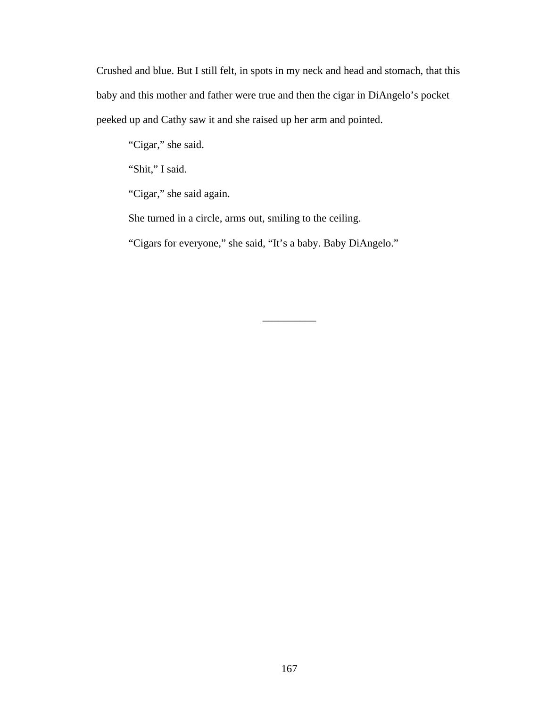Crushed and blue. But I still felt, in spots in my neck and head and stomach, that this baby and this mother and father were true and then the cigar in DiAngelo's pocket peeked up and Cathy saw it and she raised up her arm and pointed.

"Cigar," she said.

"Shit," I said.

"Cigar," she said again.

She turned in a circle, arms out, smiling to the ceiling.

"Cigars for everyone," she said, "It's a baby. Baby DiAngelo."

\_\_\_\_\_\_\_\_\_\_